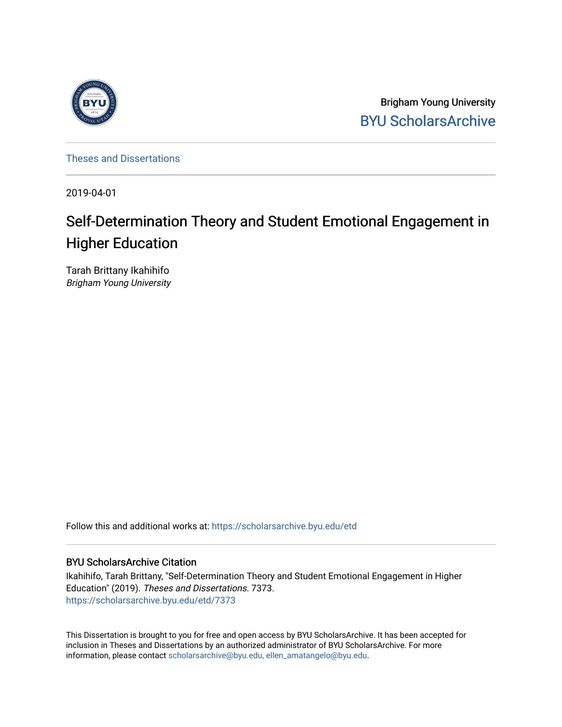

Brigham Young University [BYU ScholarsArchive](https://scholarsarchive.byu.edu/) 

[Theses and Dissertations](https://scholarsarchive.byu.edu/etd)

2019-04-01

# Self-Determination Theory and Student Emotional Engagement in Higher Education

Tarah Brittany Ikahihifo Brigham Young University

Follow this and additional works at: [https://scholarsarchive.byu.edu/etd](https://scholarsarchive.byu.edu/etd?utm_source=scholarsarchive.byu.edu%2Fetd%2F7373&utm_medium=PDF&utm_campaign=PDFCoverPages)

#### BYU ScholarsArchive Citation

Ikahihifo, Tarah Brittany, "Self-Determination Theory and Student Emotional Engagement in Higher Education" (2019). Theses and Dissertations. 7373. [https://scholarsarchive.byu.edu/etd/7373](https://scholarsarchive.byu.edu/etd/7373?utm_source=scholarsarchive.byu.edu%2Fetd%2F7373&utm_medium=PDF&utm_campaign=PDFCoverPages) 

This Dissertation is brought to you for free and open access by BYU ScholarsArchive. It has been accepted for inclusion in Theses and Dissertations by an authorized administrator of BYU ScholarsArchive. For more information, please contact [scholarsarchive@byu.edu, ellen\\_amatangelo@byu.edu.](mailto:scholarsarchive@byu.edu,%20ellen_amatangelo@byu.edu)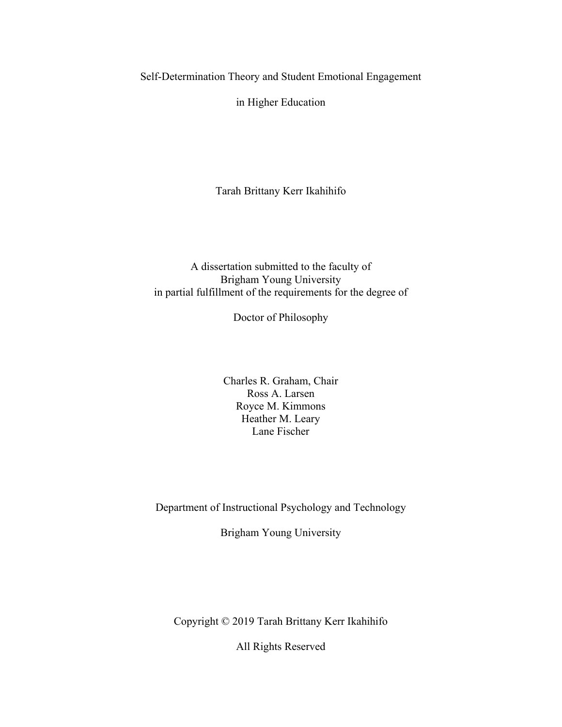Self-Determination Theory and Student Emotional Engagement

in Higher Education

Tarah Brittany Kerr Ikahihifo

#### A dissertation submitted to the faculty of Brigham Young University in partial fulfillment of the requirements for the degree of

Doctor of Philosophy

Charles R. Graham, Chair Ross A. Larsen Royce M. Kimmons Heather M. Leary Lane Fischer

Department of Instructional Psychology and Technology

Brigham Young University

Copyright © 2019 Tarah Brittany Kerr Ikahihifo

All Rights Reserved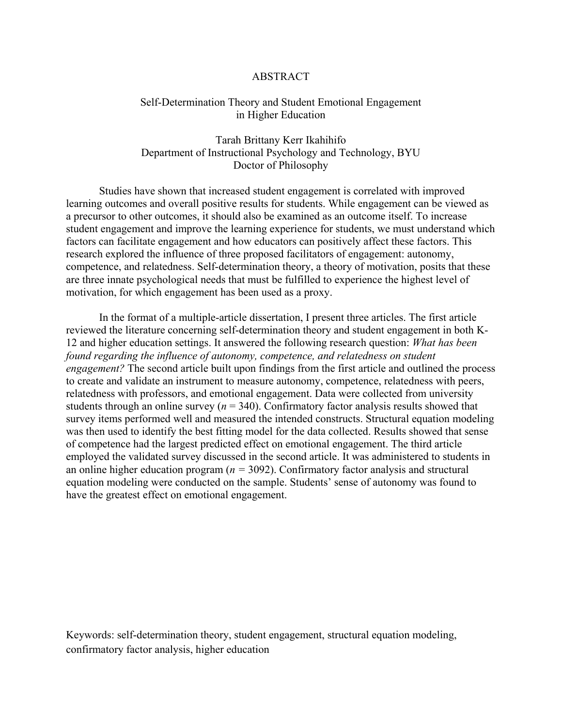#### ABSTRACT

#### <span id="page-2-0"></span>Self-Determination Theory and Student Emotional Engagement in Higher Education

Tarah Brittany Kerr Ikahihifo Department of Instructional Psychology and Technology, BYU Doctor of Philosophy

Studies have shown that increased student engagement is correlated with improved learning outcomes and overall positive results for students. While engagement can be viewed as a precursor to other outcomes, it should also be examined as an outcome itself. To increase student engagement and improve the learning experience for students, we must understand which factors can facilitate engagement and how educators can positively affect these factors. This research explored the influence of three proposed facilitators of engagement: autonomy, competence, and relatedness. Self-determination theory, a theory of motivation, posits that these are three innate psychological needs that must be fulfilled to experience the highest level of motivation, for which engagement has been used as a proxy.

In the format of a multiple-article dissertation, I present three articles. The first article reviewed the literature concerning self-determination theory and student engagement in both K-12 and higher education settings. It answered the following research question: *What has been found regarding the influence of autonomy, competence, and relatedness on student engagement?* The second article built upon findings from the first article and outlined the process to create and validate an instrument to measure autonomy, competence, relatedness with peers, relatedness with professors, and emotional engagement. Data were collected from university students through an online survey ( $n = 340$ ). Confirmatory factor analysis results showed that survey items performed well and measured the intended constructs. Structural equation modeling was then used to identify the best fitting model for the data collected. Results showed that sense of competence had the largest predicted effect on emotional engagement. The third article employed the validated survey discussed in the second article. It was administered to students in an online higher education program (*n =* 3092). Confirmatory factor analysis and structural equation modeling were conducted on the sample. Students' sense of autonomy was found to have the greatest effect on emotional engagement.

Keywords: self-determination theory, student engagement, structural equation modeling, confirmatory factor analysis, higher education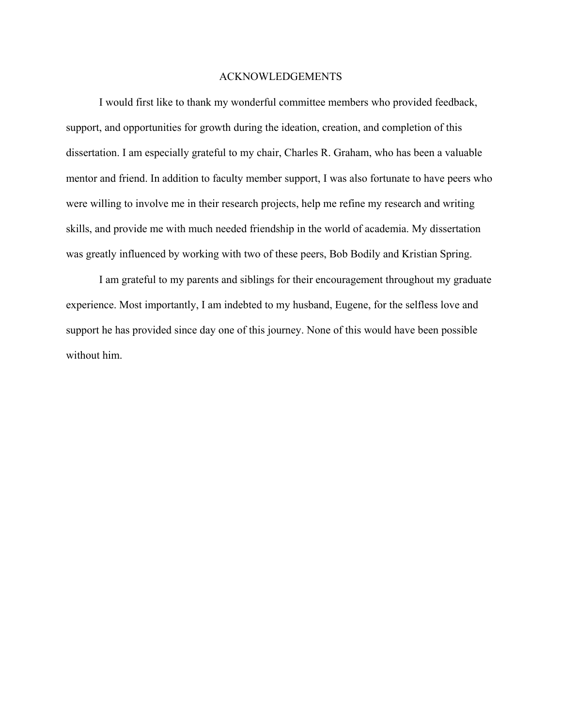#### ACKNOWLEDGEMENTS

<span id="page-3-0"></span>I would first like to thank my wonderful committee members who provided feedback, support, and opportunities for growth during the ideation, creation, and completion of this dissertation. I am especially grateful to my chair, Charles R. Graham, who has been a valuable mentor and friend. In addition to faculty member support, I was also fortunate to have peers who were willing to involve me in their research projects, help me refine my research and writing skills, and provide me with much needed friendship in the world of academia. My dissertation was greatly influenced by working with two of these peers, Bob Bodily and Kristian Spring.

I am grateful to my parents and siblings for their encouragement throughout my graduate experience. Most importantly, I am indebted to my husband, Eugene, for the selfless love and support he has provided since day one of this journey. None of this would have been possible without him.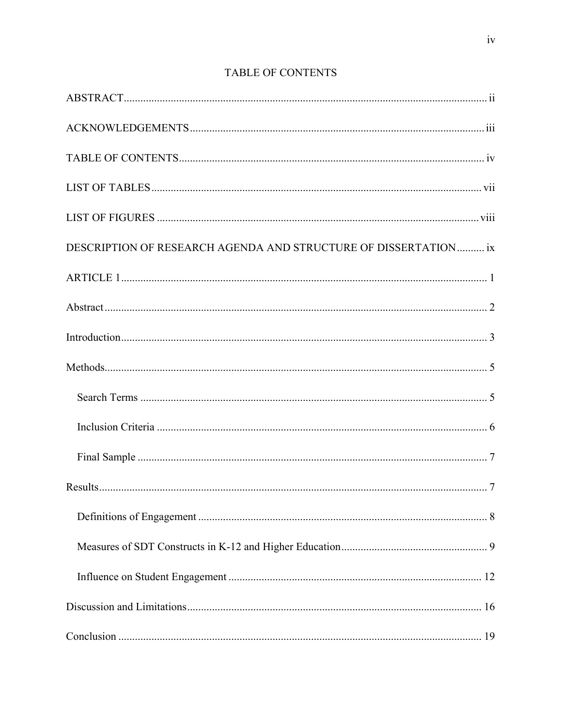<span id="page-4-0"></span>

| DESCRIPTION OF RESEARCH AGENDA AND STRUCTURE OF DISSERTATION  ix |
|------------------------------------------------------------------|
|                                                                  |
|                                                                  |
|                                                                  |
|                                                                  |
|                                                                  |
|                                                                  |
|                                                                  |
|                                                                  |
|                                                                  |
|                                                                  |
|                                                                  |
|                                                                  |
|                                                                  |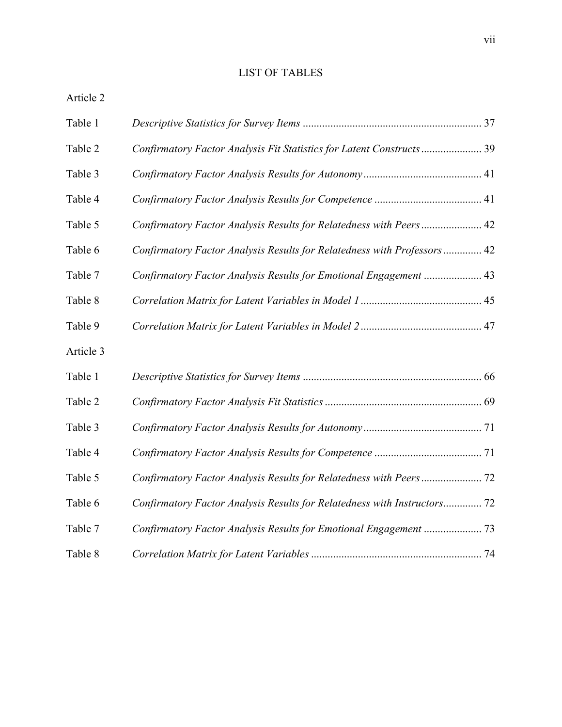## LIST OF TABLES

<span id="page-7-0"></span>

| Table 1   |                                                                          |  |
|-----------|--------------------------------------------------------------------------|--|
| Table 2   | Confirmatory Factor Analysis Fit Statistics for Latent Constructs  39    |  |
| Table 3   |                                                                          |  |
| Table 4   |                                                                          |  |
| Table 5   | Confirmatory Factor Analysis Results for Relatedness with Peers  42      |  |
| Table 6   | Confirmatory Factor Analysis Results for Relatedness with Professors  42 |  |
| Table 7   | Confirmatory Factor Analysis Results for Emotional Engagement  43        |  |
| Table 8   |                                                                          |  |
| Table 9   |                                                                          |  |
| Article 3 |                                                                          |  |
| Table 1   |                                                                          |  |
| Table 2   |                                                                          |  |
| Table 3   |                                                                          |  |
| Table 4   |                                                                          |  |
| Table 5   |                                                                          |  |
| Table 6   | Confirmatory Factor Analysis Results for Relatedness with Instructors 72 |  |
| Table 7   |                                                                          |  |
| Table 8   |                                                                          |  |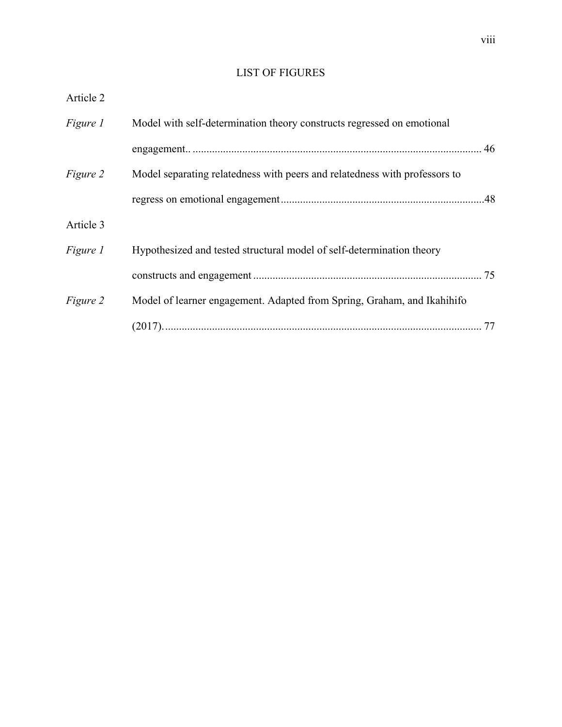## LIST OF FIGURES

<span id="page-8-0"></span>

| Article 2       |                                                                            |
|-----------------|----------------------------------------------------------------------------|
| <i>Figure 1</i> | Model with self-determination theory constructs regressed on emotional     |
|                 |                                                                            |
| Figure 2        | Model separating relatedness with peers and relatedness with professors to |
|                 |                                                                            |
| Article 3       |                                                                            |
| <i>Figure 1</i> | Hypothesized and tested structural model of self-determination theory      |
|                 |                                                                            |
| Figure 2        | Model of learner engagement. Adapted from Spring, Graham, and Ikahihifo    |
|                 |                                                                            |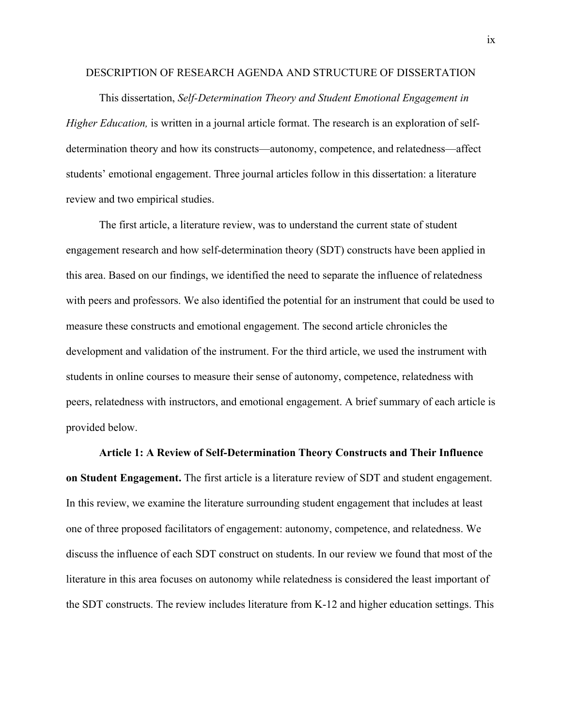#### <span id="page-9-0"></span>DESCRIPTION OF RESEARCH AGENDA AND STRUCTURE OF DISSERTATION

This dissertation, *Self-Determination Theory and Student Emotional Engagement in Higher Education*, is written in a journal article format. The research is an exploration of selfdetermination theory and how its constructs—autonomy, competence, and relatedness—affect students' emotional engagement. Three journal articles follow in this dissertation: a literature review and two empirical studies.

The first article, a literature review, was to understand the current state of student engagement research and how self-determination theory (SDT) constructs have been applied in this area. Based on our findings, we identified the need to separate the influence of relatedness with peers and professors. We also identified the potential for an instrument that could be used to measure these constructs and emotional engagement. The second article chronicles the development and validation of the instrument. For the third article, we used the instrument with students in online courses to measure their sense of autonomy, competence, relatedness with peers, relatedness with instructors, and emotional engagement. A brief summary of each article is provided below.

**Article 1: A Review of Self-Determination Theory Constructs and Their Influence on Student Engagement.** The first article is a literature review of SDT and student engagement. In this review, we examine the literature surrounding student engagement that includes at least one of three proposed facilitators of engagement: autonomy, competence, and relatedness. We discuss the influence of each SDT construct on students. In our review we found that most of the literature in this area focuses on autonomy while relatedness is considered the least important of the SDT constructs. The review includes literature from K-12 and higher education settings. This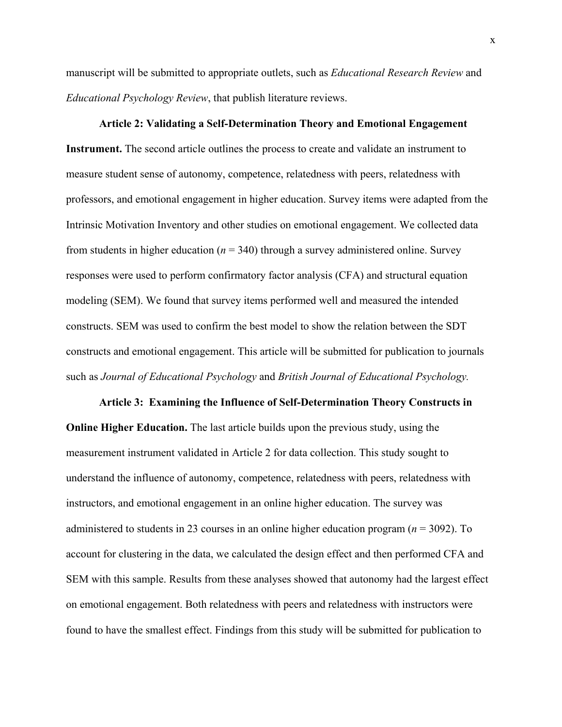manuscript will be submitted to appropriate outlets, such as *Educational Research Review* and *Educational Psychology Review*, that publish literature reviews.

## **Article 2: Validating a Self-Determination Theory and Emotional Engagement**

**Instrument.** The second article outlines the process to create and validate an instrument to measure student sense of autonomy, competence, relatedness with peers, relatedness with professors, and emotional engagement in higher education. Survey items were adapted from the Intrinsic Motivation Inventory and other studies on emotional engagement. We collected data from students in higher education (*n* = 340) through a survey administered online. Survey responses were used to perform confirmatory factor analysis (CFA) and structural equation modeling (SEM). We found that survey items performed well and measured the intended constructs. SEM was used to confirm the best model to show the relation between the SDT constructs and emotional engagement. This article will be submitted for publication to journals such as *Journal of Educational Psychology* and *British Journal of Educational Psychology.* 

**Article 3: Examining the Influence of Self-Determination Theory Constructs in Online Higher Education.** The last article builds upon the previous study, using the measurement instrument validated in Article 2 for data collection. This study sought to understand the influence of autonomy, competence, relatedness with peers, relatedness with instructors, and emotional engagement in an online higher education. The survey was administered to students in 23 courses in an online higher education program (*n* = 3092). To account for clustering in the data, we calculated the design effect and then performed CFA and SEM with this sample. Results from these analyses showed that autonomy had the largest effect on emotional engagement. Both relatedness with peers and relatedness with instructors were found to have the smallest effect. Findings from this study will be submitted for publication to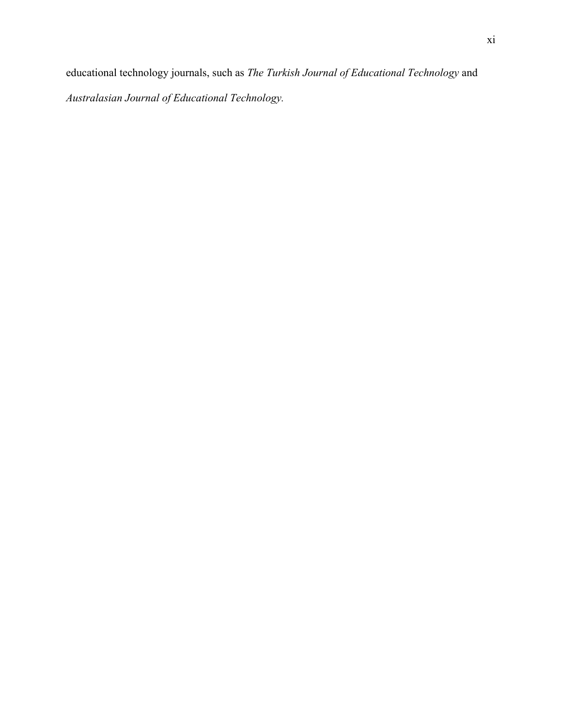educational technology journals, such as *The Turkish Journal of Educational Technology* and *Australasian Journal of Educational Technology.*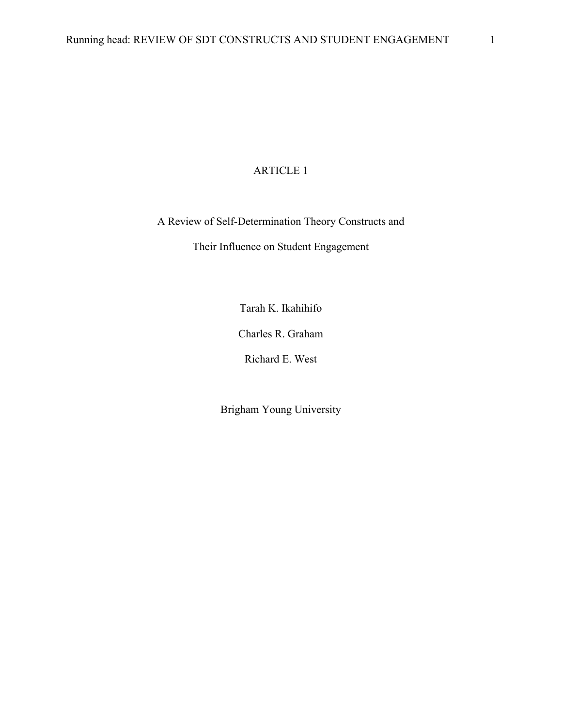### ARTICLE 1

<span id="page-12-0"></span>A Review of Self-Determination Theory Constructs and

Their Influence on Student Engagement

Tarah K. Ikahihifo

Charles R. Graham

Richard E. West

Brigham Young University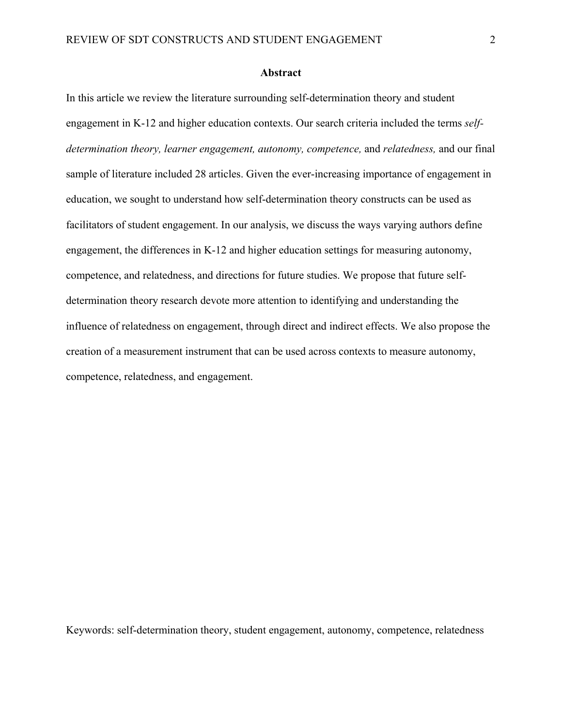#### **Abstract**

<span id="page-13-0"></span>In this article we review the literature surrounding self-determination theory and student engagement in K-12 and higher education contexts. Our search criteria included the terms *selfdetermination theory, learner engagement, autonomy, competence,* and *relatedness,* and our final sample of literature included 28 articles. Given the ever-increasing importance of engagement in education, we sought to understand how self-determination theory constructs can be used as facilitators of student engagement. In our analysis, we discuss the ways varying authors define engagement, the differences in K-12 and higher education settings for measuring autonomy, competence, and relatedness, and directions for future studies. We propose that future selfdetermination theory research devote more attention to identifying and understanding the influence of relatedness on engagement, through direct and indirect effects. We also propose the creation of a measurement instrument that can be used across contexts to measure autonomy, competence, relatedness, and engagement.

Keywords: self-determination theory, student engagement, autonomy, competence, relatedness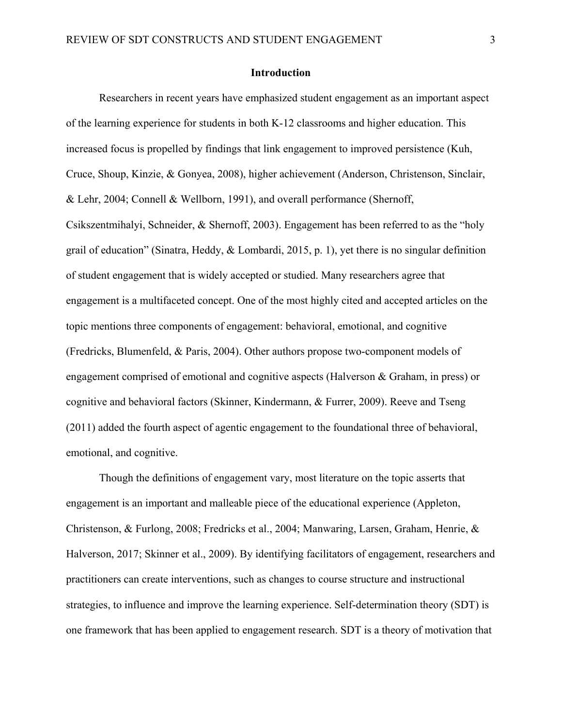#### **Introduction**

<span id="page-14-0"></span>Researchers in recent years have emphasized student engagement as an important aspect of the learning experience for students in both K-12 classrooms and higher education. This increased focus is propelled by findings that link engagement to improved persistence (Kuh, Cruce, Shoup, Kinzie, & Gonyea, 2008), higher achievement (Anderson, Christenson, Sinclair, & Lehr, 2004; Connell & Wellborn, 1991), and overall performance (Shernoff, Csikszentmihalyi, Schneider, & Shernoff, 2003). Engagement has been referred to as the "holy grail of education" (Sinatra, Heddy, & Lombardi, 2015, p. 1), yet there is no singular definition of student engagement that is widely accepted or studied. Many researchers agree that engagement is a multifaceted concept. One of the most highly cited and accepted articles on the topic mentions three components of engagement: behavioral, emotional, and cognitive (Fredricks, Blumenfeld, & Paris, 2004). Other authors propose two-component models of engagement comprised of emotional and cognitive aspects (Halverson & Graham, in press) or cognitive and behavioral factors (Skinner, Kindermann, & Furrer, 2009). Reeve and Tseng (2011) added the fourth aspect of agentic engagement to the foundational three of behavioral, emotional, and cognitive.

Though the definitions of engagement vary, most literature on the topic asserts that engagement is an important and malleable piece of the educational experience (Appleton, Christenson, & Furlong, 2008; Fredricks et al., 2004; Manwaring, Larsen, Graham, Henrie, & Halverson, 2017; Skinner et al., 2009). By identifying facilitators of engagement, researchers and practitioners can create interventions, such as changes to course structure and instructional strategies, to influence and improve the learning experience. Self-determination theory (SDT) is one framework that has been applied to engagement research. SDT is a theory of motivation that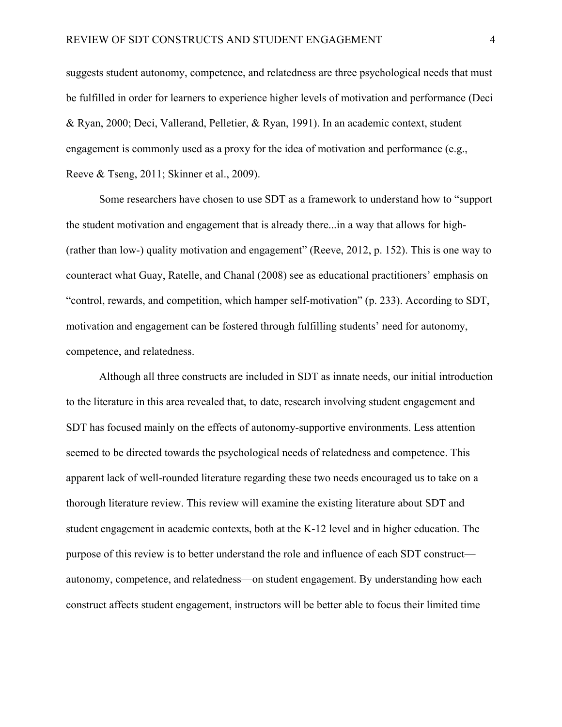suggests student autonomy, competence, and relatedness are three psychological needs that must be fulfilled in order for learners to experience higher levels of motivation and performance (Deci & Ryan, 2000; Deci, Vallerand, Pelletier, & Ryan, 1991). In an academic context, student engagement is commonly used as a proxy for the idea of motivation and performance (e.g., Reeve & Tseng, 2011; Skinner et al., 2009).

Some researchers have chosen to use SDT as a framework to understand how to "support the student motivation and engagement that is already there...in a way that allows for high- (rather than low-) quality motivation and engagement" (Reeve, 2012, p. 152). This is one way to counteract what Guay, Ratelle, and Chanal (2008) see as educational practitioners' emphasis on "control, rewards, and competition, which hamper self-motivation" (p. 233). According to SDT, motivation and engagement can be fostered through fulfilling students' need for autonomy, competence, and relatedness.

Although all three constructs are included in SDT as innate needs, our initial introduction to the literature in this area revealed that, to date, research involving student engagement and SDT has focused mainly on the effects of autonomy-supportive environments. Less attention seemed to be directed towards the psychological needs of relatedness and competence. This apparent lack of well-rounded literature regarding these two needs encouraged us to take on a thorough literature review. This review will examine the existing literature about SDT and student engagement in academic contexts, both at the K-12 level and in higher education. The purpose of this review is to better understand the role and influence of each SDT construct autonomy, competence, and relatedness—on student engagement. By understanding how each construct affects student engagement, instructors will be better able to focus their limited time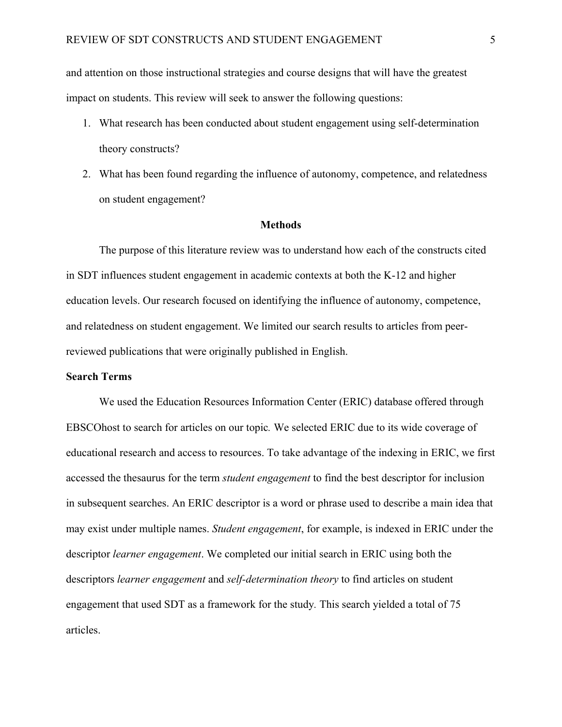and attention on those instructional strategies and course designs that will have the greatest impact on students. This review will seek to answer the following questions:

- 1. What research has been conducted about student engagement using self-determination theory constructs?
- 2. What has been found regarding the influence of autonomy, competence, and relatedness on student engagement?

#### **Methods**

<span id="page-16-0"></span>The purpose of this literature review was to understand how each of the constructs cited in SDT influences student engagement in academic contexts at both the K-12 and higher education levels. Our research focused on identifying the influence of autonomy, competence, and relatedness on student engagement. We limited our search results to articles from peerreviewed publications that were originally published in English.

#### <span id="page-16-1"></span>**Search Terms**

We used the Education Resources Information Center (ERIC) database offered through EBSCOhost to search for articles on our topic*.* We selected ERIC due to its wide coverage of educational research and access to resources. To take advantage of the indexing in ERIC, we first accessed the thesaurus for the term *student engagement* to find the best descriptor for inclusion in subsequent searches. An ERIC descriptor is a word or phrase used to describe a main idea that may exist under multiple names. *Student engagement*, for example, is indexed in ERIC under the descriptor *learner engagement*. We completed our initial search in ERIC using both the descriptors *learner engagement* and *self-determination theory* to find articles on student engagement that used SDT as a framework for the study*.* This search yielded a total of 75 articles.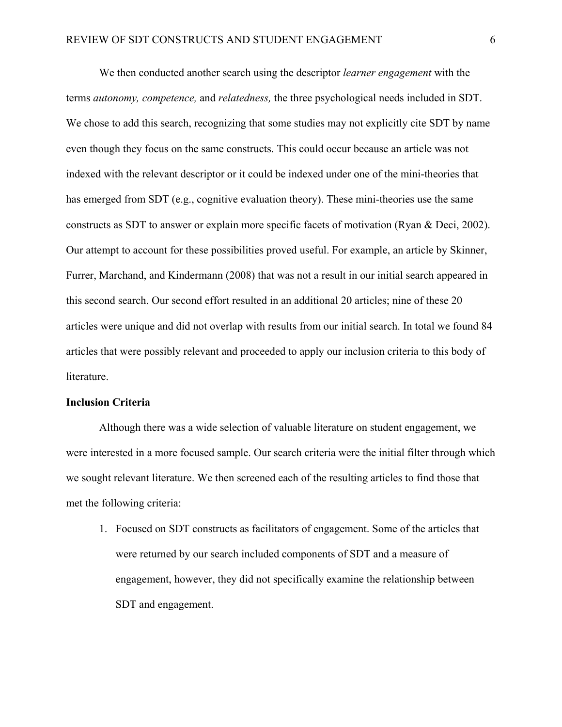We then conducted another search using the descriptor *learner engagement* with the terms *autonomy, competence,* and *relatedness,* the three psychological needs included in SDT. We chose to add this search, recognizing that some studies may not explicitly cite SDT by name even though they focus on the same constructs. This could occur because an article was not indexed with the relevant descriptor or it could be indexed under one of the mini-theories that has emerged from SDT (e.g., cognitive evaluation theory). These mini-theories use the same constructs as SDT to answer or explain more specific facets of motivation (Ryan & Deci, 2002). Our attempt to account for these possibilities proved useful. For example, an article by Skinner, Furrer, Marchand, and Kindermann (2008) that was not a result in our initial search appeared in this second search. Our second effort resulted in an additional 20 articles; nine of these 20 articles were unique and did not overlap with results from our initial search. In total we found 84 articles that were possibly relevant and proceeded to apply our inclusion criteria to this body of literature.

#### <span id="page-17-0"></span>**Inclusion Criteria**

Although there was a wide selection of valuable literature on student engagement, we were interested in a more focused sample. Our search criteria were the initial filter through which we sought relevant literature. We then screened each of the resulting articles to find those that met the following criteria:

1. Focused on SDT constructs as facilitators of engagement. Some of the articles that were returned by our search included components of SDT and a measure of engagement, however, they did not specifically examine the relationship between SDT and engagement.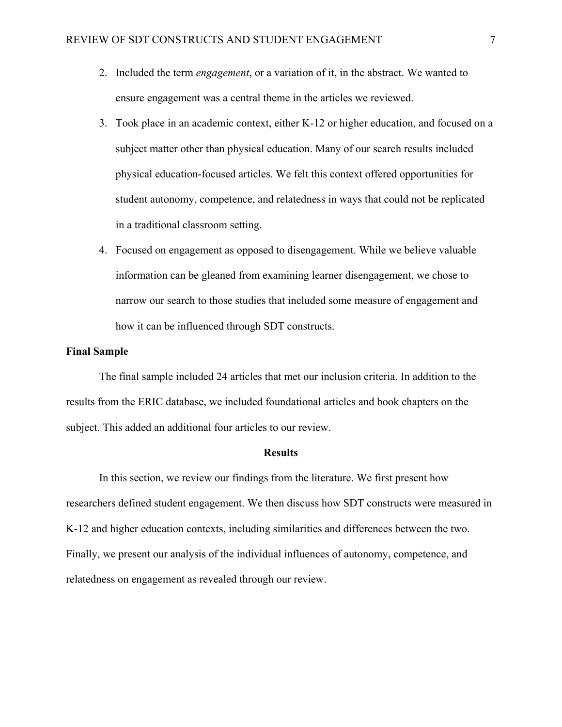- 2. Included the term *engagement*, or a variation of it, in the abstract. We wanted to ensure engagement was a central theme in the articles we reviewed.
- 3. Took place in an academic context, either K-12 or higher education, and focused on a subject matter other than physical education. Many of our search results included physical education-focused articles. We felt this context offered opportunities for student autonomy, competence, and relatedness in ways that could not be replicated in a traditional classroom setting.
- 4. Focused on engagement as opposed to disengagement. While we believe valuable information can be gleaned from examining learner disengagement, we chose to narrow our search to those studies that included some measure of engagement and how it can be influenced through SDT constructs.

#### <span id="page-18-0"></span>**Final Sample**

The final sample included 24 articles that met our inclusion criteria. In addition to the results from the ERIC database, we included foundational articles and book chapters on the subject. This added an additional four articles to our review.

#### **Results**

<span id="page-18-1"></span>In this section, we review our findings from the literature. We first present how researchers defined student engagement. We then discuss how SDT constructs were measured in K-12 and higher education contexts, including similarities and differences between the two. Finally, we present our analysis of the individual influences of autonomy, competence, and relatedness on engagement as revealed through our review.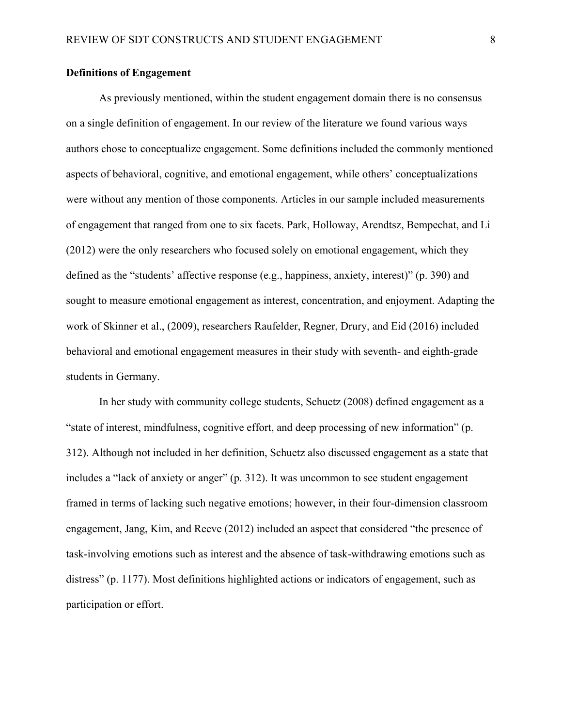#### <span id="page-19-0"></span>**Definitions of Engagement**

As previously mentioned, within the student engagement domain there is no consensus on a single definition of engagement. In our review of the literature we found various ways authors chose to conceptualize engagement. Some definitions included the commonly mentioned aspects of behavioral, cognitive, and emotional engagement, while others' conceptualizations were without any mention of those components. Articles in our sample included measurements of engagement that ranged from one to six facets. Park, Holloway, Arendtsz, Bempechat, and Li (2012) were the only researchers who focused solely on emotional engagement, which they defined as the "students' affective response (e.g., happiness, anxiety, interest)" (p. 390) and sought to measure emotional engagement as interest, concentration, and enjoyment. Adapting the work of Skinner et al., (2009), researchers Raufelder, Regner, Drury, and Eid (2016) included behavioral and emotional engagement measures in their study with seventh- and eighth-grade students in Germany.

In her study with community college students, Schuetz (2008) defined engagement as a "state of interest, mindfulness, cognitive effort, and deep processing of new information" (p. 312). Although not included in her definition, Schuetz also discussed engagement as a state that includes a "lack of anxiety or anger" (p. 312). It was uncommon to see student engagement framed in terms of lacking such negative emotions; however, in their four-dimension classroom engagement, Jang, Kim, and Reeve (2012) included an aspect that considered "the presence of task-involving emotions such as interest and the absence of task-withdrawing emotions such as distress" (p. 1177). Most definitions highlighted actions or indicators of engagement, such as participation or effort.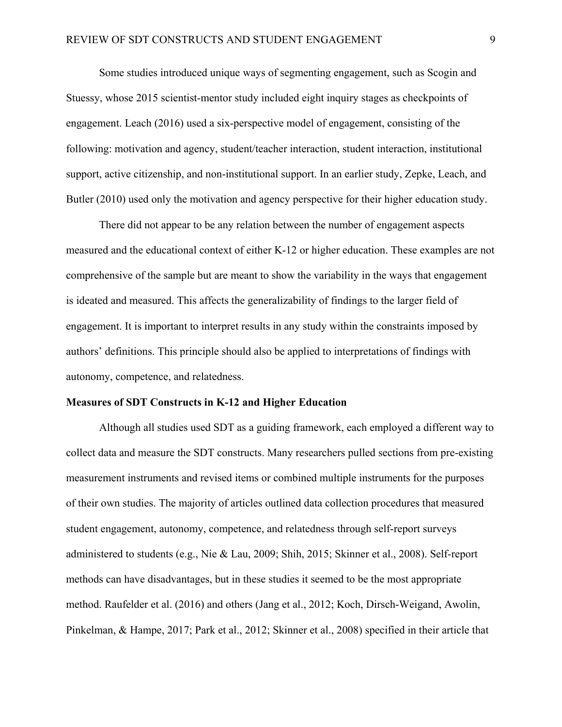Some studies introduced unique ways of segmenting engagement, such as Scogin and Stuessy, whose 2015 scientist-mentor study included eight inquiry stages as checkpoints of engagement. Leach (2016) used a six-perspective model of engagement, consisting of the following: motivation and agency, student/teacher interaction, student interaction, institutional support, active citizenship, and non-institutional support. In an earlier study, Zepke, Leach, and Butler (2010) used only the motivation and agency perspective for their higher education study.

There did not appear to be any relation between the number of engagement aspects measured and the educational context of either K-12 or higher education. These examples are not comprehensive of the sample but are meant to show the variability in the ways that engagement is ideated and measured. This affects the generalizability of findings to the larger field of engagement. It is important to interpret results in any study within the constraints imposed by authors' definitions. This principle should also be applied to interpretations of findings with autonomy, competence, and relatedness.

#### <span id="page-20-0"></span>**Measures of SDT Constructs in K-12 and Higher Education**

Although all studies used SDT as a guiding framework, each employed a different way to collect data and measure the SDT constructs. Many researchers pulled sections from pre-existing measurement instruments and revised items or combined multiple instruments for the purposes of their own studies. The majority of articles outlined data collection procedures that measured student engagement, autonomy, competence, and relatedness through self-report surveys administered to students (e.g., Nie & Lau, 2009; Shih, 2015; Skinner et al., 2008). Self-report methods can have disadvantages, but in these studies it seemed to be the most appropriate method. Raufelder et al. (2016) and others (Jang et al., 2012; Koch, Dirsch-Weigand, Awolin, Pinkelman, & Hampe, 2017; Park et al., 2012; Skinner et al., 2008) specified in their article that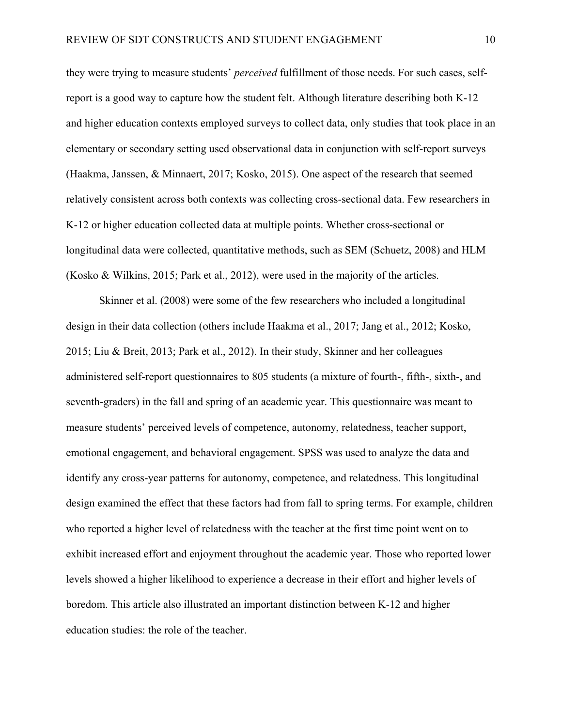they were trying to measure students' *perceived* fulfillment of those needs. For such cases, selfreport is a good way to capture how the student felt. Although literature describing both K-12 and higher education contexts employed surveys to collect data, only studies that took place in an elementary or secondary setting used observational data in conjunction with self-report surveys (Haakma, Janssen, & Minnaert, 2017; Kosko, 2015). One aspect of the research that seemed relatively consistent across both contexts was collecting cross-sectional data. Few researchers in K-12 or higher education collected data at multiple points. Whether cross-sectional or longitudinal data were collected, quantitative methods, such as SEM (Schuetz, 2008) and HLM (Kosko & Wilkins, 2015; Park et al., 2012), were used in the majority of the articles.

Skinner et al. (2008) were some of the few researchers who included a longitudinal design in their data collection (others include Haakma et al., 2017; Jang et al., 2012; Kosko, 2015; Liu & Breit, 2013; Park et al., 2012). In their study, Skinner and her colleagues administered self-report questionnaires to 805 students (a mixture of fourth-, fifth-, sixth-, and seventh-graders) in the fall and spring of an academic year. This questionnaire was meant to measure students' perceived levels of competence, autonomy, relatedness, teacher support, emotional engagement, and behavioral engagement. SPSS was used to analyze the data and identify any cross-year patterns for autonomy, competence, and relatedness. This longitudinal design examined the effect that these factors had from fall to spring terms. For example, children who reported a higher level of relatedness with the teacher at the first time point went on to exhibit increased effort and enjoyment throughout the academic year. Those who reported lower levels showed a higher likelihood to experience a decrease in their effort and higher levels of boredom. This article also illustrated an important distinction between K-12 and higher education studies: the role of the teacher.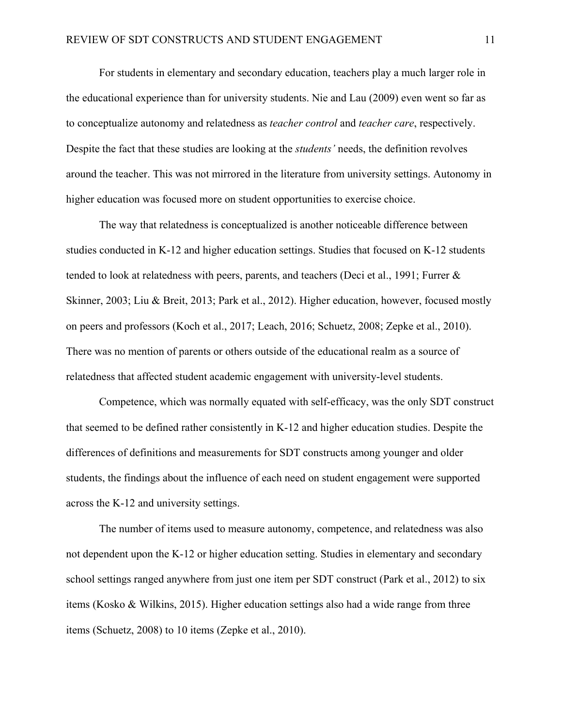For students in elementary and secondary education, teachers play a much larger role in the educational experience than for university students. Nie and Lau (2009) even went so far as to conceptualize autonomy and relatedness as *teacher control* and *teacher care*, respectively. Despite the fact that these studies are looking at the *students'* needs, the definition revolves around the teacher. This was not mirrored in the literature from university settings. Autonomy in higher education was focused more on student opportunities to exercise choice.

The way that relatedness is conceptualized is another noticeable difference between studies conducted in K-12 and higher education settings. Studies that focused on K-12 students tended to look at relatedness with peers, parents, and teachers (Deci et al., 1991; Furrer & Skinner, 2003; Liu & Breit, 2013; Park et al., 2012). Higher education, however, focused mostly on peers and professors (Koch et al., 2017; Leach, 2016; Schuetz, 2008; Zepke et al., 2010). There was no mention of parents or others outside of the educational realm as a source of relatedness that affected student academic engagement with university-level students.

Competence, which was normally equated with self-efficacy, was the only SDT construct that seemed to be defined rather consistently in K-12 and higher education studies. Despite the differences of definitions and measurements for SDT constructs among younger and older students, the findings about the influence of each need on student engagement were supported across the K-12 and university settings.

The number of items used to measure autonomy, competence, and relatedness was also not dependent upon the K-12 or higher education setting. Studies in elementary and secondary school settings ranged anywhere from just one item per SDT construct (Park et al., 2012) to six items (Kosko & Wilkins, 2015). Higher education settings also had a wide range from three items (Schuetz, 2008) to 10 items (Zepke et al., 2010).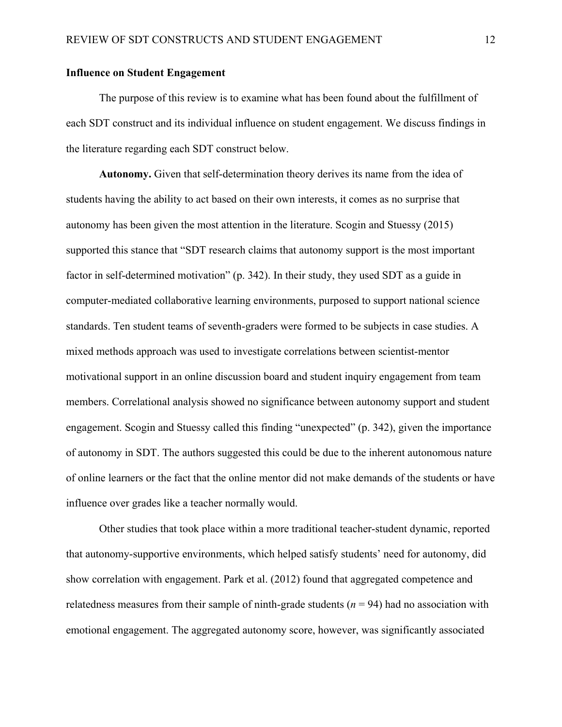#### <span id="page-23-0"></span>**Influence on Student Engagement**

The purpose of this review is to examine what has been found about the fulfillment of each SDT construct and its individual influence on student engagement. We discuss findings in the literature regarding each SDT construct below.

**Autonomy.** Given that self-determination theory derives its name from the idea of students having the ability to act based on their own interests, it comes as no surprise that autonomy has been given the most attention in the literature. Scogin and Stuessy (2015) supported this stance that "SDT research claims that autonomy support is the most important factor in self-determined motivation" (p. 342). In their study, they used SDT as a guide in computer-mediated collaborative learning environments, purposed to support national science standards. Ten student teams of seventh-graders were formed to be subjects in case studies. A mixed methods approach was used to investigate correlations between scientist-mentor motivational support in an online discussion board and student inquiry engagement from team members. Correlational analysis showed no significance between autonomy support and student engagement. Scogin and Stuessy called this finding "unexpected" (p. 342), given the importance of autonomy in SDT. The authors suggested this could be due to the inherent autonomous nature of online learners or the fact that the online mentor did not make demands of the students or have influence over grades like a teacher normally would.

Other studies that took place within a more traditional teacher-student dynamic, reported that autonomy-supportive environments, which helped satisfy students' need for autonomy, did show correlation with engagement. Park et al. (2012) found that aggregated competence and relatedness measures from their sample of ninth-grade students  $(n = 94)$  had no association with emotional engagement. The aggregated autonomy score, however, was significantly associated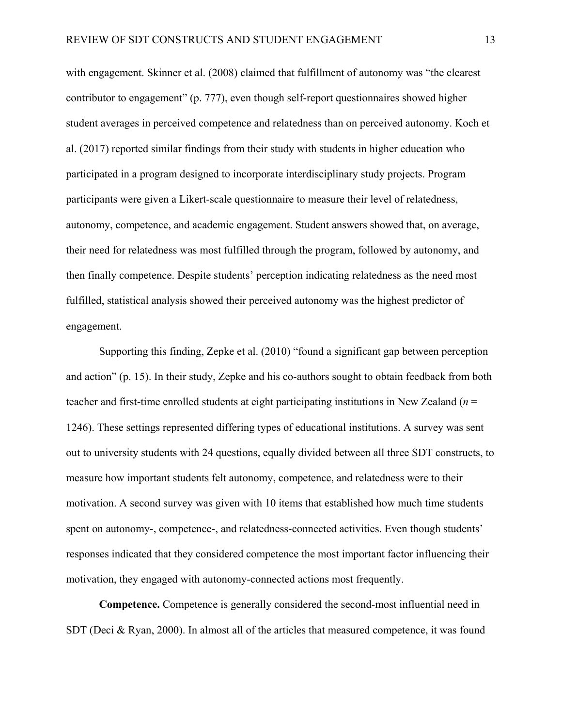with engagement. Skinner et al. (2008) claimed that fulfillment of autonomy was "the clearest contributor to engagement" (p. 777), even though self-report questionnaires showed higher student averages in perceived competence and relatedness than on perceived autonomy. Koch et al. (2017) reported similar findings from their study with students in higher education who participated in a program designed to incorporate interdisciplinary study projects. Program participants were given a Likert-scale questionnaire to measure their level of relatedness, autonomy, competence, and academic engagement. Student answers showed that, on average, their need for relatedness was most fulfilled through the program, followed by autonomy, and then finally competence. Despite students' perception indicating relatedness as the need most fulfilled, statistical analysis showed their perceived autonomy was the highest predictor of engagement.

Supporting this finding, Zepke et al. (2010) "found a significant gap between perception and action" (p. 15). In their study, Zepke and his co-authors sought to obtain feedback from both teacher and first-time enrolled students at eight participating institutions in New Zealand (*n* = 1246). These settings represented differing types of educational institutions. A survey was sent out to university students with 24 questions, equally divided between all three SDT constructs, to measure how important students felt autonomy, competence, and relatedness were to their motivation. A second survey was given with 10 items that established how much time students spent on autonomy-, competence-, and relatedness-connected activities. Even though students' responses indicated that they considered competence the most important factor influencing their motivation, they engaged with autonomy-connected actions most frequently.

**Competence.** Competence is generally considered the second-most influential need in SDT (Deci & Ryan, 2000). In almost all of the articles that measured competence, it was found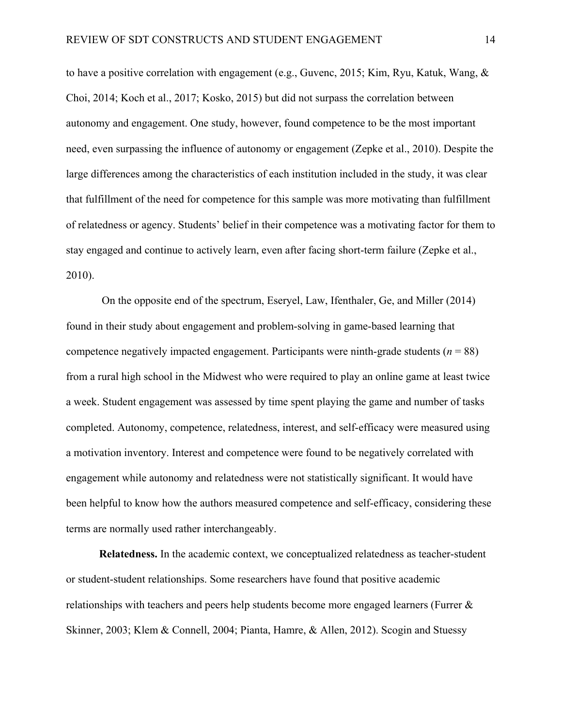to have a positive correlation with engagement (e.g., Guvenc, 2015; Kim, Ryu, Katuk, Wang, & Choi, 2014; Koch et al., 2017; Kosko, 2015) but did not surpass the correlation between autonomy and engagement. One study, however, found competence to be the most important need, even surpassing the influence of autonomy or engagement (Zepke et al., 2010). Despite the large differences among the characteristics of each institution included in the study, it was clear that fulfillment of the need for competence for this sample was more motivating than fulfillment of relatedness or agency. Students' belief in their competence was a motivating factor for them to stay engaged and continue to actively learn, even after facing short-term failure (Zepke et al., 2010).

On the opposite end of the spectrum, Eseryel, Law, Ifenthaler, Ge, and Miller (2014) found in their study about engagement and problem-solving in game-based learning that competence negatively impacted engagement. Participants were ninth-grade students (*n* = 88) from a rural high school in the Midwest who were required to play an online game at least twice a week. Student engagement was assessed by time spent playing the game and number of tasks completed. Autonomy, competence, relatedness, interest, and self-efficacy were measured using a motivation inventory. Interest and competence were found to be negatively correlated with engagement while autonomy and relatedness were not statistically significant. It would have been helpful to know how the authors measured competence and self-efficacy, considering these terms are normally used rather interchangeably.

**Relatedness.** In the academic context, we conceptualized relatedness as teacher-student or student-student relationships. Some researchers have found that positive academic relationships with teachers and peers help students become more engaged learners (Furrer & Skinner, 2003; Klem & Connell, 2004; Pianta, Hamre, & Allen, 2012). Scogin and Stuessy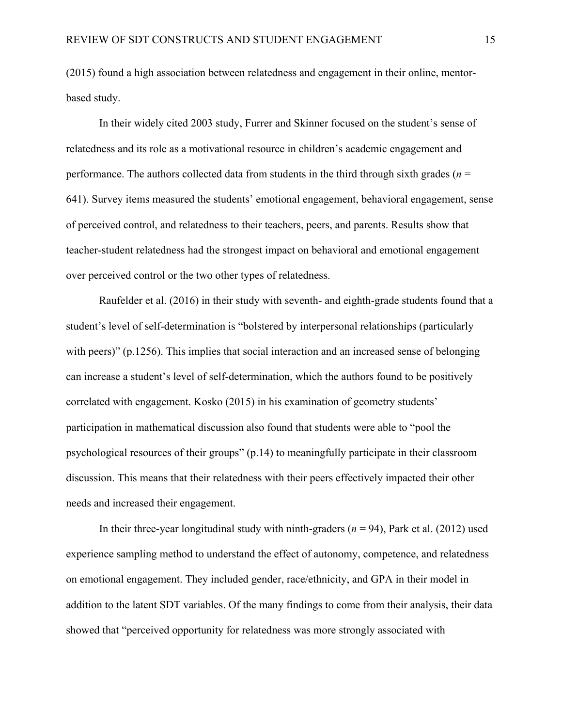(2015) found a high association between relatedness and engagement in their online, mentorbased study.

In their widely cited 2003 study, Furrer and Skinner focused on the student's sense of relatedness and its role as a motivational resource in children's academic engagement and performance. The authors collected data from students in the third through sixth grades (*n* = 641). Survey items measured the students' emotional engagement, behavioral engagement, sense of perceived control, and relatedness to their teachers, peers, and parents. Results show that teacher-student relatedness had the strongest impact on behavioral and emotional engagement over perceived control or the two other types of relatedness.

Raufelder et al. (2016) in their study with seventh- and eighth-grade students found that a student's level of self-determination is "bolstered by interpersonal relationships (particularly with peers)" (p.1256). This implies that social interaction and an increased sense of belonging can increase a student's level of self-determination, which the authors found to be positively correlated with engagement. Kosko (2015) in his examination of geometry students' participation in mathematical discussion also found that students were able to "pool the psychological resources of their groups" (p.14) to meaningfully participate in their classroom discussion. This means that their relatedness with their peers effectively impacted their other needs and increased their engagement.

In their three-year longitudinal study with ninth-graders  $(n = 94)$ , Park et al. (2012) used experience sampling method to understand the effect of autonomy, competence, and relatedness on emotional engagement. They included gender, race/ethnicity, and GPA in their model in addition to the latent SDT variables. Of the many findings to come from their analysis, their data showed that "perceived opportunity for relatedness was more strongly associated with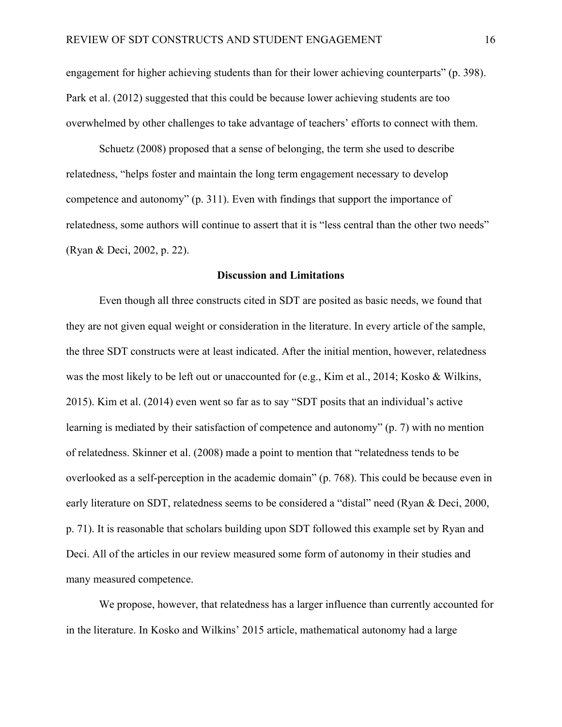engagement for higher achieving students than for their lower achieving counterparts" (p. 398). Park et al. (2012) suggested that this could be because lower achieving students are too overwhelmed by other challenges to take advantage of teachers' efforts to connect with them.

Schuetz (2008) proposed that a sense of belonging, the term she used to describe relatedness, "helps foster and maintain the long term engagement necessary to develop competence and autonomy" (p. 311). Even with findings that support the importance of relatedness, some authors will continue to assert that it is "less central than the other two needs" (Ryan & Deci, 2002, p. 22).

#### **Discussion and Limitations**

<span id="page-27-0"></span>Even though all three constructs cited in SDT are posited as basic needs, we found that they are not given equal weight or consideration in the literature. In every article of the sample, the three SDT constructs were at least indicated. After the initial mention, however, relatedness was the most likely to be left out or unaccounted for (e.g., Kim et al., 2014; Kosko & Wilkins, 2015). Kim et al. (2014) even went so far as to say "SDT posits that an individual's active learning is mediated by their satisfaction of competence and autonomy" (p. 7) with no mention of relatedness. Skinner et al. (2008) made a point to mention that "relatedness tends to be overlooked as a self-perception in the academic domain" (p. 768). This could be because even in early literature on SDT, relatedness seems to be considered a "distal" need (Ryan & Deci, 2000, p. 71). It is reasonable that scholars building upon SDT followed this example set by Ryan and Deci. All of the articles in our review measured some form of autonomy in their studies and many measured competence.

We propose, however, that relatedness has a larger influence than currently accounted for in the literature. In Kosko and Wilkins' 2015 article, mathematical autonomy had a large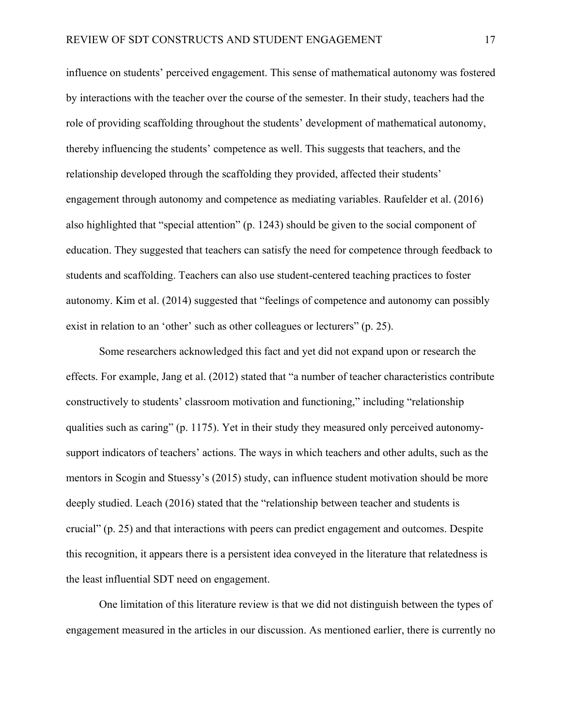influence on students' perceived engagement. This sense of mathematical autonomy was fostered by interactions with the teacher over the course of the semester. In their study, teachers had the role of providing scaffolding throughout the students' development of mathematical autonomy, thereby influencing the students' competence as well. This suggests that teachers, and the relationship developed through the scaffolding they provided, affected their students' engagement through autonomy and competence as mediating variables. Raufelder et al. (2016) also highlighted that "special attention" (p. 1243) should be given to the social component of education. They suggested that teachers can satisfy the need for competence through feedback to students and scaffolding. Teachers can also use student-centered teaching practices to foster autonomy. Kim et al. (2014) suggested that "feelings of competence and autonomy can possibly exist in relation to an 'other' such as other colleagues or lecturers" (p. 25).

Some researchers acknowledged this fact and yet did not expand upon or research the effects. For example, Jang et al. (2012) stated that "a number of teacher characteristics contribute constructively to students' classroom motivation and functioning," including "relationship qualities such as caring" (p. 1175). Yet in their study they measured only perceived autonomysupport indicators of teachers' actions. The ways in which teachers and other adults, such as the mentors in Scogin and Stuessy's (2015) study, can influence student motivation should be more deeply studied. Leach (2016) stated that the "relationship between teacher and students is crucial" (p. 25) and that interactions with peers can predict engagement and outcomes. Despite this recognition, it appears there is a persistent idea conveyed in the literature that relatedness is the least influential SDT need on engagement.

One limitation of this literature review is that we did not distinguish between the types of engagement measured in the articles in our discussion. As mentioned earlier, there is currently no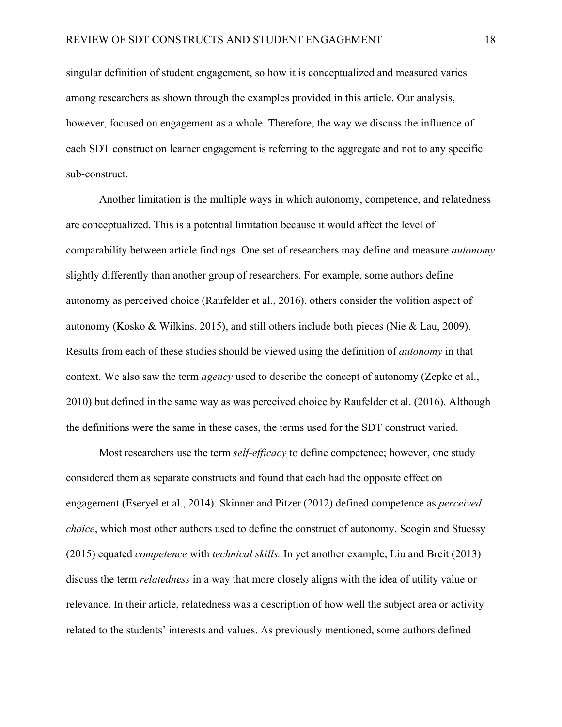singular definition of student engagement, so how it is conceptualized and measured varies among researchers as shown through the examples provided in this article. Our analysis, however, focused on engagement as a whole. Therefore, the way we discuss the influence of each SDT construct on learner engagement is referring to the aggregate and not to any specific sub-construct.

Another limitation is the multiple ways in which autonomy, competence, and relatedness are conceptualized. This is a potential limitation because it would affect the level of comparability between article findings. One set of researchers may define and measure *autonomy*  slightly differently than another group of researchers. For example, some authors define autonomy as perceived choice (Raufelder et al., 2016), others consider the volition aspect of autonomy (Kosko & Wilkins, 2015), and still others include both pieces (Nie & Lau, 2009). Results from each of these studies should be viewed using the definition of *autonomy* in that context. We also saw the term *agency* used to describe the concept of autonomy (Zepke et al., 2010) but defined in the same way as was perceived choice by Raufelder et al. (2016). Although the definitions were the same in these cases, the terms used for the SDT construct varied.

Most researchers use the term *self-efficacy* to define competence; however, one study considered them as separate constructs and found that each had the opposite effect on engagement (Eseryel et al., 2014). Skinner and Pitzer (2012) defined competence as *perceived choice*, which most other authors used to define the construct of autonomy. Scogin and Stuessy (2015) equated *competence* with *technical skills.* In yet another example, Liu and Breit (2013) discuss the term *relatedness* in a way that more closely aligns with the idea of utility value or relevance. In their article, relatedness was a description of how well the subject area or activity related to the students' interests and values. As previously mentioned, some authors defined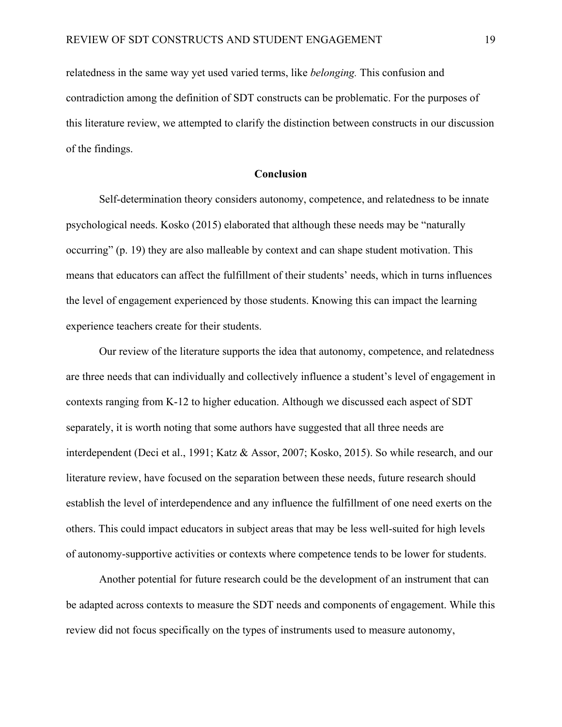relatedness in the same way yet used varied terms, like *belonging.* This confusion and contradiction among the definition of SDT constructs can be problematic. For the purposes of this literature review, we attempted to clarify the distinction between constructs in our discussion of the findings.

#### **Conclusion**

<span id="page-30-0"></span>Self-determination theory considers autonomy, competence, and relatedness to be innate psychological needs. Kosko (2015) elaborated that although these needs may be "naturally occurring" (p. 19) they are also malleable by context and can shape student motivation. This means that educators can affect the fulfillment of their students' needs, which in turns influences the level of engagement experienced by those students. Knowing this can impact the learning experience teachers create for their students.

Our review of the literature supports the idea that autonomy, competence, and relatedness are three needs that can individually and collectively influence a student's level of engagement in contexts ranging from K-12 to higher education. Although we discussed each aspect of SDT separately, it is worth noting that some authors have suggested that all three needs are interdependent (Deci et al., 1991; Katz & Assor, 2007; Kosko, 2015). So while research, and our literature review, have focused on the separation between these needs, future research should establish the level of interdependence and any influence the fulfillment of one need exerts on the others. This could impact educators in subject areas that may be less well-suited for high levels of autonomy-supportive activities or contexts where competence tends to be lower for students.

Another potential for future research could be the development of an instrument that can be adapted across contexts to measure the SDT needs and components of engagement. While this review did not focus specifically on the types of instruments used to measure autonomy,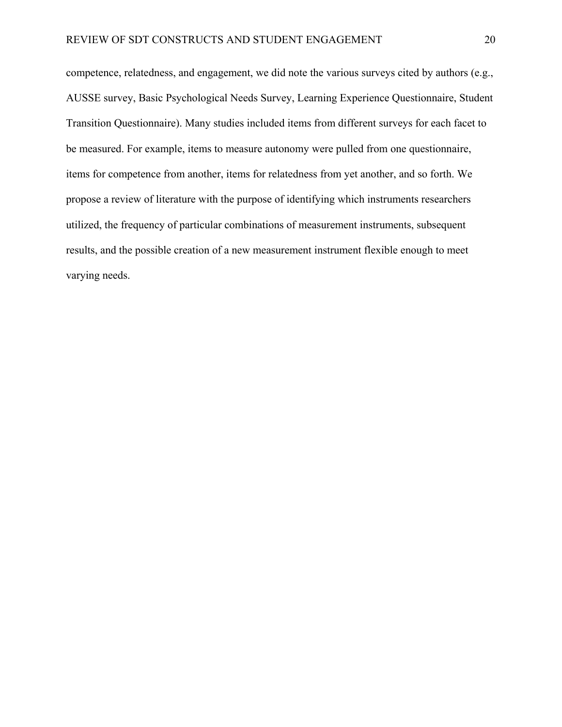competence, relatedness, and engagement, we did note the various surveys cited by authors (e.g., AUSSE survey, Basic Psychological Needs Survey, Learning Experience Questionnaire, Student Transition Questionnaire). Many studies included items from different surveys for each facet to be measured. For example, items to measure autonomy were pulled from one questionnaire, items for competence from another, items for relatedness from yet another, and so forth. We propose a review of literature with the purpose of identifying which instruments researchers utilized, the frequency of particular combinations of measurement instruments, subsequent results, and the possible creation of a new measurement instrument flexible enough to meet varying needs.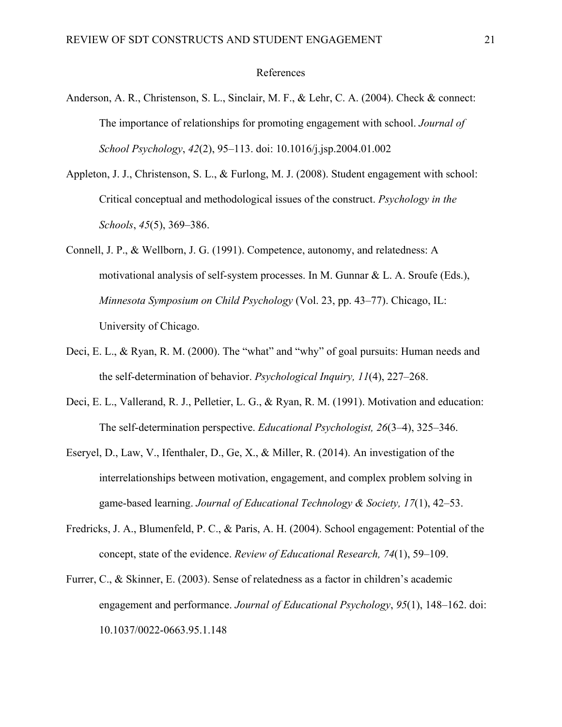#### References

- <span id="page-32-0"></span>Anderson, A. R., Christenson, S. L., Sinclair, M. F., & Lehr, C. A. (2004). Check & connect: The importance of relationships for promoting engagement with school. *Journal of School Psychology*, *42*(2), 95–113. [doi: 10.1016/j.jsp.2004.01.002](http://doi.org/10.1016/j.jsp.2004.01.002)
- Appleton, J. J., Christenson, S. L., & Furlong, M. J. (2008). Student engagement with school: Critical conceptual and methodological issues of the construct. *Psychology in the Schools*, *45*(5), 369–386.
- Connell, J. P., & Wellborn, J. G. (1991). Competence, autonomy, and relatedness: A motivational analysis of self-system processes. In M. Gunnar & L. A. Sroufe (Eds.), *Minnesota Symposium on Child Psychology* (Vol. 23, pp. 43–77). Chicago, IL: University of Chicago.
- Deci, E. L., & Ryan, R. M. (2000). The "what" and "why" of goal pursuits: Human needs and the self-determination of behavior. *Psychological Inquiry, 11*(4), 227–268.
- Deci, E. L., Vallerand, R. J., Pelletier, L. G., & Ryan, R. M. (1991). Motivation and education: The self-determination perspective. *Educational Psychologist, 26*(3–4), 325–346.
- Eseryel, D., Law, V., Ifenthaler, D., Ge, X., & Miller, R. (2014). An investigation of the interrelationships between motivation, engagement, and complex problem solving in game-based learning. *Journal of Educational Technology & Society, 17*(1), 42–53.
- Fredricks, J. A., Blumenfeld, P. C., & Paris, A. H. (2004). School engagement: Potential of the concept, state of the evidence. *Review of Educational Research, 74*(1), 59–109.
- Furrer, C., & Skinner, E. (2003). Sense of relatedness as a factor in children's academic engagement and performance. *Journal of Educational Psychology*, *95*(1), 148–162. [doi:](http://doi.org/10.1037/0022-0663.95.1.148)  [10.1037/0022-0663.95.1.148](http://doi.org/10.1037/0022-0663.95.1.148)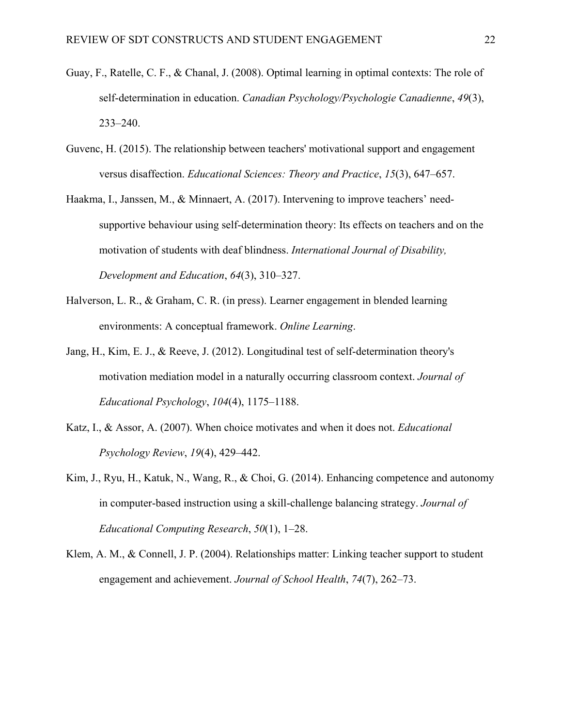- Guay, F., Ratelle, C. F., & Chanal, J. (2008). Optimal learning in optimal contexts: The role of self-determination in education. *Canadian Psychology/Psychologie Canadienne*, *49*(3), 233–240.
- Guvenc, H. (2015). The relationship between teachers' motivational support and engagement versus disaffection. *Educational Sciences: Theory and Practice*, *15*(3), 647–657.
- Haakma, I., Janssen, M., & Minnaert, A. (2017). Intervening to improve teachers' needsupportive behaviour using self-determination theory: Its effects on teachers and on the motivation of students with deaf blindness. *International Journal of Disability, Development and Education*, *64*(3), 310–327.
- Halverson, L. R., & Graham, C. R. (in press). Learner engagement in blended learning environments: A conceptual framework. *Online Learning*.
- Jang, H., Kim, E. J., & Reeve, J. (2012). Longitudinal test of self-determination theory's motivation mediation model in a naturally occurring classroom context. *Journal of Educational Psychology*, *104*(4), 1175–1188.
- Katz, I., & Assor, A. (2007). When choice motivates and when it does not. *Educational Psychology Review*, *19*(4), 429–442.
- Kim, J., Ryu, H., Katuk, N., Wang, R., & Choi, G. (2014). Enhancing competence and autonomy in computer-based instruction using a skill-challenge balancing strategy. *Journal of Educational Computing Research*, *50*(1), 1–28.
- Klem, A. M., & Connell, J. P. (2004). Relationships matter: Linking teacher support to student engagement and achievement. *Journal of School Health*, *74*(7), 262–73.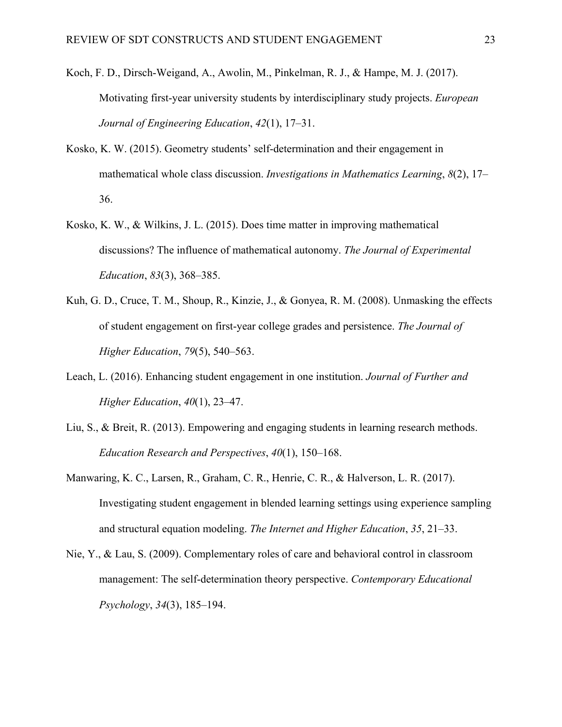- Koch, F. D., Dirsch-Weigand, A., Awolin, M., Pinkelman, R. J., & Hampe, M. J. (2017). Motivating first-year university students by interdisciplinary study projects. *European Journal of Engineering Education*, *42*(1), 17–31.
- Kosko, K. W. (2015). Geometry students' self-determination and their engagement in mathematical whole class discussion. *Investigations in Mathematics Learning*, *8*(2), 17– 36.
- Kosko, K. W., & Wilkins, J. L. (2015). Does time matter in improving mathematical discussions? The influence of mathematical autonomy. *The Journal of Experimental Education*, *83*(3), 368–385.
- Kuh, G. D., Cruce, T. M., Shoup, R., Kinzie, J., & Gonyea, R. M. (2008). Unmasking the effects of student engagement on first-year college grades and persistence. *The Journal of Higher Education*, *79*(5), 540–563.
- Leach, L. (2016). Enhancing student engagement in one institution. *Journal of Further and Higher Education*, *40*(1), 23–47.
- Liu, S., & Breit, R. (2013). Empowering and engaging students in learning research methods. *Education Research and Perspectives*, *40*(1), 150–168.
- Manwaring, K. C., Larsen, R., Graham, C. R., Henrie, C. R., & Halverson, L. R. (2017). Investigating student engagement in blended learning settings using experience sampling and structural equation modeling. *The Internet and Higher Education*, *35*, 21–33.
- Nie, Y., & Lau, S. (2009). Complementary roles of care and behavioral control in classroom management: The self-determination theory perspective. *Contemporary Educational Psychology*, *34*(3), 185–194.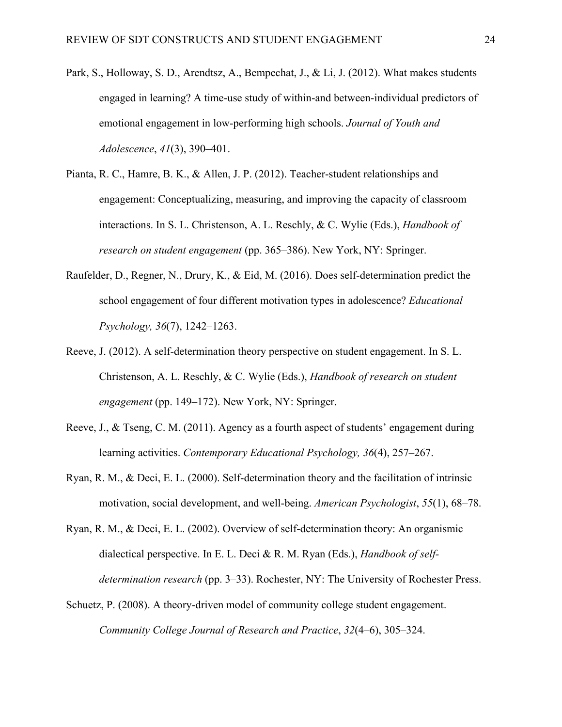- Park, S., Holloway, S. D., Arendtsz, A., Bempechat, J., & Li, J. (2012). What makes students engaged in learning? A time-use study of within-and between-individual predictors of emotional engagement in low-performing high schools. *Journal of Youth and Adolescence*, *41*(3), 390–401.
- Pianta, R. C., Hamre, B. K., & Allen, J. P. (2012). Teacher-student relationships and engagement: Conceptualizing, measuring, and improving the capacity of classroom interactions. In S. L. Christenson, A. L. Reschly, & C. Wylie (Eds.), *Handbook of research on student engagement* (pp. 365–386). New York, NY: Springer.
- Raufelder, D., Regner, N., Drury, K., & Eid, M. (2016). Does self-determination predict the school engagement of four different motivation types in adolescence? *Educational Psychology, 36*(7), 1242–1263.
- Reeve, J. (2012). A self-determination theory perspective on student engagement. In S. L. Christenson, A. L. Reschly, & C. Wylie (Eds.), *Handbook of research on student engagement* (pp. 149–172). New York, NY: Springer.
- Reeve, J., & Tseng, C. M. (2011). Agency as a fourth aspect of students' engagement during learning activities. *Contemporary Educational Psychology, 36*(4), 257–267.
- Ryan, R. M., & Deci, E. L. (2000). Self-determination theory and the facilitation of intrinsic motivation, social development, and well-being. *American Psychologist*, *55*(1), 68–78.
- Ryan, R. M., & Deci, E. L. (2002). Overview of self-determination theory: An organismic dialectical perspective. In E. L. Deci & R. M. Ryan (Eds.), *Handbook of selfdetermination research* (pp. 3–33). Rochester, NY: The University of Rochester Press.
- Schuetz, P. (2008). A theory-driven model of community college student engagement. *Community College Journal of Research and Practice*, *32*(4–6), 305–324.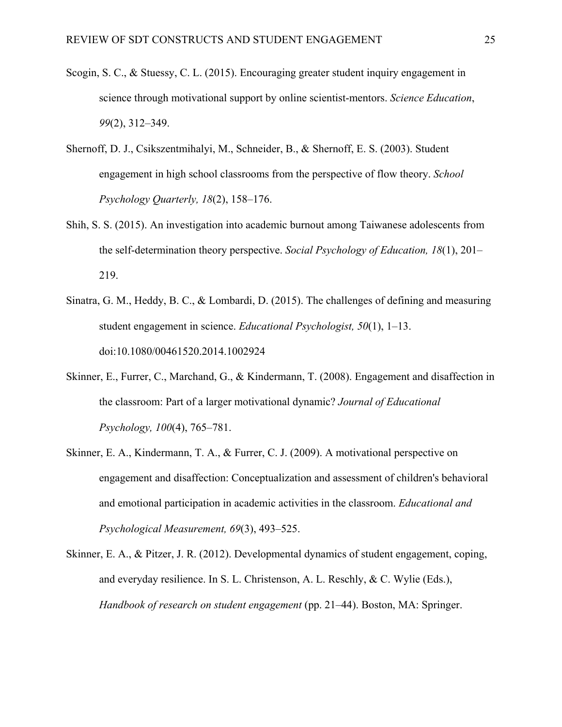- Scogin, S. C., & Stuessy, C. L. (2015). Encouraging greater student inquiry engagement in science through motivational support by online scientist-mentors. *Science Education*, *99*(2), 312–349.
- Shernoff, D. J., Csikszentmihalyi, M., Schneider, B., & Shernoff, E. S. (2003). Student engagement in high school classrooms from the perspective of flow theory. *School Psychology Quarterly, 18*(2), 158–176.
- Shih, S. S. (2015). An investigation into academic burnout among Taiwanese adolescents from the self-determination theory perspective. *Social Psychology of Education, 18*(1), 201– 219.
- Sinatra, G. M., Heddy, B. C., & Lombardi, D. (2015). The challenges of defining and measuring student engagement in science. *Educational Psychologist, 50*(1), 1–13. doi:10.1080/00461520.2014.1002924
- Skinner, E., Furrer, C., Marchand, G., & Kindermann, T. (2008). Engagement and disaffection in the classroom: Part of a larger motivational dynamic? *Journal of Educational Psychology, 100*(4), 765–781.
- Skinner, E. A., Kindermann, T. A., & Furrer, C. J. (2009). A motivational perspective on engagement and disaffection: Conceptualization and assessment of children's behavioral and emotional participation in academic activities in the classroom. *Educational and Psychological Measurement, 69*(3), 493–525.
- Skinner, E. A., & Pitzer, J. R. (2012). Developmental dynamics of student engagement, coping, and everyday resilience. In S. L. Christenson, A. L. Reschly, & C. Wylie (Eds.), *Handbook of research on student engagement* (pp. 21–44). Boston, MA: Springer.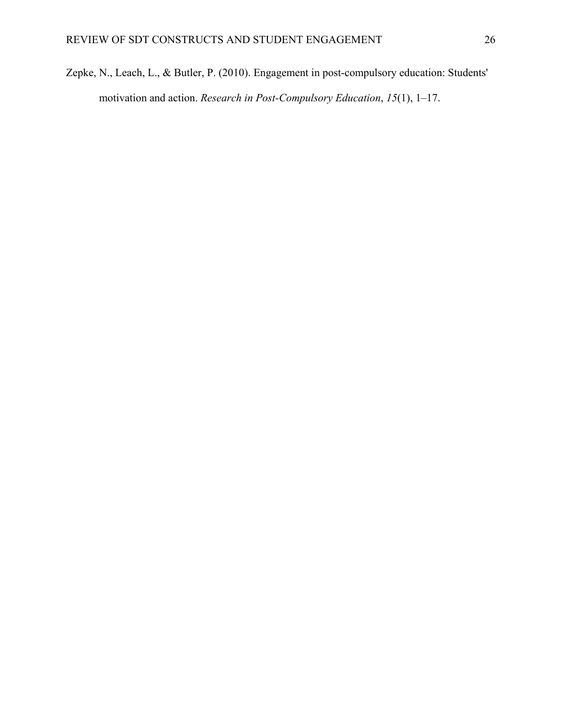Zepke, N., Leach, L., & Butler, P. (2010). Engagement in post-compulsory education: Students' motivation and action. *Research in Post‐Compulsory Education*, *15*(1), 1–17.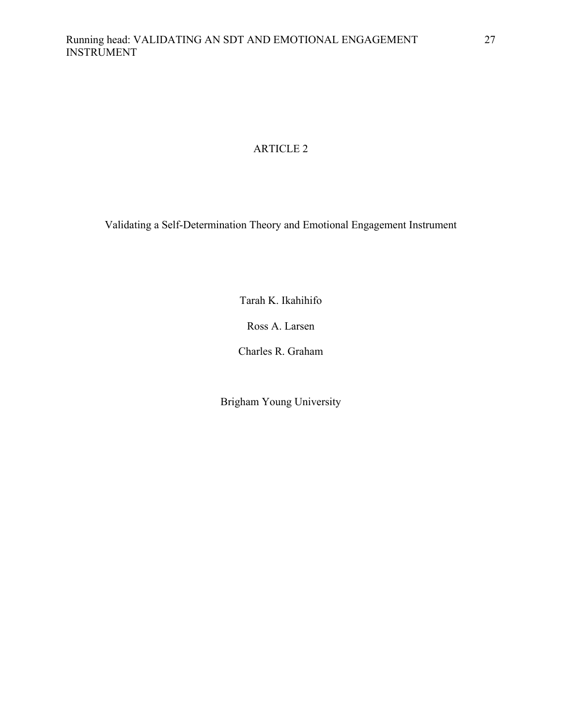# ARTICLE 2

Validating a Self-Determination Theory and Emotional Engagement Instrument

Tarah K. Ikahihifo

Ross A. Larsen

Charles R. Graham

Brigham Young University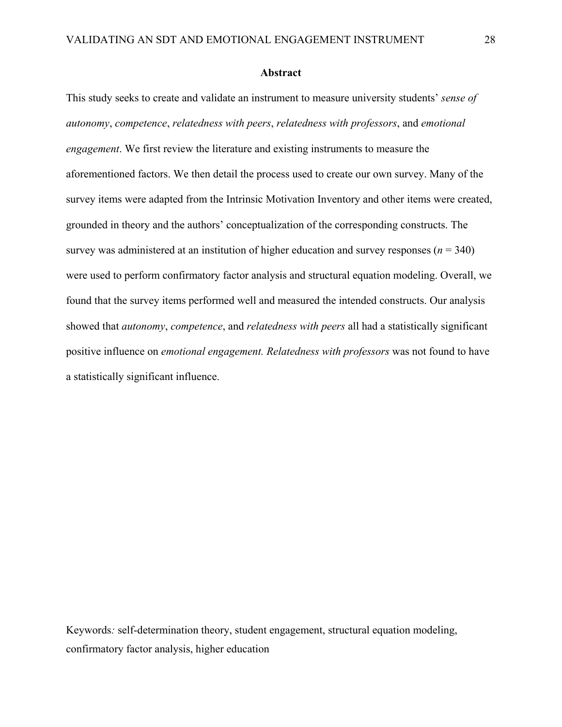### **Abstract**

This study seeks to create and validate an instrument to measure university students' *sense of autonomy*, *competence*, *relatedness with peers*, *relatedness with professors*, and *emotional engagement*. We first review the literature and existing instruments to measure the aforementioned factors. We then detail the process used to create our own survey. Many of the survey items were adapted from the Intrinsic Motivation Inventory and other items were created, grounded in theory and the authors' conceptualization of the corresponding constructs. The survey was administered at an institution of higher education and survey responses  $(n = 340)$ were used to perform confirmatory factor analysis and structural equation modeling. Overall, we found that the survey items performed well and measured the intended constructs. Our analysis showed that *autonomy*, *competence*, and *relatedness with peers* all had a statistically significant positive influence on *emotional engagement. Relatedness with professors* was not found to have a statistically significant influence.

Keywords*:* self-determination theory, student engagement, structural equation modeling, confirmatory factor analysis, higher education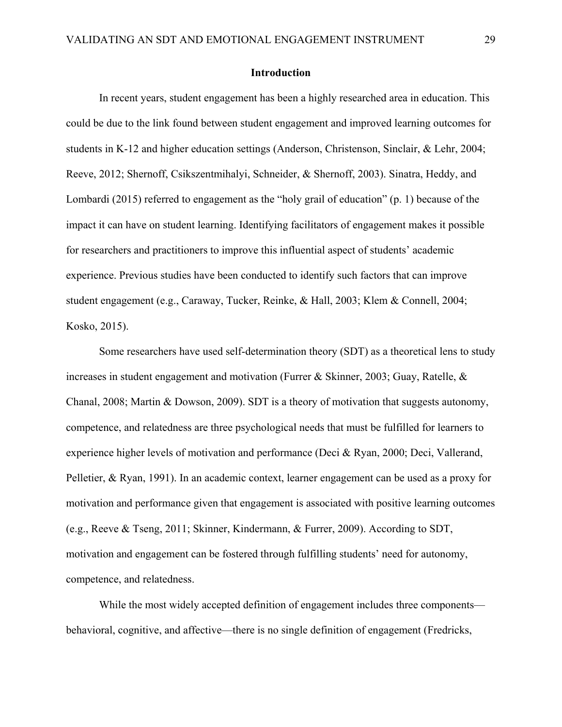#### **Introduction**

In recent years, student engagement has been a highly researched area in education. This could be due to the link found between student engagement and improved learning outcomes for students in K-12 and higher education settings (Anderson, Christenson, Sinclair, & Lehr, 2004; Reeve, 2012; Shernoff, Csikszentmihalyi, Schneider, & Shernoff, 2003). Sinatra, Heddy, and Lombardi (2015) referred to engagement as the "holy grail of education" (p. 1) because of the impact it can have on student learning. Identifying facilitators of engagement makes it possible for researchers and practitioners to improve this influential aspect of students' academic experience. Previous studies have been conducted to identify such factors that can improve student engagement (e.g., Caraway, Tucker, Reinke, & Hall, 2003; Klem & Connell, 2004; Kosko, 2015).

Some researchers have used self-determination theory (SDT) as a theoretical lens to study increases in student engagement and motivation (Furrer & Skinner, 2003; Guay, Ratelle, & Chanal, 2008; Martin & Dowson, 2009). SDT is a theory of motivation that suggests autonomy, competence, and relatedness are three psychological needs that must be fulfilled for learners to experience higher levels of motivation and performance (Deci & Ryan, 2000; Deci, Vallerand, Pelletier, & Ryan, 1991). In an academic context, learner engagement can be used as a proxy for motivation and performance given that engagement is associated with positive learning outcomes (e.g., Reeve & Tseng, 2011; Skinner, Kindermann, & Furrer, 2009). According to SDT, motivation and engagement can be fostered through fulfilling students' need for autonomy, competence, and relatedness.

While the most widely accepted definition of engagement includes three components behavioral, cognitive, and affective—there is no single definition of engagement (Fredricks,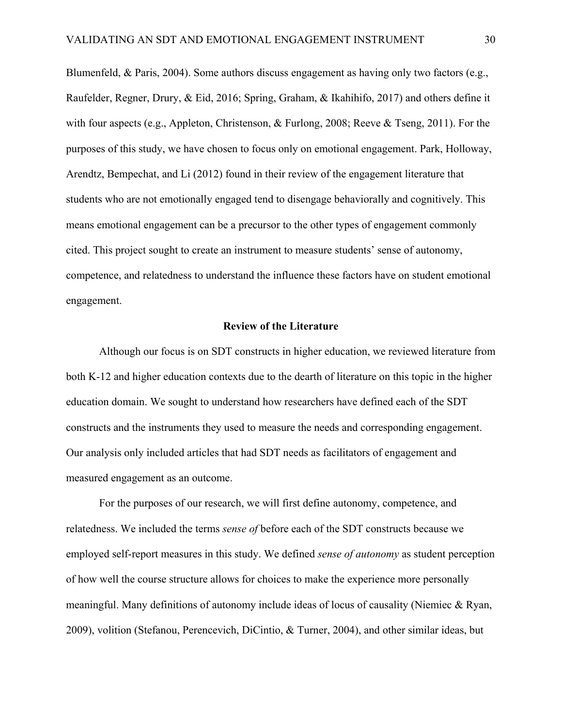Blumenfeld, & Paris, 2004). Some authors discuss engagement as having only two factors (e.g., Raufelder, Regner, Drury, & Eid, 2016; Spring, Graham, & Ikahihifo, 2017) and others define it with four aspects (e.g., Appleton, Christenson, & Furlong, 2008; Reeve & Tseng, 2011). For the purposes of this study, we have chosen to focus only on emotional engagement. Park, Holloway, Arendtz, Bempechat, and Li (2012) found in their review of the engagement literature that students who are not emotionally engaged tend to disengage behaviorally and cognitively. This means emotional engagement can be a precursor to the other types of engagement commonly cited. This project sought to create an instrument to measure students' sense of autonomy, competence, and relatedness to understand the influence these factors have on student emotional engagement.

### **Review of the Literature**

Although our focus is on SDT constructs in higher education, we reviewed literature from both K-12 and higher education contexts due to the dearth of literature on this topic in the higher education domain. We sought to understand how researchers have defined each of the SDT constructs and the instruments they used to measure the needs and corresponding engagement. Our analysis only included articles that had SDT needs as facilitators of engagement and measured engagement as an outcome.

For the purposes of our research, we will first define autonomy, competence, and relatedness. We included the terms *sense of* before each of the SDT constructs because we employed self-report measures in this study. We defined *sense of autonomy* as student perception of how well the course structure allows for choices to make the experience more personally meaningful. Many definitions of autonomy include ideas of locus of causality (Niemiec & Ryan, 2009), volition (Stefanou, Perencevich, DiCintio, & Turner, 2004), and other similar ideas, but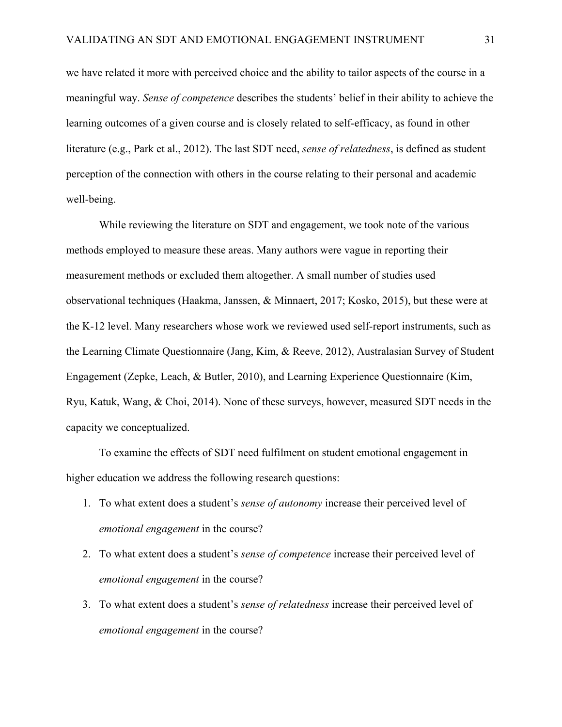we have related it more with perceived choice and the ability to tailor aspects of the course in a meaningful way. *Sense of competence* describes the students' belief in their ability to achieve the learning outcomes of a given course and is closely related to self-efficacy, as found in other literature (e.g., Park et al., 2012). The last SDT need, *sense of relatedness*, is defined as student perception of the connection with others in the course relating to their personal and academic well-being.

While reviewing the literature on SDT and engagement, we took note of the various methods employed to measure these areas. Many authors were vague in reporting their measurement methods or excluded them altogether. A small number of studies used observational techniques (Haakma, Janssen, & Minnaert, 2017; Kosko, 2015), but these were at the K-12 level. Many researchers whose work we reviewed used self-report instruments, such as the Learning Climate Questionnaire (Jang, Kim, & Reeve, 2012), Australasian Survey of Student Engagement (Zepke, Leach, & Butler, 2010), and Learning Experience Questionnaire (Kim, Ryu, Katuk, Wang, & Choi, 2014). None of these surveys, however, measured SDT needs in the capacity we conceptualized.

To examine the effects of SDT need fulfilment on student emotional engagement in higher education we address the following research questions:

- 1. To what extent does a student's *sense of autonomy* increase their perceived level of *emotional engagement* in the course?
- 2. To what extent does a student's *sense of competence* increase their perceived level of *emotional engagement* in the course?
- 3. To what extent does a student's *sense of relatedness* increase their perceived level of *emotional engagement* in the course?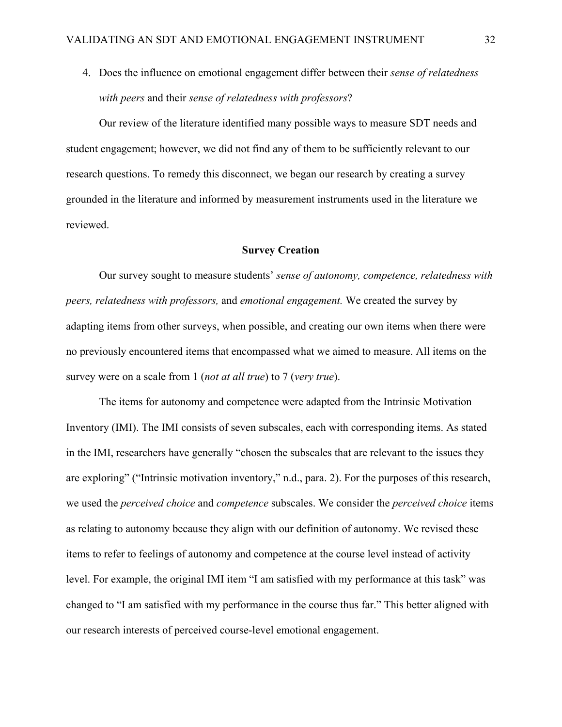4. Does the influence on emotional engagement differ between their *sense of relatedness with peers* and their *sense of relatedness with professors*?

Our review of the literature identified many possible ways to measure SDT needs and student engagement; however, we did not find any of them to be sufficiently relevant to our research questions. To remedy this disconnect, we began our research by creating a survey grounded in the literature and informed by measurement instruments used in the literature we reviewed.

### **Survey Creation**

Our survey sought to measure students' *sense of autonomy, competence, relatedness with peers, relatedness with professors,* and *emotional engagement.* We created the survey by adapting items from other surveys, when possible, and creating our own items when there were no previously encountered items that encompassed what we aimed to measure. All items on the survey were on a scale from 1 (*not at all true*) to 7 (*very true*).

The items for autonomy and competence were adapted from the Intrinsic Motivation Inventory (IMI). The IMI consists of seven subscales, each with corresponding items. As stated in the IMI, researchers have generally "chosen the subscales that are relevant to the issues they are exploring" ("Intrinsic motivation inventory," n.d., para. 2). For the purposes of this research, we used the *perceived choice* and *competence* subscales. We consider the *perceived choice* items as relating to autonomy because they align with our definition of autonomy. We revised these items to refer to feelings of autonomy and competence at the course level instead of activity level. For example, the original IMI item "I am satisfied with my performance at this task" was changed to "I am satisfied with my performance in the course thus far." This better aligned with our research interests of perceived course-level emotional engagement.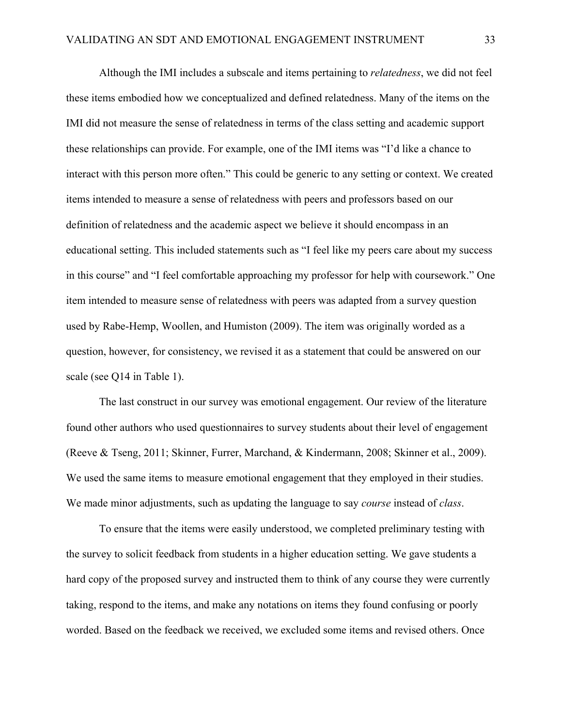Although the IMI includes a subscale and items pertaining to *relatedness*, we did not feel these items embodied how we conceptualized and defined relatedness. Many of the items on the IMI did not measure the sense of relatedness in terms of the class setting and academic support these relationships can provide. For example, one of the IMI items was "I'd like a chance to interact with this person more often." This could be generic to any setting or context. We created items intended to measure a sense of relatedness with peers and professors based on our definition of relatedness and the academic aspect we believe it should encompass in an educational setting. This included statements such as "I feel like my peers care about my success in this course" and "I feel comfortable approaching my professor for help with coursework." One item intended to measure sense of relatedness with peers was adapted from a survey question used by Rabe-Hemp, Woollen, and Humiston (2009). The item was originally worded as a question, however, for consistency, we revised it as a statement that could be answered on our scale (see Q14 in Table 1).

The last construct in our survey was emotional engagement. Our review of the literature found other authors who used questionnaires to survey students about their level of engagement (Reeve & Tseng, 2011; Skinner, Furrer, Marchand, & Kindermann, 2008; Skinner et al., 2009). We used the same items to measure emotional engagement that they employed in their studies. We made minor adjustments, such as updating the language to say *course* instead of *class*.

To ensure that the items were easily understood, we completed preliminary testing with the survey to solicit feedback from students in a higher education setting. We gave students a hard copy of the proposed survey and instructed them to think of any course they were currently taking, respond to the items, and make any notations on items they found confusing or poorly worded. Based on the feedback we received, we excluded some items and revised others. Once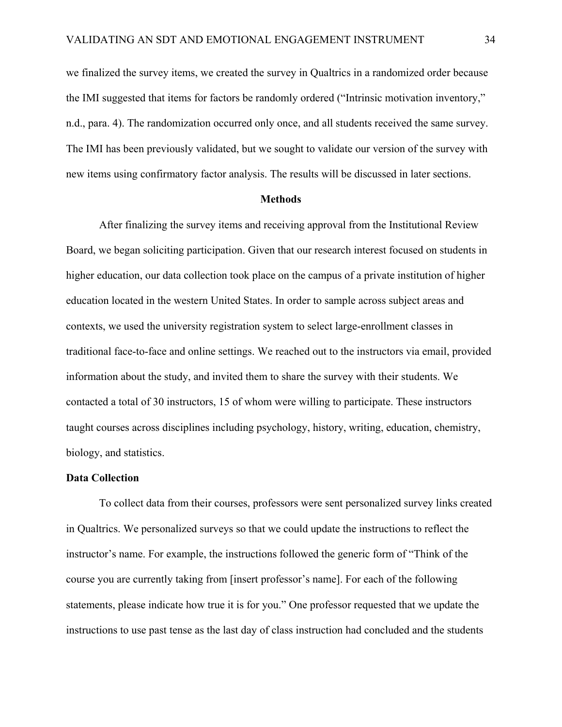we finalized the survey items, we created the survey in Qualtrics in a randomized order because the IMI suggested that items for factors be randomly ordered ("Intrinsic motivation inventory," n.d., para. 4). The randomization occurred only once, and all students received the same survey. The IMI has been previously validated, but we sought to validate our version of the survey with new items using confirmatory factor analysis. The results will be discussed in later sections.

#### **Methods**

After finalizing the survey items and receiving approval from the Institutional Review Board, we began soliciting participation. Given that our research interest focused on students in higher education, our data collection took place on the campus of a private institution of higher education located in the western United States. In order to sample across subject areas and contexts, we used the university registration system to select large-enrollment classes in traditional face-to-face and online settings. We reached out to the instructors via email, provided information about the study, and invited them to share the survey with their students. We contacted a total of 30 instructors, 15 of whom were willing to participate. These instructors taught courses across disciplines including psychology, history, writing, education, chemistry, biology, and statistics.

### **Data Collection**

To collect data from their courses, professors were sent personalized survey links created in Qualtrics. We personalized surveys so that we could update the instructions to reflect the instructor's name. For example, the instructions followed the generic form of "Think of the course you are currently taking from [insert professor's name]. For each of the following statements, please indicate how true it is for you." One professor requested that we update the instructions to use past tense as the last day of class instruction had concluded and the students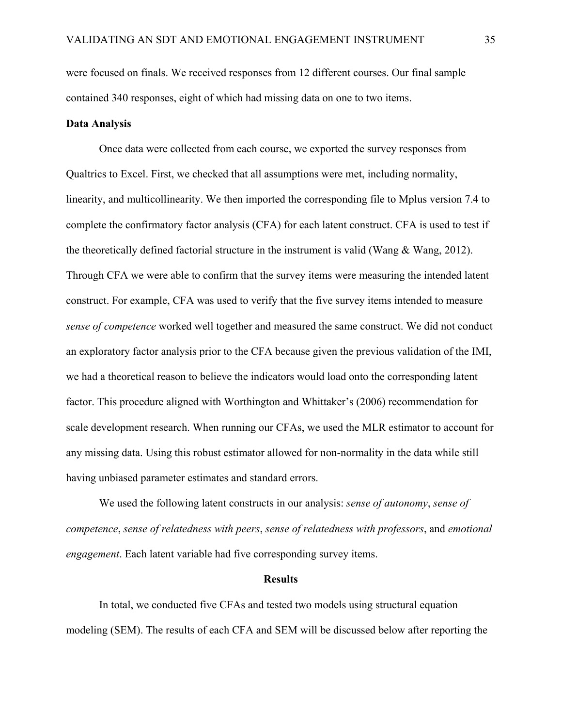were focused on finals. We received responses from 12 different courses. Our final sample contained 340 responses, eight of which had missing data on one to two items.

## **Data Analysis**

Once data were collected from each course, we exported the survey responses from Qualtrics to Excel. First, we checked that all assumptions were met, including normality, linearity, and multicollinearity. We then imported the corresponding file to Mplus version 7.4 to complete the confirmatory factor analysis (CFA) for each latent construct. CFA is used to test if the theoretically defined factorial structure in the instrument is valid (Wang & Wang, 2012). Through CFA we were able to confirm that the survey items were measuring the intended latent construct. For example, CFA was used to verify that the five survey items intended to measure *sense of competence* worked well together and measured the same construct. We did not conduct an exploratory factor analysis prior to the CFA because given the previous validation of the IMI, we had a theoretical reason to believe the indicators would load onto the corresponding latent factor. This procedure aligned with Worthington and Whittaker's (2006) recommendation for scale development research. When running our CFAs, we used the MLR estimator to account for any missing data. Using this robust estimator allowed for non-normality in the data while still having unbiased parameter estimates and standard errors.

We used the following latent constructs in our analysis: *sense of autonomy*, *sense of competence*, *sense of relatedness with peers*, *sense of relatedness with professors*, and *emotional engagement*. Each latent variable had five corresponding survey items.

### **Results**

In total, we conducted five CFAs and tested two models using structural equation modeling (SEM). The results of each CFA and SEM will be discussed below after reporting the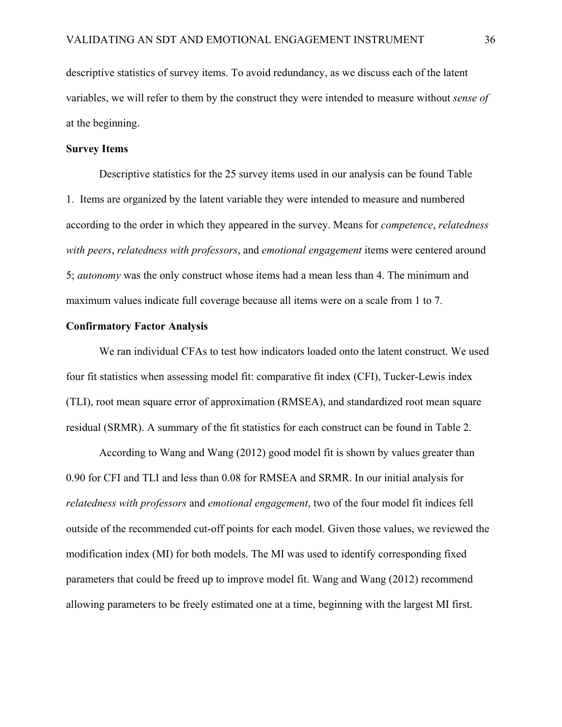descriptive statistics of survey items. To avoid redundancy, as we discuss each of the latent variables, we will refer to them by the construct they were intended to measure without *sense of*  at the beginning.

## **Survey Items**

Descriptive statistics for the 25 survey items used in our analysis can be found Table 1. Items are organized by the latent variable they were intended to measure and numbered according to the order in which they appeared in the survey. Means for *competence*, *relatedness with peers*, *relatedness with professors*, and *emotional engagement* items were centered around 5; *autonomy* was the only construct whose items had a mean less than 4. The minimum and maximum values indicate full coverage because all items were on a scale from 1 to 7.

### **Confirmatory Factor Analysis**

We ran individual CFAs to test how indicators loaded onto the latent construct. We used four fit statistics when assessing model fit: comparative fit index (CFI), Tucker-Lewis index (TLI), root mean square error of approximation (RMSEA), and standardized root mean square residual (SRMR). A summary of the fit statistics for each construct can be found in Table 2.

According to Wang and Wang (2012) good model fit is shown by values greater than 0.90 for CFI and TLI and less than 0.08 for RMSEA and SRMR. In our initial analysis for *relatedness with professors* and *emotional engagement*, two of the four model fit indices fell outside of the recommended cut-off points for each model. Given those values, we reviewed the modification index (MI) for both models. The MI was used to identify corresponding fixed parameters that could be freed up to improve model fit. Wang and Wang (2012) recommend allowing parameters to be freely estimated one at a time, beginning with the largest MI first.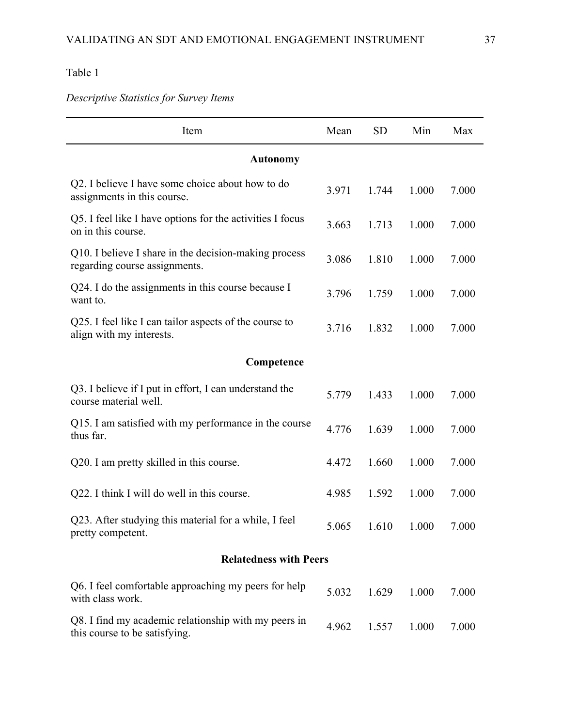*Descriptive Statistics for Survey Items* 

| Item                                                                                   | Mean  | <b>SD</b> | Min   | Max   |  |  |  |  |  |
|----------------------------------------------------------------------------------------|-------|-----------|-------|-------|--|--|--|--|--|
| <b>Autonomy</b>                                                                        |       |           |       |       |  |  |  |  |  |
| Q2. I believe I have some choice about how to do<br>assignments in this course.        | 3.971 | 1.744     | 1.000 | 7.000 |  |  |  |  |  |
| Q5. I feel like I have options for the activities I focus<br>on in this course.        | 3.663 | 1.713     | 1.000 | 7.000 |  |  |  |  |  |
| Q10. I believe I share in the decision-making process<br>regarding course assignments. | 3.086 | 1.810     | 1.000 | 7.000 |  |  |  |  |  |
| Q24. I do the assignments in this course because I<br>want to.                         | 3.796 | 1.759     | 1.000 | 7.000 |  |  |  |  |  |
| Q25. I feel like I can tailor aspects of the course to<br>align with my interests.     | 3.716 | 1.832     | 1.000 | 7.000 |  |  |  |  |  |
| Competence                                                                             |       |           |       |       |  |  |  |  |  |
| Q3. I believe if I put in effort, I can understand the<br>course material well.        | 5.779 | 1.433     | 1.000 | 7.000 |  |  |  |  |  |
| Q15. I am satisfied with my performance in the course<br>thus far.                     | 4.776 | 1.639     | 1.000 | 7.000 |  |  |  |  |  |
| Q20. I am pretty skilled in this course.                                               | 4.472 | 1.660     | 1.000 | 7.000 |  |  |  |  |  |
| Q22. I think I will do well in this course.                                            | 4.985 | 1.592     | 1.000 | 7.000 |  |  |  |  |  |
| Q23. After studying this material for a while, I feel<br>pretty competent.             | 5.065 | 1.610     | 1.000 | 7.000 |  |  |  |  |  |
| <b>Relatedness with Peers</b>                                                          |       |           |       |       |  |  |  |  |  |
| Q6. I feel comfortable approaching my peers for help<br>with class work.               | 5.032 | 1.629     | 1.000 | 7.000 |  |  |  |  |  |
| Q8. I find my academic relationship with my peers in<br>this course to be satisfying.  | 4.962 | 1.557     | 1.000 | 7.000 |  |  |  |  |  |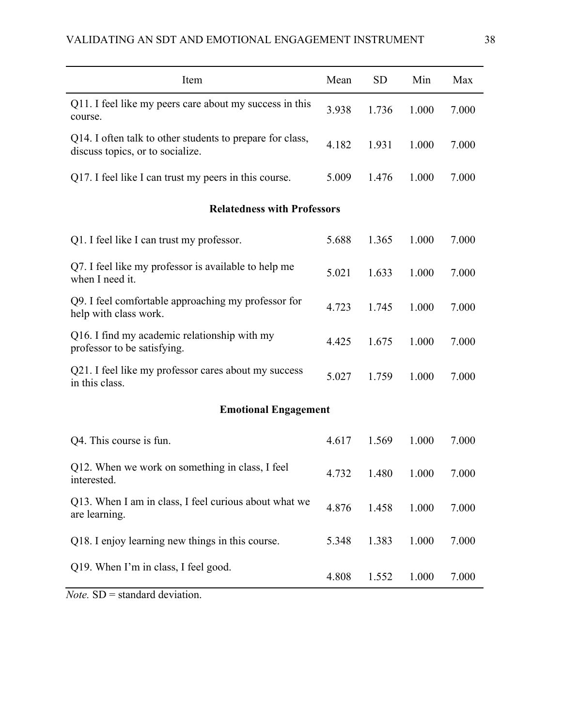| Item                                                                                          | Mean  | <b>SD</b> | Min   | Max   |  |  |
|-----------------------------------------------------------------------------------------------|-------|-----------|-------|-------|--|--|
| Q11. I feel like my peers care about my success in this<br>course.                            | 3.938 | 1.736     | 1.000 | 7.000 |  |  |
| Q14. I often talk to other students to prepare for class,<br>discuss topics, or to socialize. | 4.182 | 1.931     | 1.000 | 7.000 |  |  |
| Q17. I feel like I can trust my peers in this course.                                         | 5.009 | 1.476     | 1.000 | 7.000 |  |  |
| <b>Relatedness with Professors</b>                                                            |       |           |       |       |  |  |
| Q1. I feel like I can trust my professor.                                                     | 5.688 | 1.365     | 1.000 | 7.000 |  |  |
| Q7. I feel like my professor is available to help me<br>when I need it.                       | 5.021 | 1.633     | 1.000 | 7.000 |  |  |
| Q9. I feel comfortable approaching my professor for<br>help with class work.                  | 4.723 | 1.745     | 1.000 | 7.000 |  |  |
| Q16. I find my academic relationship with my<br>professor to be satisfying.                   | 4.425 | 1.675     | 1.000 | 7.000 |  |  |
| Q21. I feel like my professor cares about my success<br>in this class.                        | 5.027 | 1.759     | 1.000 | 7.000 |  |  |
| <b>Emotional Engagement</b>                                                                   |       |           |       |       |  |  |
| Q4. This course is fun.                                                                       | 4.617 | 1.569     | 1.000 | 7.000 |  |  |
| Q12. When we work on something in class, I feel<br>interested.                                | 4.732 | 1.480     | 1.000 | 7.000 |  |  |
| Q13. When I am in class, I feel curious about what we<br>are learning.                        | 4.876 | 1.458     | 1.000 | 7.000 |  |  |
| Q18. I enjoy learning new things in this course.                                              | 5.348 | 1.383     | 1.000 | 7.000 |  |  |
| Q19. When I'm in class, I feel good.                                                          | 4.808 | 1.552     | 1.000 | 7.000 |  |  |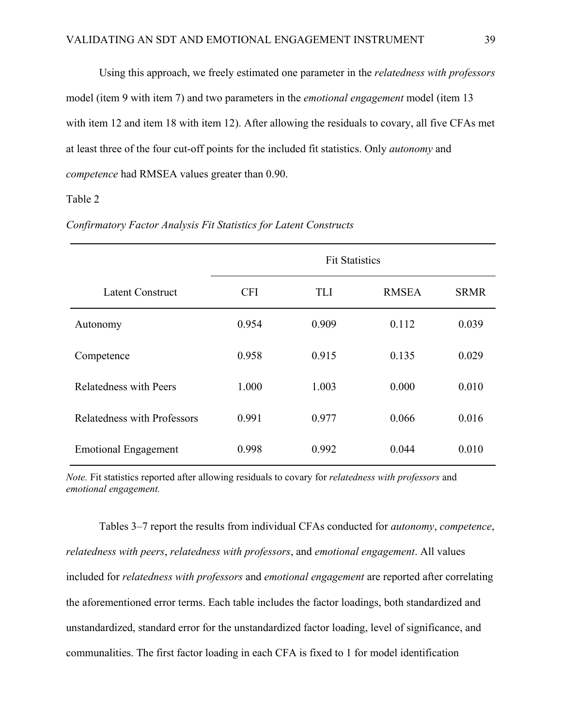Using this approach, we freely estimated one parameter in the *relatedness with professors* model (item 9 with item 7) and two parameters in the *emotional engagement* model (item 13 with item 12 and item 18 with item 12). After allowing the residuals to covary, all five CFAs met at least three of the four cut-off points for the included fit statistics. Only *autonomy* and *competence* had RMSEA values greater than 0.90.

## Table 2

|                                    | <b>Fit Statistics</b> |            |              |             |  |  |  |  |
|------------------------------------|-----------------------|------------|--------------|-------------|--|--|--|--|
| <b>Latent Construct</b>            | <b>CFI</b>            | <b>TLI</b> | <b>RMSEA</b> | <b>SRMR</b> |  |  |  |  |
| Autonomy                           | 0.954                 | 0.909      | 0.112        | 0.039       |  |  |  |  |
| Competence                         | 0.958                 | 0.915      | 0.135        | 0.029       |  |  |  |  |
| <b>Relatedness with Peers</b>      | 1.000                 | 1.003      | 0.000        | 0.010       |  |  |  |  |
| <b>Relatedness with Professors</b> | 0.991                 | 0.977      | 0.066        | 0.016       |  |  |  |  |
| <b>Emotional Engagement</b>        | 0.998                 | 0.992      | 0.044        | 0.010       |  |  |  |  |

*Confirmatory Factor Analysis Fit Statistics for Latent Constructs*

*Note.* Fit statistics reported after allowing residuals to covary for *relatedness with professors* and *emotional engagement.*

Tables 3–7 report the results from individual CFAs conducted for *autonomy*, *competence*, *relatedness with peers*, *relatedness with professors*, and *emotional engagement*. All values included for *relatedness with professors* and *emotional engagement* are reported after correlating the aforementioned error terms. Each table includes the factor loadings, both standardized and unstandardized, standard error for the unstandardized factor loading, level of significance, and communalities. The first factor loading in each CFA is fixed to 1 for model identification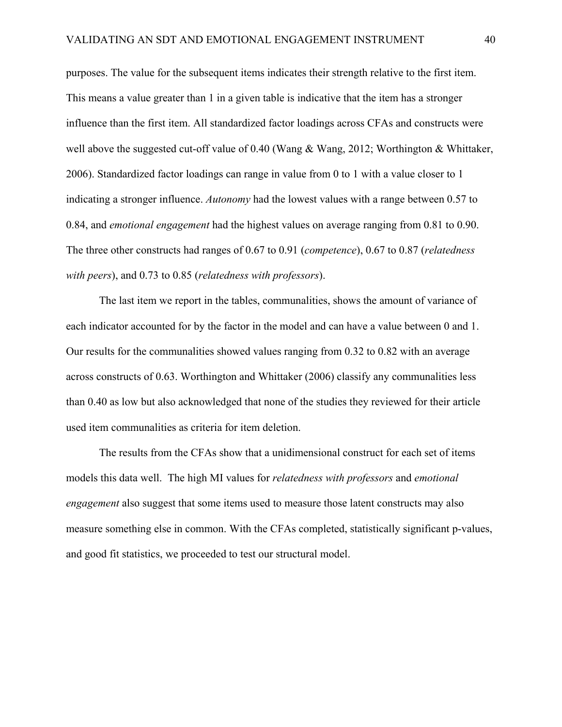purposes. The value for the subsequent items indicates their strength relative to the first item. This means a value greater than 1 in a given table is indicative that the item has a stronger influence than the first item. All standardized factor loadings across CFAs and constructs were well above the suggested cut-off value of 0.40 (Wang & Wang, 2012; Worthington & Whittaker, 2006). Standardized factor loadings can range in value from 0 to 1 with a value closer to 1 indicating a stronger influence. *Autonomy* had the lowest values with a range between 0.57 to 0.84, and *emotional engagement* had the highest values on average ranging from 0.81 to 0.90. The three other constructs had ranges of 0.67 to 0.91 (*competence*), 0.67 to 0.87 (*relatedness with peers*), and 0.73 to 0.85 (*relatedness with professors*).

The last item we report in the tables, communalities, shows the amount of variance of each indicator accounted for by the factor in the model and can have a value between 0 and 1. Our results for the communalities showed values ranging from 0.32 to 0.82 with an average across constructs of 0.63. Worthington and Whittaker (2006) classify any communalities less than 0.40 as low but also acknowledged that none of the studies they reviewed for their article used item communalities as criteria for item deletion.

The results from the CFAs show that a unidimensional construct for each set of items models this data well. The high MI values for *relatedness with professors* and *emotional engagement* also suggest that some items used to measure those latent constructs may also measure something else in common. With the CFAs completed, statistically significant p-values, and good fit statistics, we proceeded to test our structural model.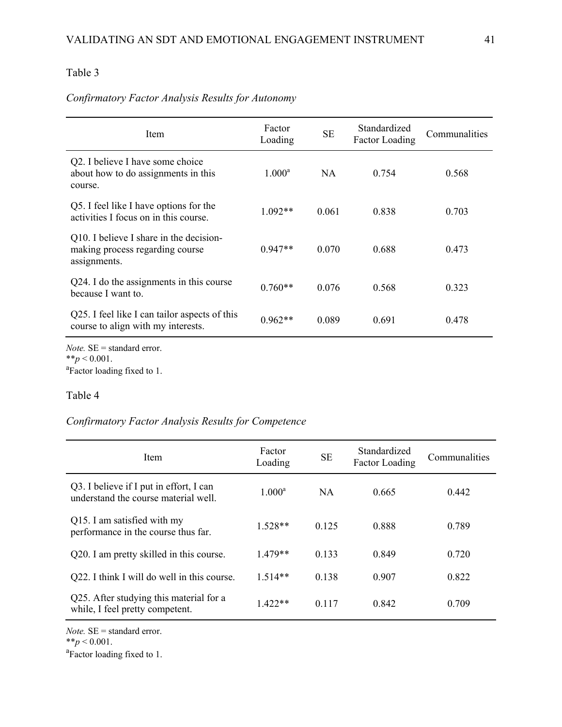# *Confirmatory Factor Analysis Results for Autonomy*

| Item                                                                                                | Factor<br>Loading | <b>SE</b> | Standardized<br><b>Factor Loading</b> | Communalities |
|-----------------------------------------------------------------------------------------------------|-------------------|-----------|---------------------------------------|---------------|
| Q2. I believe I have some choice<br>about how to do assignments in this<br>course.                  | $1.000^{\rm a}$   | <b>NA</b> | 0.754                                 | 0.568         |
| Q5. I feel like I have options for the<br>activities I focus on in this course.                     | $1.092**$         | 0.061     | 0.838                                 | 0.703         |
| Q10. I believe I share in the decision-<br>making process regarding course<br>assignments.          | $0.947**$         | 0.070     | 0.688                                 | 0.473         |
| Q24. I do the assignments in this course<br>because I want to.                                      | $0.760**$         | 0.076     | 0.568                                 | 0.323         |
| Q25. I feel like I can tailor aspects of this<br>course to align with my interests.                 | $0.962**$         | 0.089     | 0.691                                 | 0.478         |
| <i>Note</i> . $SE =$ standard error.<br>** $p < 0.001$ .<br><sup>a</sup> Factor loading fixed to 1. |                   |           |                                       |               |

# Table 4

# *Confirmatory Factor Analysis Results for Competence*

| Item                                                                            | Factor<br>Loading | <b>SE</b> | Standardized<br><b>Factor Loading</b> | Communalities |
|---------------------------------------------------------------------------------|-------------------|-----------|---------------------------------------|---------------|
| Q3. I believe if I put in effort, I can<br>understand the course material well. | $1.000^{\rm a}$   | <b>NA</b> | 0.665                                 | 0.442         |
| Q15. I am satisfied with my<br>performance in the course thus far.              | $1.528**$         | 0.125     | 0.888                                 | 0.789         |
| Q20. I am pretty skilled in this course.                                        | $1.479**$         | 0.133     | 0.849                                 | 0.720         |
| Q22. I think I will do well in this course.                                     | $1.514**$         | 0.138     | 0.907                                 | 0.822         |
| Q25. After studying this material for a<br>while, I feel pretty competent.      | $1.422**$         | 0.117     | 0.842                                 | 0.709         |

*Note.* SE = standard error.

 $*$ *\*p* < 0.001.

Factor loading fixed to 1.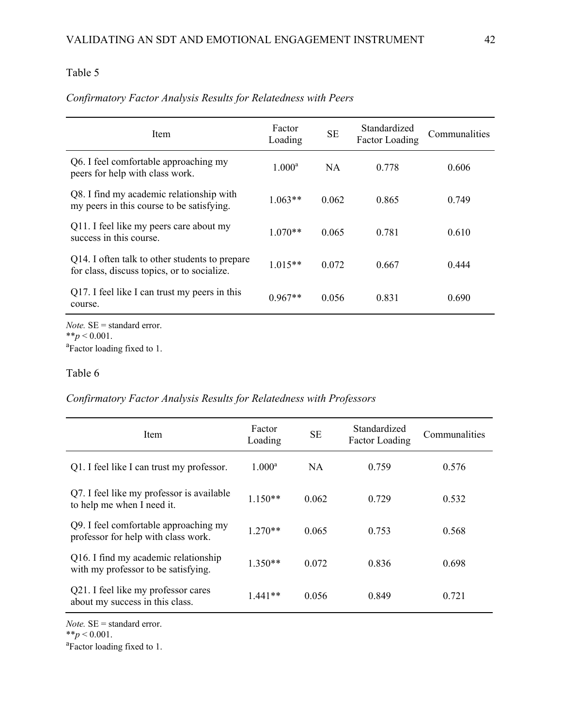| Item                                                                                          | Factor<br>Loading | <b>SE</b> | Standardized<br><b>Factor Loading</b> | Communalities |
|-----------------------------------------------------------------------------------------------|-------------------|-----------|---------------------------------------|---------------|
| Q6. I feel comfortable approaching my<br>peers for help with class work.                      | $1.000^{\rm a}$   | <b>NA</b> | 0.778                                 | 0.606         |
| Q8. I find my academic relationship with<br>my peers in this course to be satisfying.         | $1.063**$         | 0.062     | 0.865                                 | 0.749         |
| Q11. I feel like my peers care about my<br>success in this course.                            | $1.070**$         | 0.065     | 0.781                                 | 0.610         |
| Q14. I often talk to other students to prepare<br>for class, discuss topics, or to socialize. | $1.015**$         | 0.072     | 0.667                                 | 0.444         |
| Q17. I feel like I can trust my peers in this<br>course.                                      | $0.967**$         | 0.056     | 0.831                                 | 0.690         |
| <i>Note</i> . $SE =$ standard error.<br>** $p < 0.001$ .                                      |                   |           |                                       |               |

# *Confirmatory Factor Analysis Results for Relatedness with Peers*

 $*^*p < 0.001$ .<br><sup>a</sup>Factor loading fixed to 1.

## Table 6

*Confirmatory Factor Analysis Results for Relatedness with Professors*

| Item                                                                         | Factor<br>Loading | <b>SE</b> | Standardized<br><b>Factor Loading</b> | Communalities |
|------------------------------------------------------------------------------|-------------------|-----------|---------------------------------------|---------------|
| Q1. I feel like I can trust my professor.                                    | $1.000^{\rm a}$   | NA.       | 0.759                                 | 0.576         |
| Q7. I feel like my professor is available<br>to help me when I need it.      | $1.150**$         | 0.062     | 0.729                                 | 0.532         |
| Q9. I feel comfortable approaching my<br>professor for help with class work. | $1.270**$         | 0.065     | 0.753                                 | 0.568         |
| Q16. I find my academic relationship<br>with my professor to be satisfying.  | $1.350**$         | 0.072     | 0.836                                 | 0.698         |
| Q21. I feel like my professor cares<br>about my success in this class.       | $1.441**$         | 0.056     | 0.849                                 | 0.721         |

*Note.* SE = standard error.

 $*$ *\*p* < 0.001.

Factor loading fixed to 1.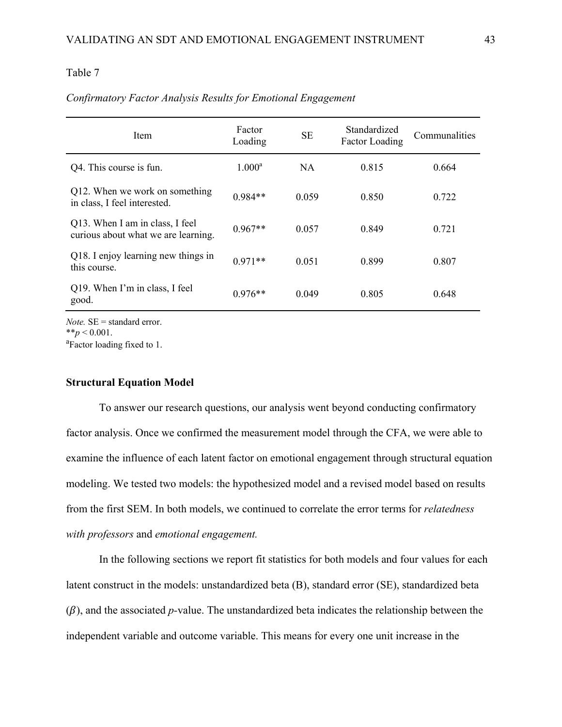| Item                                                                   | Factor<br>Loading | <b>SE</b> | Standardized<br><b>Factor Loading</b> | Communalities |
|------------------------------------------------------------------------|-------------------|-----------|---------------------------------------|---------------|
| Q4. This course is fun.                                                | $1.000^{\rm a}$   | <b>NA</b> | 0.815                                 | 0.664         |
| Q12. When we work on something<br>in class, I feel interested.         | $0.984**$         | 0.059     | 0.850                                 | 0.722         |
| Q13. When I am in class, I feel<br>curious about what we are learning. | $0.967**$         | 0.057     | 0.849                                 | 0.721         |
| Q18. I enjoy learning new things in<br>this course.                    | $0.971**$         | 0.051     | 0.899                                 | 0.807         |
| Q19. When I'm in class, I feel<br>good.                                | $0.976**$         | 0.049     | 0.805                                 | 0.648         |

### *Confirmatory Factor Analysis Results for Emotional Engagement*

*Note.* SE = standard error.  $**_p < 0.001$ .

Factor loading fixed to 1.

### **Structural Equation Model**

To answer our research questions, our analysis went beyond conducting confirmatory factor analysis. Once we confirmed the measurement model through the CFA, we were able to examine the influence of each latent factor on emotional engagement through structural equation modeling. We tested two models: the hypothesized model and a revised model based on results from the first SEM. In both models, we continued to correlate the error terms for *relatedness with professors* and *emotional engagement.*

In the following sections we report fit statistics for both models and four values for each latent construct in the models: unstandardized beta (B), standard error (SE), standardized beta  $(\beta)$ , and the associated *p*-value. The unstandardized beta indicates the relationship between the independent variable and outcome variable. This means for every one unit increase in the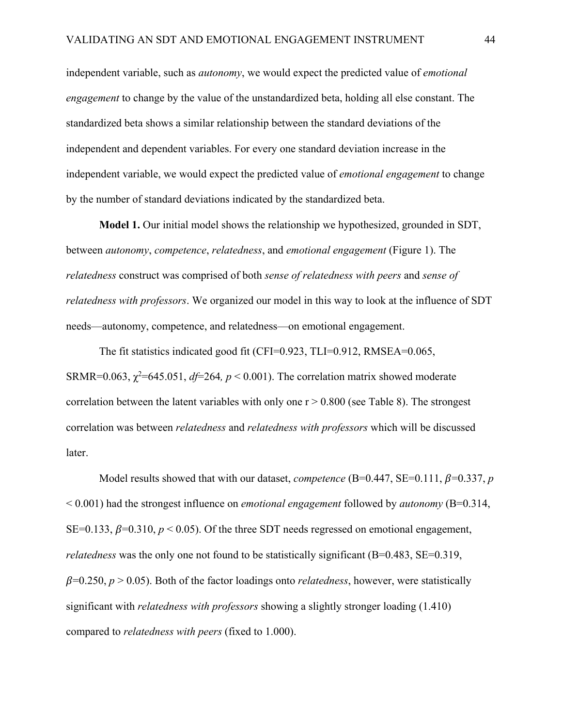independent variable, such as *autonomy*, we would expect the predicted value of *emotional engagement* to change by the value of the unstandardized beta, holding all else constant. The standardized beta shows a similar relationship between the standard deviations of the independent and dependent variables. For every one standard deviation increase in the independent variable, we would expect the predicted value of *emotional engagement* to change by the number of standard deviations indicated by the standardized beta.

**Model 1.** Our initial model shows the relationship we hypothesized, grounded in SDT, between *autonomy*, *competence*, *relatedness*, and *emotional engagement* (Figure 1). The *relatedness* construct was comprised of both *sense of relatedness with peers* and *sense of relatedness with professors*. We organized our model in this way to look at the influence of SDT needs—autonomy, competence, and relatedness—on emotional engagement.

The fit statistics indicated good fit (CFI=0.923, TLI=0.912, RMSEA=0.065, SRMR=0.063,  $\chi^2$ =645.051, *df*=264, *p* < 0.001). The correlation matrix showed moderate correlation between the latent variables with only one  $r > 0.800$  (see Table 8). The strongest correlation was between *relatedness* and *relatedness with professors* which will be discussed later.

Model results showed that with our dataset, *competence* (B=0.447, SE=0.111,  $\beta$ =0.337, *p* < 0.001) had the strongest influence on *emotional engagement* followed by *autonomy* (B=0.314, SE=0.133,  $\beta$ =0.310,  $p$  < 0.05). Of the three SDT needs regressed on emotional engagement, *relatedness* was the only one not found to be statistically significant (B=0.483, SE=0.319,  $\beta$ =0.250,  $p > 0.05$ ). Both of the factor loadings onto *relatedness*, however, were statistically significant with *relatedness with professors* showing a slightly stronger loading (1.410) compared to *relatedness with peers* (fixed to 1.000).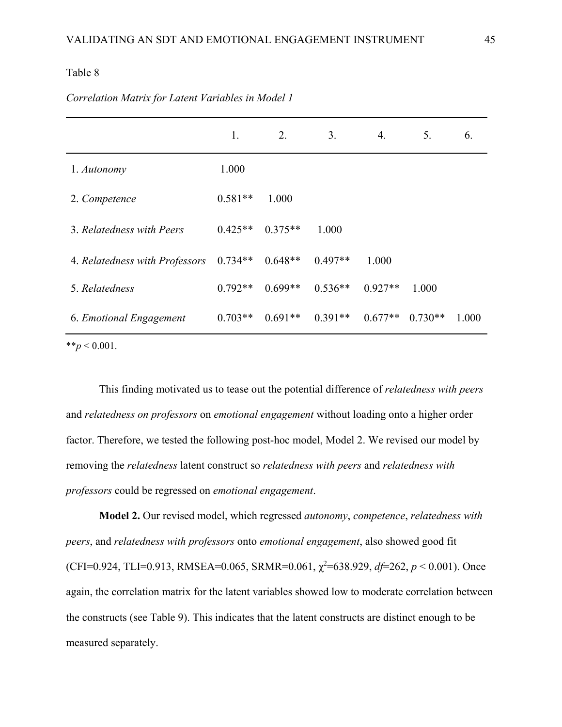|                                | 1.        | 2.        | 3.        | 4.        | 5.        | 6.    |
|--------------------------------|-----------|-----------|-----------|-----------|-----------|-------|
| 1. Autonomy                    | 1.000     |           |           |           |           |       |
| 2. Competence                  | $0.581**$ | 1.000     |           |           |           |       |
| 3. Relatedness with Peers      | $0.425**$ | $0.375**$ | 1.000     |           |           |       |
| 4. Relatedness with Professors | $0.734**$ | $0.648**$ | $0.497**$ | 1.000     |           |       |
| 5. Relatedness                 | $0.792**$ | $0.699**$ | $0.536**$ | $0.927**$ | 1.000     |       |
| 6. Emotional Engagement        | $0.703**$ | $0.691**$ | $0.391**$ | $0.677**$ | $0.730**$ | 1.000 |
| ** $p < 0.001$ .               |           |           |           |           |           |       |

# *Correlation Matrix for Latent Variables in Model 1*

This finding motivated us to tease out the potential difference of *relatedness with peers*  and *relatedness on professors* on *emotional engagement* without loading onto a higher order factor. Therefore, we tested the following post-hoc model, Model 2. We revised our model by removing the *relatedness* latent construct so *relatedness with peers* and *relatedness with professors* could be regressed on *emotional engagement*.

**Model 2.** Our revised model, which regressed *autonomy*, *competence*, *relatedness with peers*, and *relatedness with professors* onto *emotional engagement*, also showed good fit (CFI=0.924, TLI=0.913, RMSEA=0.065, SRMR=0.061,  $\chi^2$ =638.929, *df*=262, *p* < 0.001). Once again, the correlation matrix for the latent variables showed low to moderate correlation between the constructs (see Table 9). This indicates that the latent constructs are distinct enough to be measured separately.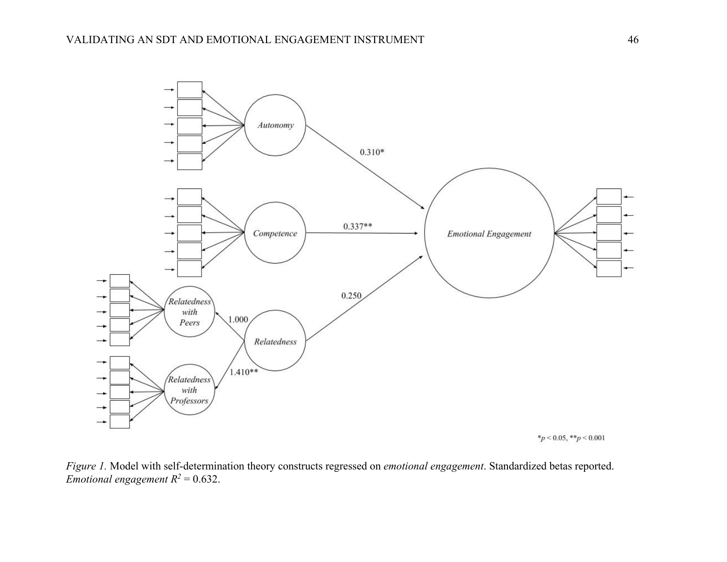

*Figure 1.* Model with self-determination theory constructs regressed on *emotional engagement*. Standardized betas reported. *Emotional engagement*  $R^2 = 0.632$ *.*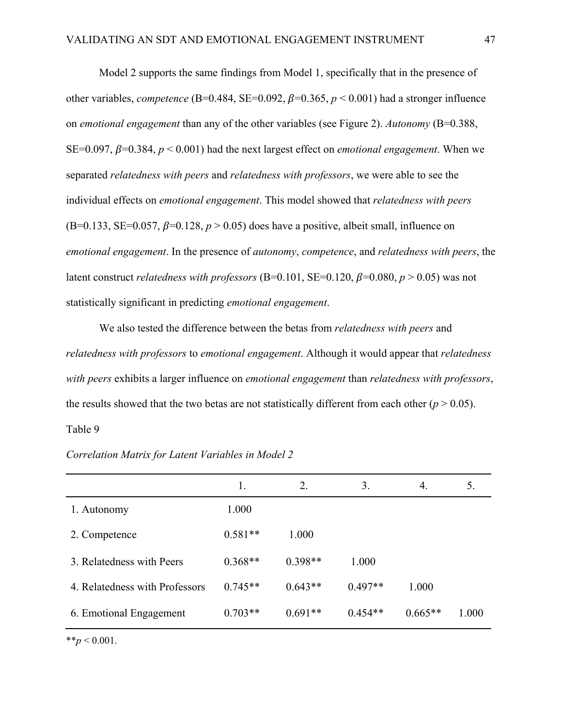Model 2 supports the same findings from Model 1, specifically that in the presence of other variables, *competence* (B=0.484, SE=0.092,  $\beta$ =0.365,  $p < 0.001$ ) had a stronger influence on *emotional engagement* than any of the other variables (see Figure 2). *Autonomy* (B=0.388, SE=0.097,  $\beta$ =0.384,  $p < 0.001$ ) had the next largest effect on *emotional engagement*. When we separated *relatedness with peers* and *relatedness with professors*, we were able to see the individual effects on *emotional engagement*. This model showed that *relatedness with peers*  (B=0.133, SE=0.057,  $\beta$ =0.128,  $p > 0.05$ ) does have a positive, albeit small, influence on *emotional engagement*. In the presence of *autonomy*, *competence*, and *relatedness with peers*, the latent construct *relatedness with professors* (B=0.101, SE=0.120,  $\beta$ =0.080,  $p > 0.05$ ) was not statistically significant in predicting *emotional engagement*.

We also tested the difference between the betas from *relatedness with peers* and *relatedness with professors* to *emotional engagement*. Although it would appear that *relatedness with peers* exhibits a larger influence on *emotional engagement* than *relatedness with professors*, the results showed that the two betas are not statistically different from each other  $(p > 0.05)$ . Table 9

|                                | 1.        | 2.        | 3.        | 4.        | 5.    |
|--------------------------------|-----------|-----------|-----------|-----------|-------|
| 1. Autonomy                    | 1.000     |           |           |           |       |
| 2. Competence                  | $0.581**$ | 1.000     |           |           |       |
| 3. Relatedness with Peers      | $0.368**$ | $0.398**$ | 1.000     |           |       |
| 4. Relatedness with Professors | $0.745**$ | $0.643**$ | $0.497**$ | 1.000     |       |
| 6. Emotional Engagement        | $0.703**$ | $0.691**$ | $0.454**$ | $0.665**$ | 1.000 |

 $**p < 0.001$ .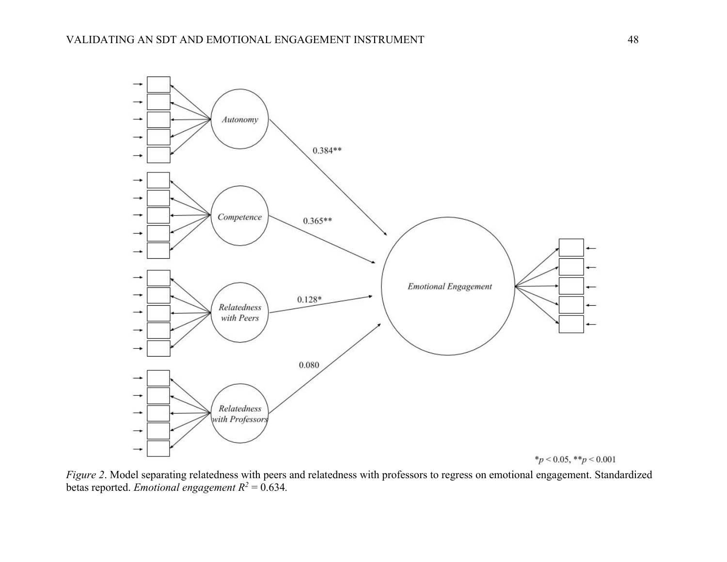

*Figure 2*. Model separating relatedness with peers and relatedness with professors to regress on emotional engagement. Standardized betas reported. *Emotional engagement*  $R^2 = 0.634$ .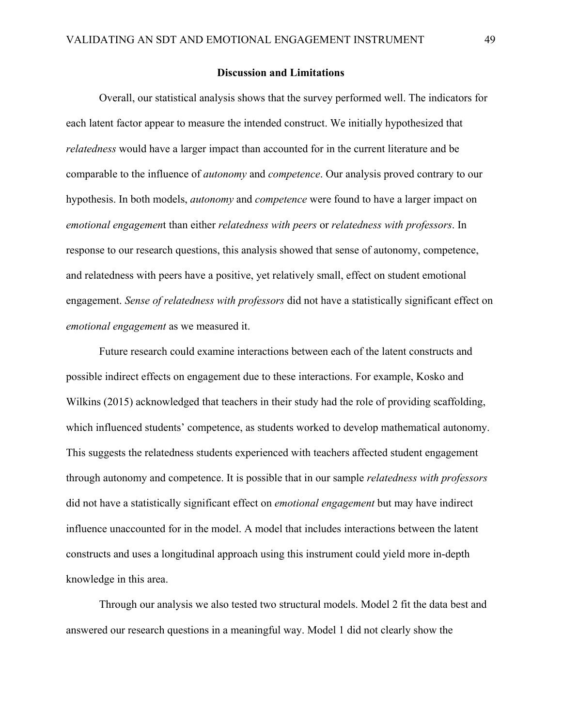### **Discussion and Limitations**

Overall, our statistical analysis shows that the survey performed well. The indicators for each latent factor appear to measure the intended construct. We initially hypothesized that *relatedness* would have a larger impact than accounted for in the current literature and be comparable to the influence of *autonomy* and *competence*. Our analysis proved contrary to our hypothesis. In both models, *autonomy* and *competence* were found to have a larger impact on *emotional engagemen*t than either *relatedness with peers* or *relatedness with professors*. In response to our research questions, this analysis showed that sense of autonomy, competence, and relatedness with peers have a positive, yet relatively small, effect on student emotional engagement. *Sense of relatedness with professors* did not have a statistically significant effect on *emotional engagement* as we measured it.

Future research could examine interactions between each of the latent constructs and possible indirect effects on engagement due to these interactions. For example, Kosko and Wilkins (2015) acknowledged that teachers in their study had the role of providing scaffolding, which influenced students' competence, as students worked to develop mathematical autonomy. This suggests the relatedness students experienced with teachers affected student engagement through autonomy and competence. It is possible that in our sample *relatedness with professors* did not have a statistically significant effect on *emotional engagement* but may have indirect influence unaccounted for in the model. A model that includes interactions between the latent constructs and uses a longitudinal approach using this instrument could yield more in-depth knowledge in this area.

Through our analysis we also tested two structural models. Model 2 fit the data best and answered our research questions in a meaningful way. Model 1 did not clearly show the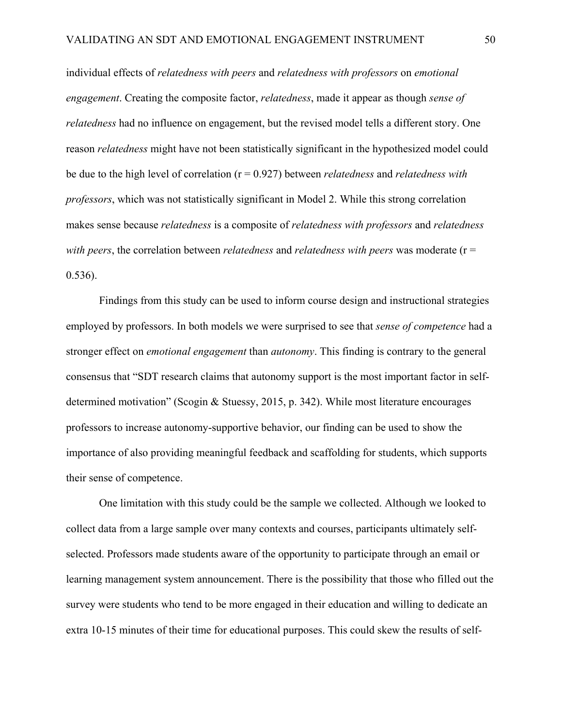individual effects of *relatedness with peers* and *relatedness with professors* on *emotional engagement*. Creating the composite factor, *relatedness*, made it appear as though *sense of relatedness* had no influence on engagement, but the revised model tells a different story. One reason *relatedness* might have not been statistically significant in the hypothesized model could be due to the high level of correlation (r = 0.927) between *relatedness* and *relatedness with professors*, which was not statistically significant in Model 2. While this strong correlation makes sense because *relatedness* is a composite of *relatedness with professors* and *relatedness with peers*, the correlation between *relatedness* and *relatedness with peers* was moderate (r = 0.536).

Findings from this study can be used to inform course design and instructional strategies employed by professors. In both models we were surprised to see that *sense of competence* had a stronger effect on *emotional engagement* than *autonomy*. This finding is contrary to the general consensus that "SDT research claims that autonomy support is the most important factor in selfdetermined motivation" (Scogin & Stuessy, 2015, p. 342). While most literature encourages professors to increase autonomy-supportive behavior, our finding can be used to show the importance of also providing meaningful feedback and scaffolding for students, which supports their sense of competence.

One limitation with this study could be the sample we collected. Although we looked to collect data from a large sample over many contexts and courses, participants ultimately selfselected. Professors made students aware of the opportunity to participate through an email or learning management system announcement. There is the possibility that those who filled out the survey were students who tend to be more engaged in their education and willing to dedicate an extra 10-15 minutes of their time for educational purposes. This could skew the results of self-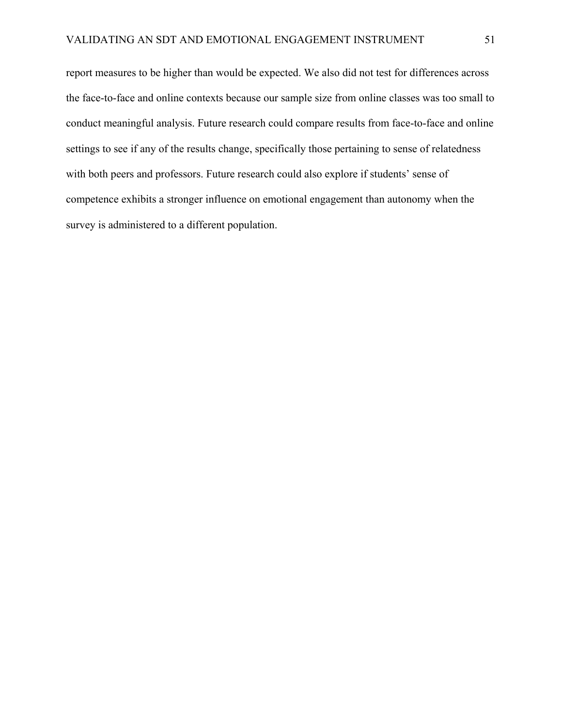report measures to be higher than would be expected. We also did not test for differences across the face-to-face and online contexts because our sample size from online classes was too small to conduct meaningful analysis. Future research could compare results from face-to-face and online settings to see if any of the results change, specifically those pertaining to sense of relatedness with both peers and professors. Future research could also explore if students' sense of competence exhibits a stronger influence on emotional engagement than autonomy when the survey is administered to a different population.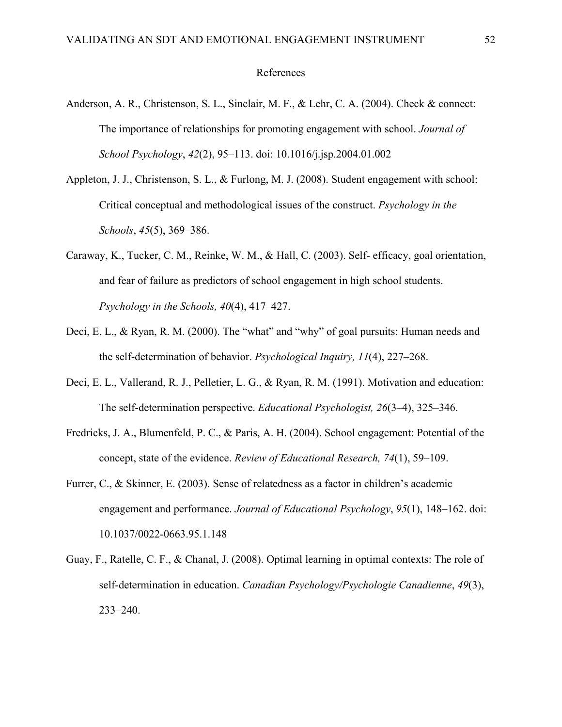### References

- Anderson, A. R., Christenson, S. L., Sinclair, M. F., & Lehr, C. A. (2004). Check & connect: The importance of relationships for promoting engagement with school. *Journal of School Psychology*, *42*(2), 95–113. [doi: 10.1016/j.jsp.2004.01.002](http://doi.org/10.1016/j.jsp.2004.01.002)
- Appleton, J. J., Christenson, S. L., & Furlong, M. J. (2008). Student engagement with school: Critical conceptual and methodological issues of the construct. *Psychology in the Schools*, *45*(5), 369–386.
- Caraway, K., Tucker, C. M., Reinke, W. M., & Hall, C. (2003). Self- efficacy, goal orientation, and fear of failure as predictors of school engagement in high school students. *Psychology in the Schools, 40*(4), 417–427.
- Deci, E. L., & Ryan, R. M. (2000). The "what" and "why" of goal pursuits: Human needs and the self-determination of behavior. *Psychological Inquiry, 11*(4), 227–268.
- Deci, E. L., Vallerand, R. J., Pelletier, L. G., & Ryan, R. M. (1991). Motivation and education: The self-determination perspective. *Educational Psychologist, 26*(3–4), 325–346.
- Fredricks, J. A., Blumenfeld, P. C., & Paris, A. H. (2004). School engagement: Potential of the concept, state of the evidence. *Review of Educational Research, 74*(1), 59–109.
- Furrer, C., & Skinner, E. (2003). Sense of relatedness as a factor in children's academic engagement and performance. *Journal of Educational Psychology*, *95*(1), 148–162. [doi:](http://doi.org/10.1037/0022-0663.95.1.148)  [10.1037/0022-0663.95.1.148](http://doi.org/10.1037/0022-0663.95.1.148)
- Guay, F., Ratelle, C. F., & Chanal, J. (2008). Optimal learning in optimal contexts: The role of self-determination in education. *Canadian Psychology/Psychologie Canadienne*, *49*(3), 233–240.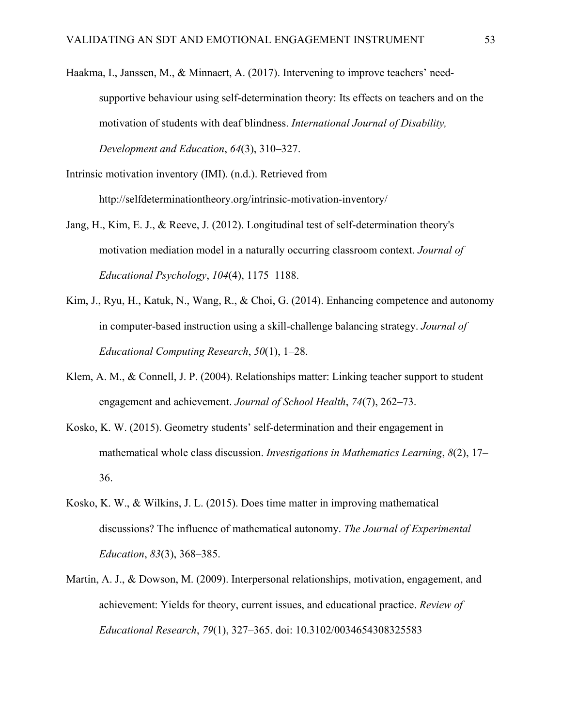Haakma, I., Janssen, M., & Minnaert, A. (2017). Intervening to improve teachers' needsupportive behaviour using self-determination theory: Its effects on teachers and on the motivation of students with deaf blindness. *International Journal of Disability, Development and Education*, *64*(3), 310–327.

Intrinsic motivation inventory (IMI). (n.d.). Retrieved from http://selfdeterminationtheory.org/intrinsic-motivation-inventory/

- Jang, H., Kim, E. J., & Reeve, J. (2012). Longitudinal test of self-determination theory's motivation mediation model in a naturally occurring classroom context. *Journal of Educational Psychology*, *104*(4), 1175–1188.
- Kim, J., Ryu, H., Katuk, N., Wang, R., & Choi, G. (2014). Enhancing competence and autonomy in computer-based instruction using a skill-challenge balancing strategy. *Journal of Educational Computing Research*, *50*(1), 1–28.
- Klem, A. M., & Connell, J. P. (2004). Relationships matter: Linking teacher support to student engagement and achievement. *Journal of School Health*, *74*(7), 262–73.
- Kosko, K. W. (2015). Geometry students' self-determination and their engagement in mathematical whole class discussion. *Investigations in Mathematics Learning*, *8*(2), 17– 36.
- Kosko, K. W., & Wilkins, J. L. (2015). Does time matter in improving mathematical discussions? The influence of mathematical autonomy. *The Journal of Experimental Education*, *83*(3), 368–385.
- Martin, A. J., & Dowson, M. (2009). Interpersonal relationships, motivation, engagement, and achievement: Yields for theory, current issues, and educational practice. *Review of Educational Research*, *79*(1), 327–365. [doi: 10.3102/0034654308325583](http://doi.org/10.3102/0034654308325583)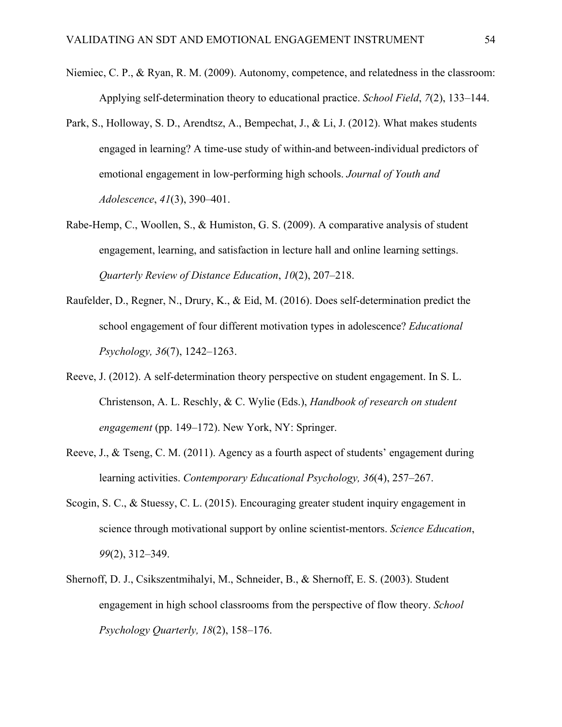- Niemiec, C. P., & Ryan, R. M. (2009). Autonomy, competence, and relatedness in the classroom: Applying self-determination theory to educational practice. *School Field*, *7*(2), 133–144.
- Park, S., Holloway, S. D., Arendtsz, A., Bempechat, J., & Li, J. (2012). What makes students engaged in learning? A time-use study of within-and between-individual predictors of emotional engagement in low-performing high schools. *Journal of Youth and Adolescence*, *41*(3), 390–401.
- Rabe-Hemp, C., Woollen, S., & Humiston, G. S. (2009). A comparative analysis of student engagement, learning, and satisfaction in lecture hall and online learning settings. *Quarterly Review of Distance Education*, *10*(2), 207–218.
- Raufelder, D., Regner, N., Drury, K., & Eid, M. (2016). Does self-determination predict the school engagement of four different motivation types in adolescence? *Educational Psychology, 36*(7), 1242–1263.
- Reeve, J. (2012). A self-determination theory perspective on student engagement. In S. L. Christenson, A. L. Reschly, & C. Wylie (Eds.), *Handbook of research on student engagement* (pp. 149–172). New York, NY: Springer.
- Reeve, J., & Tseng, C. M. (2011). Agency as a fourth aspect of students' engagement during learning activities. *Contemporary Educational Psychology, 36*(4), 257–267.
- Scogin, S. C., & Stuessy, C. L. (2015). Encouraging greater student inquiry engagement in science through motivational support by online scientist-mentors. *Science Education*, *99*(2), 312–349.
- Shernoff, D. J., Csikszentmihalyi, M., Schneider, B., & Shernoff, E. S. (2003). Student engagement in high school classrooms from the perspective of flow theory. *School Psychology Quarterly, 18*(2), 158–176.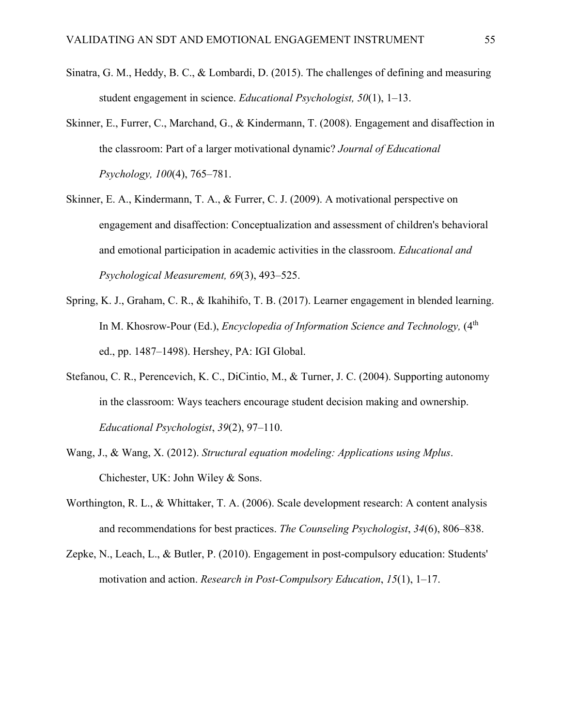- Sinatra, G. M., Heddy, B. C., & Lombardi, D. (2015). The challenges of defining and measuring student engagement in science. *Educational Psychologist, 50*(1), 1–13.
- Skinner, E., Furrer, C., Marchand, G., & Kindermann, T. (2008). Engagement and disaffection in the classroom: Part of a larger motivational dynamic? *Journal of Educational Psychology, 100*(4), 765–781.
- Skinner, E. A., Kindermann, T. A., & Furrer, C. J. (2009). A motivational perspective on engagement and disaffection: Conceptualization and assessment of children's behavioral and emotional participation in academic activities in the classroom. *Educational and Psychological Measurement, 69*(3), 493–525.
- Spring, K. J., Graham, C. R., & Ikahihifo, T. B. (2017). Learner engagement in blended learning. In M. Khosrow-Pour (Ed.), *Encyclopedia of Information Science and Technology*, (4<sup>th</sup>) ed., pp. 1487–1498). Hershey, PA: IGI Global.
- Stefanou, C. R., Perencevich, K. C., DiCintio, M., & Turner, J. C. (2004). Supporting autonomy in the classroom: Ways teachers encourage student decision making and ownership. *Educational Psychologist*, *39*(2), 97–110.
- Wang, J., & Wang, X. (2012). *Structural equation modeling: Applications using Mplus*. Chichester, UK: John Wiley & Sons.
- Worthington, R. L., & Whittaker, T. A. (2006). Scale development research: A content analysis and recommendations for best practices. *The Counseling Psychologist*, *34*(6), 806–838.
- Zepke, N., Leach, L., & Butler, P. (2010). Engagement in post-compulsory education: Students' motivation and action. *Research in Post-Compulsory Education*, *15*(1), 1–17.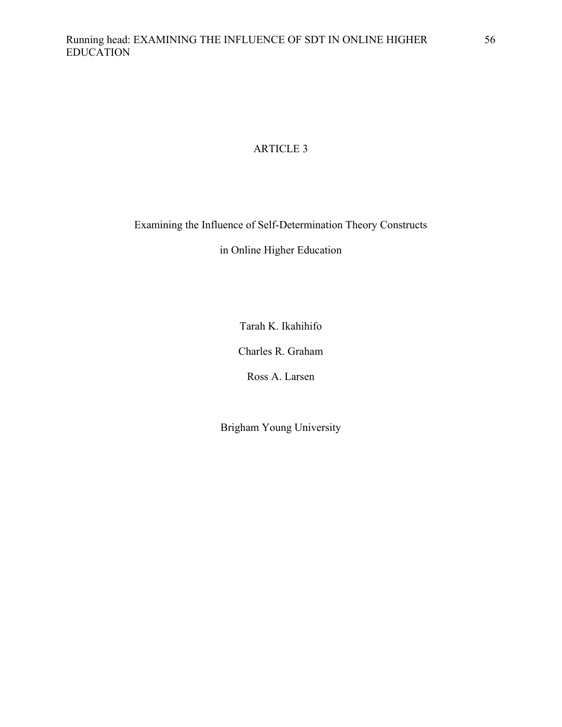# ARTICLE 3

Examining the Influence of Self-Determination Theory Constructs

in Online Higher Education

Tarah K. Ikahihifo

Charles R. Graham

Ross A. Larsen

Brigham Young University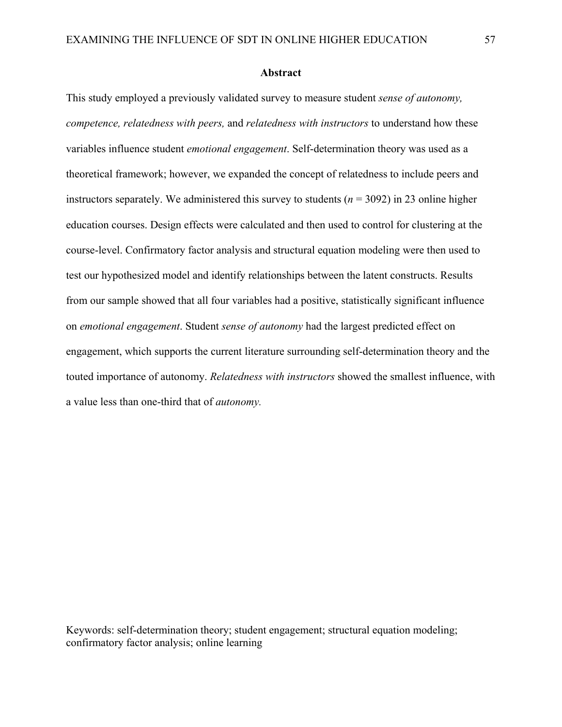### **Abstract**

This study employed a previously validated survey to measure student *sense of autonomy, competence, relatedness with peers,* and *relatedness with instructors* to understand how these variables influence student *emotional engagement*. Self-determination theory was used as a theoretical framework; however, we expanded the concept of relatedness to include peers and instructors separately. We administered this survey to students ( $n = 3092$ ) in 23 online higher education courses. Design effects were calculated and then used to control for clustering at the course-level. Confirmatory factor analysis and structural equation modeling were then used to test our hypothesized model and identify relationships between the latent constructs. Results from our sample showed that all four variables had a positive, statistically significant influence on *emotional engagement*. Student *sense of autonomy* had the largest predicted effect on engagement, which supports the current literature surrounding self-determination theory and the touted importance of autonomy. *Relatedness with instructors* showed the smallest influence, with a value less than one-third that of *autonomy.* 

Keywords: self-determination theory; student engagement; structural equation modeling; confirmatory factor analysis; online learning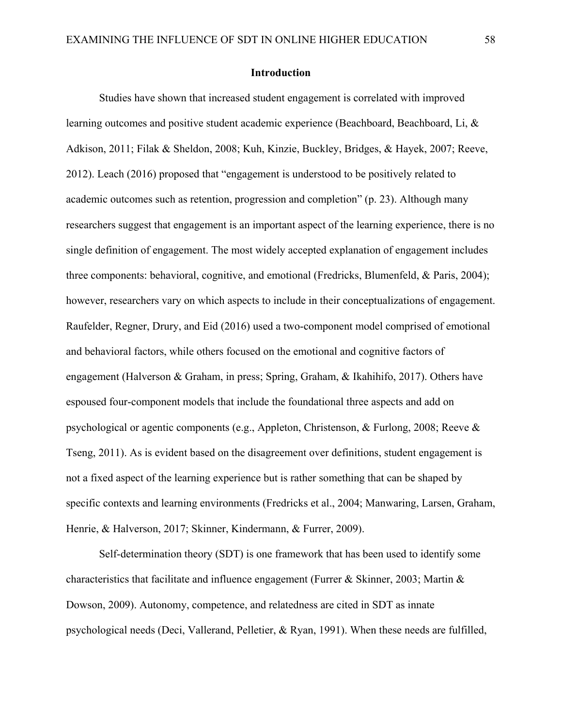#### **Introduction**

Studies have shown that increased student engagement is correlated with improved learning outcomes and positive student academic experience (Beachboard, Beachboard, Li, & Adkison, 2011; Filak & Sheldon, 2008; Kuh, Kinzie, Buckley, Bridges, & Hayek, 2007; Reeve, 2012). Leach (2016) proposed that "engagement is understood to be positively related to academic outcomes such as retention, progression and completion" (p. 23). Although many researchers suggest that engagement is an important aspect of the learning experience, there is no single definition of engagement. The most widely accepted explanation of engagement includes three components: behavioral, cognitive, and emotional (Fredricks, Blumenfeld, & Paris, 2004); however, researchers vary on which aspects to include in their conceptualizations of engagement. Raufelder, Regner, Drury, and Eid (2016) used a two-component model comprised of emotional and behavioral factors, while others focused on the emotional and cognitive factors of engagement (Halverson & Graham, in press; Spring, Graham, & Ikahihifo, 2017). Others have espoused four-component models that include the foundational three aspects and add on psychological or agentic components (e.g., Appleton, Christenson, & Furlong, 2008; Reeve & Tseng, 2011). As is evident based on the disagreement over definitions, student engagement is not a fixed aspect of the learning experience but is rather something that can be shaped by specific contexts and learning environments (Fredricks et al., 2004; Manwaring, Larsen, Graham, Henrie, & Halverson, 2017; Skinner, Kindermann, & Furrer, 2009).

Self-determination theory (SDT) is one framework that has been used to identify some characteristics that facilitate and influence engagement (Furrer & Skinner, 2003; Martin & Dowson, 2009). Autonomy, competence, and relatedness are cited in SDT as innate psychological needs (Deci, Vallerand, Pelletier, & Ryan, 1991). When these needs are fulfilled,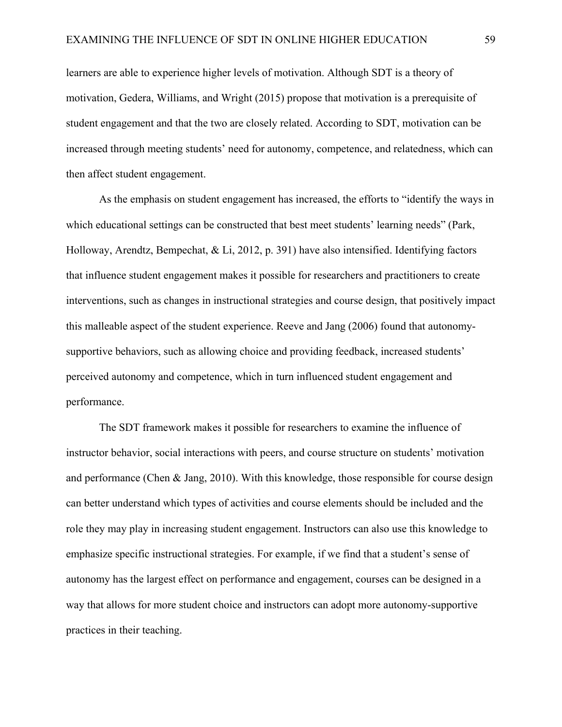learners are able to experience higher levels of motivation. Although SDT is a theory of motivation, Gedera, Williams, and Wright (2015) propose that motivation is a prerequisite of student engagement and that the two are closely related. According to SDT, motivation can be increased through meeting students' need for autonomy, competence, and relatedness, which can then affect student engagement.

As the emphasis on student engagement has increased, the efforts to "identify the ways in which educational settings can be constructed that best meet students' learning needs" (Park, Holloway, Arendtz, Bempechat, & Li, 2012, p. 391) have also intensified. Identifying factors that influence student engagement makes it possible for researchers and practitioners to create interventions, such as changes in instructional strategies and course design, that positively impact this malleable aspect of the student experience. Reeve and Jang (2006) found that autonomysupportive behaviors, such as allowing choice and providing feedback, increased students' perceived autonomy and competence, which in turn influenced student engagement and performance.

The SDT framework makes it possible for researchers to examine the influence of instructor behavior, social interactions with peers, and course structure on students' motivation and performance (Chen & Jang, 2010). With this knowledge, those responsible for course design can better understand which types of activities and course elements should be included and the role they may play in increasing student engagement. Instructors can also use this knowledge to emphasize specific instructional strategies. For example, if we find that a student's sense of autonomy has the largest effect on performance and engagement, courses can be designed in a way that allows for more student choice and instructors can adopt more autonomy-supportive practices in their teaching.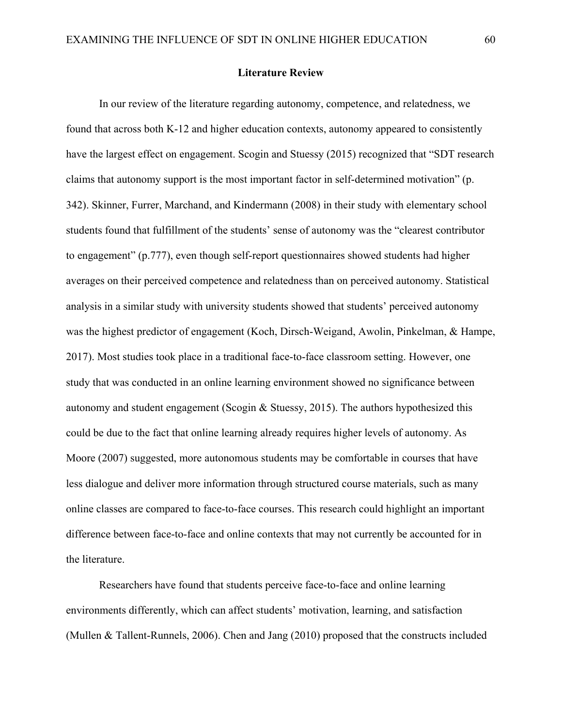### **Literature Review**

In our review of the literature regarding autonomy, competence, and relatedness, we found that across both K-12 and higher education contexts, autonomy appeared to consistently have the largest effect on engagement. Scogin and Stuessy (2015) recognized that "SDT research claims that autonomy support is the most important factor in self-determined motivation" (p. 342). Skinner, Furrer, Marchand, and Kindermann (2008) in their study with elementary school students found that fulfillment of the students' sense of autonomy was the "clearest contributor to engagement" (p.777), even though self-report questionnaires showed students had higher averages on their perceived competence and relatedness than on perceived autonomy. Statistical analysis in a similar study with university students showed that students' perceived autonomy was the highest predictor of engagement (Koch, Dirsch-Weigand, Awolin, Pinkelman, & Hampe, 2017). Most studies took place in a traditional face-to-face classroom setting. However, one study that was conducted in an online learning environment showed no significance between autonomy and student engagement (Scogin & Stuessy, 2015). The authors hypothesized this could be due to the fact that online learning already requires higher levels of autonomy. As Moore (2007) suggested, more autonomous students may be comfortable in courses that have less dialogue and deliver more information through structured course materials, such as many online classes are compared to face-to-face courses. This research could highlight an important difference between face-to-face and online contexts that may not currently be accounted for in the literature.

Researchers have found that students perceive face-to-face and online learning environments differently, which can affect students' motivation, learning, and satisfaction (Mullen & Tallent-Runnels, 2006). Chen and Jang (2010) proposed that the constructs included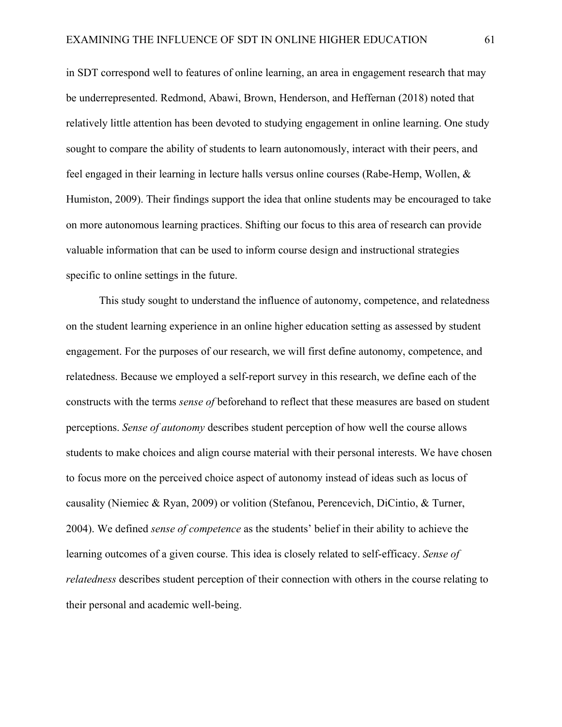in SDT correspond well to features of online learning, an area in engagement research that may be underrepresented. Redmond, Abawi, Brown, Henderson, and Heffernan (2018) noted that relatively little attention has been devoted to studying engagement in online learning. One study sought to compare the ability of students to learn autonomously, interact with their peers, and feel engaged in their learning in lecture halls versus online courses (Rabe-Hemp, Wollen, & Humiston, 2009). Their findings support the idea that online students may be encouraged to take on more autonomous learning practices. Shifting our focus to this area of research can provide valuable information that can be used to inform course design and instructional strategies specific to online settings in the future.

This study sought to understand the influence of autonomy, competence, and relatedness on the student learning experience in an online higher education setting as assessed by student engagement. For the purposes of our research, we will first define autonomy, competence, and relatedness. Because we employed a self-report survey in this research, we define each of the constructs with the terms *sense of* beforehand to reflect that these measures are based on student perceptions. *Sense of autonomy* describes student perception of how well the course allows students to make choices and align course material with their personal interests. We have chosen to focus more on the perceived choice aspect of autonomy instead of ideas such as locus of causality (Niemiec & Ryan, 2009) or volition (Stefanou, Perencevich, DiCintio, & Turner, 2004). We defined *sense of competence* as the students' belief in their ability to achieve the learning outcomes of a given course. This idea is closely related to self-efficacy. *Sense of relatedness* describes student perception of their connection with others in the course relating to their personal and academic well-being.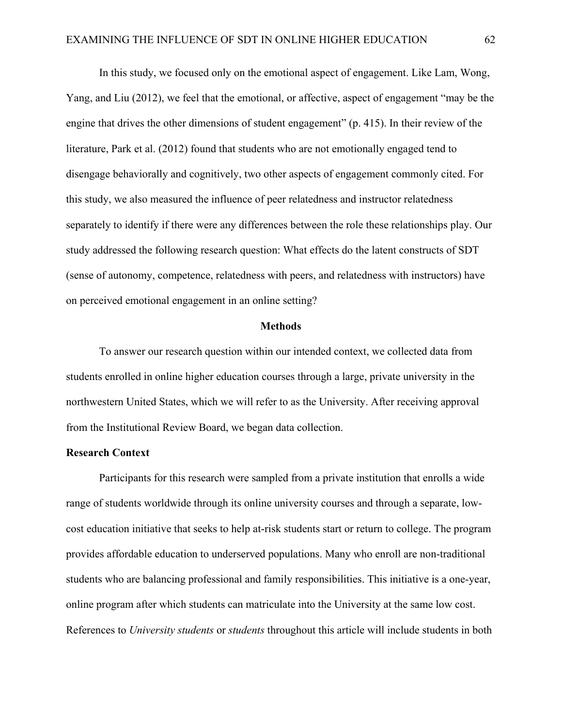In this study, we focused only on the emotional aspect of engagement. Like Lam, Wong, Yang, and Liu (2012), we feel that the emotional, or affective, aspect of engagement "may be the engine that drives the other dimensions of student engagement" (p. 415). In their review of the literature, Park et al. (2012) found that students who are not emotionally engaged tend to disengage behaviorally and cognitively, two other aspects of engagement commonly cited. For this study, we also measured the influence of peer relatedness and instructor relatedness separately to identify if there were any differences between the role these relationships play. Our study addressed the following research question: What effects do the latent constructs of SDT (sense of autonomy, competence, relatedness with peers, and relatedness with instructors) have on perceived emotional engagement in an online setting?

#### **Methods**

To answer our research question within our intended context, we collected data from students enrolled in online higher education courses through a large, private university in the northwestern United States, which we will refer to as the University. After receiving approval from the Institutional Review Board, we began data collection.

### **Research Context**

Participants for this research were sampled from a private institution that enrolls a wide range of students worldwide through its online university courses and through a separate, lowcost education initiative that seeks to help at-risk students start or return to college. The program provides affordable education to underserved populations. Many who enroll are non-traditional students who are balancing professional and family responsibilities. This initiative is a one-year, online program after which students can matriculate into the University at the same low cost. References to *University students* or *students* throughout this article will include students in both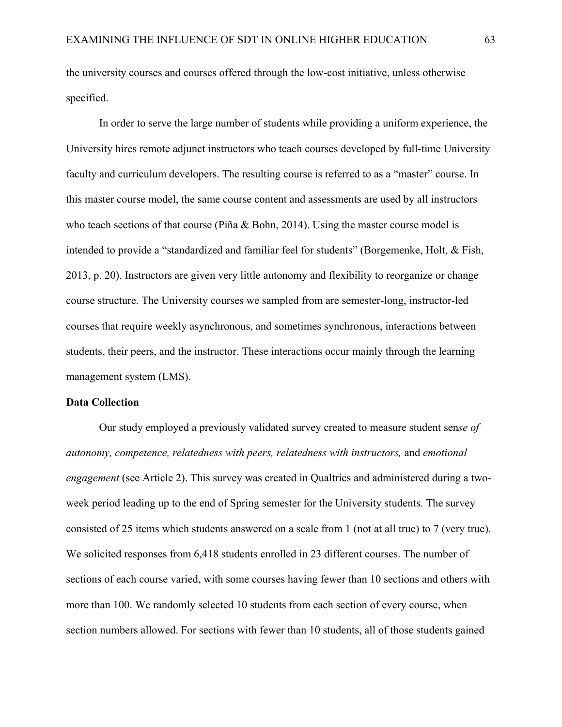the university courses and courses offered through the low-cost initiative, unless otherwise specified.

In order to serve the large number of students while providing a uniform experience, the University hires remote adjunct instructors who teach courses developed by full-time University faculty and curriculum developers. The resulting course is referred to as a "master" course. In this master course model, the same course content and assessments are used by all instructors who teach sections of that course (Piña & Bohn, 2014). Using the master course model is intended to provide a "standardized and familiar feel for students" (Borgemenke, Holt, & Fish, 2013, p. 20). Instructors are given very little autonomy and flexibility to reorganize or change course structure. The University courses we sampled from are semester-long, instructor-led courses that require weekly asynchronous, and sometimes synchronous, interactions between students, their peers, and the instructor. These interactions occur mainly through the learning management system (LMS).

### **Data Collection**

Our study employed a previously validated survey created to measure student sen*se of autonomy, competence, relatedness with peers, relatedness with instructors,* and *emotional engagement* (see Article 2). This survey was created in Qualtrics and administered during a twoweek period leading up to the end of Spring semester for the University students. The survey consisted of 25 items which students answered on a scale from 1 (not at all true) to 7 (very true). We solicited responses from 6,418 students enrolled in 23 different courses. The number of sections of each course varied, with some courses having fewer than 10 sections and others with more than 100. We randomly selected 10 students from each section of every course, when section numbers allowed. For sections with fewer than 10 students, all of those students gained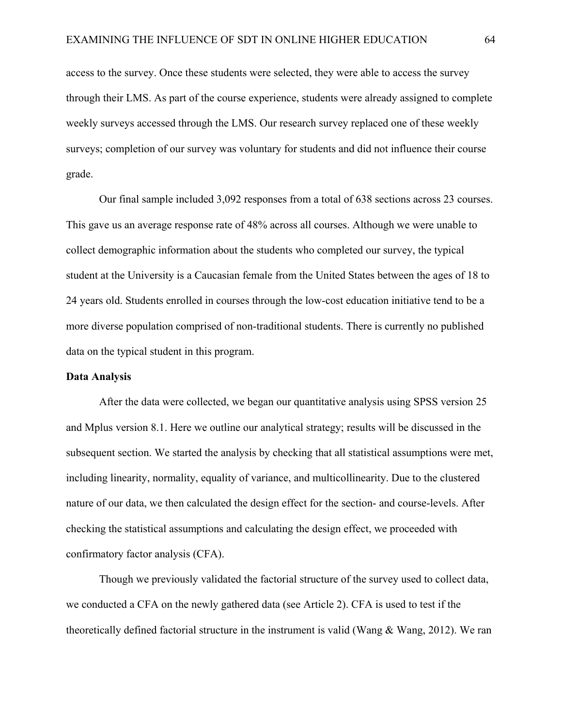access to the survey. Once these students were selected, they were able to access the survey through their LMS. As part of the course experience, students were already assigned to complete weekly surveys accessed through the LMS. Our research survey replaced one of these weekly surveys; completion of our survey was voluntary for students and did not influence their course grade.

Our final sample included 3,092 responses from a total of 638 sections across 23 courses. This gave us an average response rate of 48% across all courses. Although we were unable to collect demographic information about the students who completed our survey, the typical student at the University is a Caucasian female from the United States between the ages of 18 to 24 years old. Students enrolled in courses through the low-cost education initiative tend to be a more diverse population comprised of non-traditional students. There is currently no published data on the typical student in this program.

### **Data Analysis**

After the data were collected, we began our quantitative analysis using SPSS version 25 and Mplus version 8.1. Here we outline our analytical strategy; results will be discussed in the subsequent section. We started the analysis by checking that all statistical assumptions were met, including linearity, normality, equality of variance, and multicollinearity. Due to the clustered nature of our data, we then calculated the design effect for the section- and course-levels. After checking the statistical assumptions and calculating the design effect, we proceeded with confirmatory factor analysis (CFA).

Though we previously validated the factorial structure of the survey used to collect data, we conducted a CFA on the newly gathered data (see Article 2). CFA is used to test if the theoretically defined factorial structure in the instrument is valid (Wang & Wang, 2012). We ran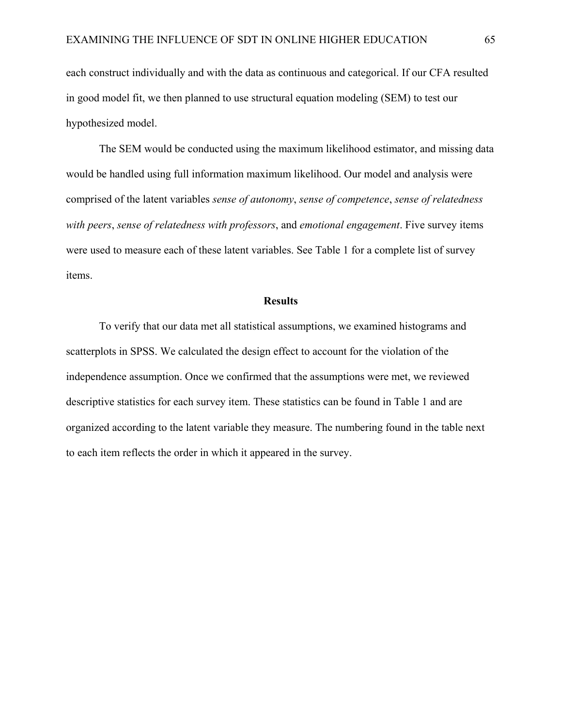each construct individually and with the data as continuous and categorical. If our CFA resulted in good model fit, we then planned to use structural equation modeling (SEM) to test our hypothesized model.

The SEM would be conducted using the maximum likelihood estimator, and missing data would be handled using full information maximum likelihood. Our model and analysis were comprised of the latent variables *sense of autonomy*, *sense of competence*, *sense of relatedness with peers*, *sense of relatedness with professors*, and *emotional engagement*. Five survey items were used to measure each of these latent variables. See Table 1 for a complete list of survey items.

### **Results**

To verify that our data met all statistical assumptions, we examined histograms and scatterplots in SPSS. We calculated the design effect to account for the violation of the independence assumption. Once we confirmed that the assumptions were met, we reviewed descriptive statistics for each survey item. These statistics can be found in Table 1 and are organized according to the latent variable they measure. The numbering found in the table next to each item reflects the order in which it appeared in the survey.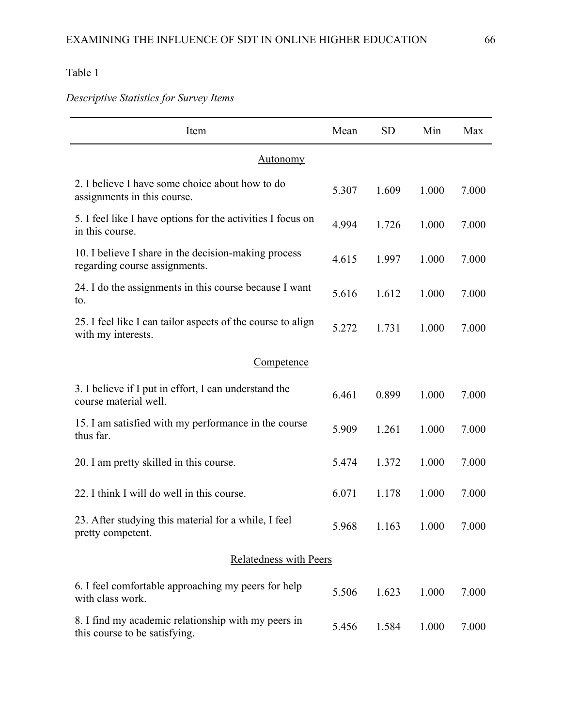*Descriptive Statistics for Survey Items*

| Item                                                                                  | Mean  | <b>SD</b> | Min   | Max   |  |  |
|---------------------------------------------------------------------------------------|-------|-----------|-------|-------|--|--|
| <b>Autonomy</b>                                                                       |       |           |       |       |  |  |
| 2. I believe I have some choice about how to do<br>assignments in this course.        | 5.307 | 1.609     | 1.000 | 7.000 |  |  |
| 5. I feel like I have options for the activities I focus on<br>in this course.        | 4.994 | 1.726     | 1.000 | 7.000 |  |  |
| 10. I believe I share in the decision-making process<br>regarding course assignments. | 4.615 | 1.997     | 1.000 | 7.000 |  |  |
| 24. I do the assignments in this course because I want<br>to.                         | 5.616 | 1.612     | 1.000 | 7.000 |  |  |
| 25. I feel like I can tailor aspects of the course to align<br>with my interests.     | 5.272 | 1.731     | 1.000 | 7.000 |  |  |
| Competence                                                                            |       |           |       |       |  |  |
| 3. I believe if I put in effort, I can understand the<br>course material well.        | 6.461 | 0.899     | 1.000 | 7.000 |  |  |
| 15. I am satisfied with my performance in the course<br>thus far.                     | 5.909 | 1.261     | 1.000 | 7.000 |  |  |
| 20. I am pretty skilled in this course.                                               | 5.474 | 1.372     | 1.000 | 7.000 |  |  |
| 22. I think I will do well in this course.                                            | 6.071 | 1.178     | 1.000 | 7.000 |  |  |
| 23. After studying this material for a while, I feel<br>pretty competent.             | 5.968 | 1.163     | 1.000 | 7.000 |  |  |
| Relatedness with Peers                                                                |       |           |       |       |  |  |
| 6. I feel comfortable approaching my peers for help<br>with class work.               | 5.506 | 1.623     | 1.000 | 7.000 |  |  |
| 8. I find my academic relationship with my peers in<br>this course to be satisfying.  | 5.456 | 1.584     | 1.000 | 7.000 |  |  |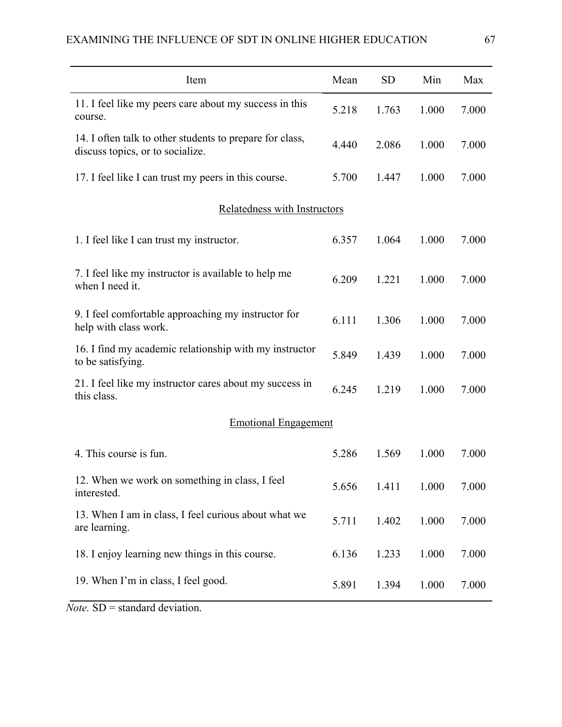| Item                                                                                         | Mean  | <b>SD</b> | Min   | Max   |
|----------------------------------------------------------------------------------------------|-------|-----------|-------|-------|
| 11. I feel like my peers care about my success in this<br>course.                            | 5.218 | 1.763     | 1.000 | 7.000 |
| 14. I often talk to other students to prepare for class,<br>discuss topics, or to socialize. | 4.440 | 2.086     | 1.000 | 7.000 |
| 17. I feel like I can trust my peers in this course.                                         | 5.700 | 1.447     | 1.000 | 7.000 |
| Relatedness with Instructors                                                                 |       |           |       |       |
| 1. I feel like I can trust my instructor.                                                    | 6.357 | 1.064     | 1.000 | 7.000 |
| 7. I feel like my instructor is available to help me<br>when I need it.                      | 6.209 | 1.221     | 1.000 | 7.000 |
| 9. I feel comfortable approaching my instructor for<br>help with class work.                 | 6.111 | 1.306     | 1.000 | 7.000 |
| 16. I find my academic relationship with my instructor<br>to be satisfying.                  | 5.849 | 1.439     | 1.000 | 7.000 |
| 21. I feel like my instructor cares about my success in<br>this class.                       | 6.245 | 1.219     | 1.000 | 7.000 |
| <b>Emotional Engagement</b>                                                                  |       |           |       |       |
| 4. This course is fun.                                                                       | 5.286 | 1.569     | 1.000 | 7.000 |
| 12. When we work on something in class, I feel<br>interested.                                | 5.656 | 1.411     | 1.000 | 7.000 |
| 13. When I am in class, I feel curious about what we<br>are learning.                        | 5.711 | 1.402     | 1.000 | 7.000 |
| 18. I enjoy learning new things in this course.                                              | 6.136 | 1.233     | 1.000 | 7.000 |
| 19. When I'm in class, I feel good.                                                          | 5.891 | 1.394     | 1.000 | 7.000 |

*Note.* SD = standard deviation.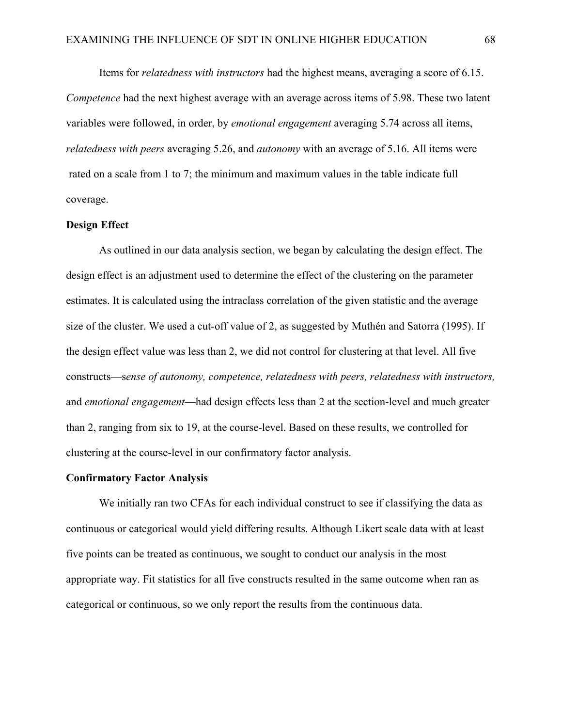Items for *relatedness with instructors* had the highest means, averaging a score of 6.15. *Competence* had the next highest average with an average across items of 5.98. These two latent variables were followed, in order, by *emotional engagement* averaging 5.74 across all items, *relatedness with peers* averaging 5.26, and *autonomy* with an average of 5.16. All items were rated on a scale from 1 to 7; the minimum and maximum values in the table indicate full coverage.

### **Design Effect**

As outlined in our data analysis section, we began by calculating the design effect. The design effect is an adjustment used to determine the effect of the clustering on the parameter estimates. It is calculated using the intraclass correlation of the given statistic and the average size of the cluster. We used a cut-off value of 2, as suggested by Muthén and Satorra (1995). If the design effect value was less than 2, we did not control for clustering at that level. All five constructs—s*ense of autonomy, competence, relatedness with peers, relatedness with instructors,*  and *emotional engagement*—had design effects less than 2 at the section-level and much greater than 2, ranging from six to 19, at the course-level. Based on these results, we controlled for clustering at the course-level in our confirmatory factor analysis.

#### **Confirmatory Factor Analysis**

We initially ran two CFAs for each individual construct to see if classifying the data as continuous or categorical would yield differing results. Although Likert scale data with at least five points can be treated as continuous, we sought to conduct our analysis in the most appropriate way. Fit statistics for all five constructs resulted in the same outcome when ran as categorical or continuous, so we only report the results from the continuous data.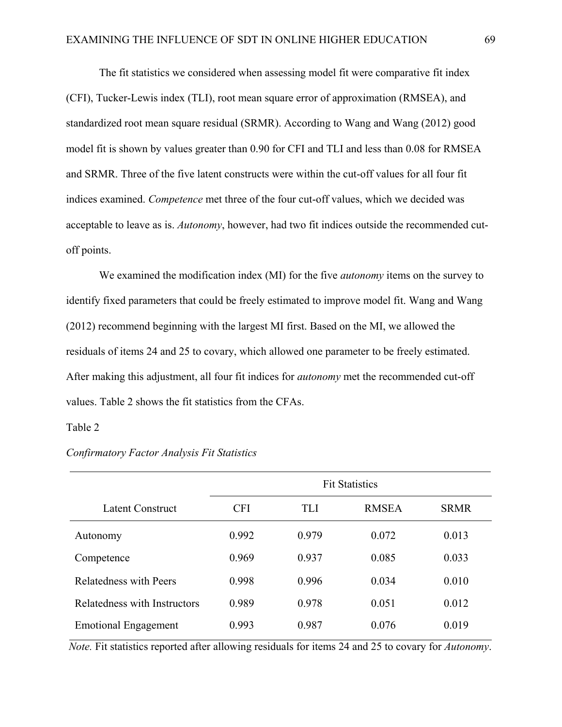The fit statistics we considered when assessing model fit were comparative fit index (CFI), Tucker-Lewis index (TLI), root mean square error of approximation (RMSEA), and standardized root mean square residual (SRMR). According to Wang and Wang (2012) good model fit is shown by values greater than 0.90 for CFI and TLI and less than 0.08 for RMSEA and SRMR. Three of the five latent constructs were within the cut-off values for all four fit indices examined. *Competence* met three of the four cut-off values, which we decided was acceptable to leave as is. *Autonomy*, however, had two fit indices outside the recommended cutoff points.

We examined the modification index (MI) for the five *autonomy* items on the survey to identify fixed parameters that could be freely estimated to improve model fit. Wang and Wang (2012) recommend beginning with the largest MI first. Based on the MI, we allowed the residuals of items 24 and 25 to covary, which allowed one parameter to be freely estimated. After making this adjustment, all four fit indices for *autonomy* met the recommended cut-off values. Table 2 shows the fit statistics from the CFAs.

### Table 2

|                               | <b>Fit Statistics</b> |       |              |             |  |  |  |
|-------------------------------|-----------------------|-------|--------------|-------------|--|--|--|
| Latent Construct              | <b>CFI</b>            | TLI   | <b>RMSEA</b> | <b>SRMR</b> |  |  |  |
| Autonomy                      | 0.992                 | 0.979 | 0.072        | 0.013       |  |  |  |
| Competence                    | 0.969                 | 0.937 | 0.085        | 0.033       |  |  |  |
| <b>Relatedness with Peers</b> | 0.998                 | 0.996 | 0.034        | 0.010       |  |  |  |
| Relatedness with Instructors  | 0.989                 | 0.978 | 0.051        | 0.012       |  |  |  |
| <b>Emotional Engagement</b>   | 0.993                 | 0.987 | 0.076        | 0.019       |  |  |  |

### *Confirmatory Factor Analysis Fit Statistics*

*Note.* Fit statistics reported after allowing residuals for items 24 and 25 to covary for *Autonomy*.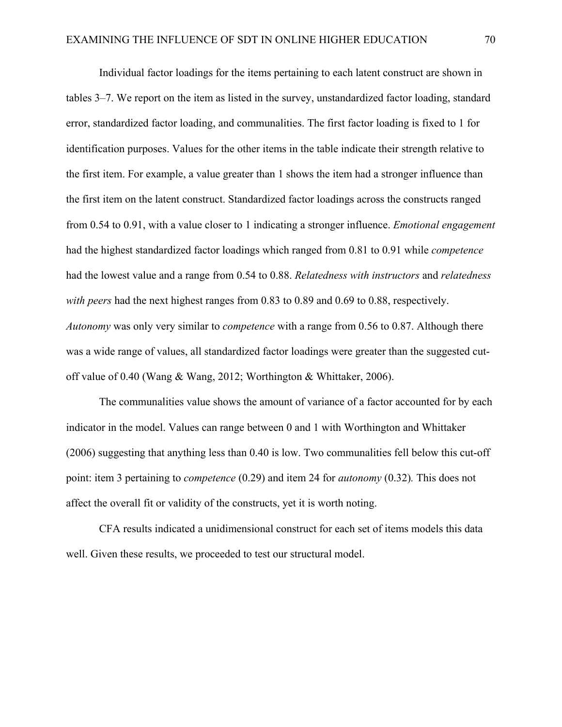Individual factor loadings for the items pertaining to each latent construct are shown in tables 3–7. We report on the item as listed in the survey, unstandardized factor loading, standard error, standardized factor loading, and communalities. The first factor loading is fixed to 1 for identification purposes. Values for the other items in the table indicate their strength relative to the first item. For example, a value greater than 1 shows the item had a stronger influence than the first item on the latent construct. Standardized factor loadings across the constructs ranged from 0.54 to 0.91, with a value closer to 1 indicating a stronger influence. *Emotional engagement*  had the highest standardized factor loadings which ranged from 0.81 to 0.91 while *competence*  had the lowest value and a range from 0.54 to 0.88. *Relatedness with instructors* and *relatedness with peers* had the next highest ranges from 0.83 to 0.89 and 0.69 to 0.88, respectively. *Autonomy* was only very similar to *competence* with a range from 0.56 to 0.87. Although there was a wide range of values, all standardized factor loadings were greater than the suggested cutoff value of 0.40 (Wang & Wang, 2012; Worthington & Whittaker, 2006).

The communalities value shows the amount of variance of a factor accounted for by each indicator in the model. Values can range between 0 and 1 with Worthington and Whittaker (2006) suggesting that anything less than 0.40 is low. Two communalities fell below this cut-off point: item 3 pertaining to *competence* (0.29) and item 24 for *autonomy* (0.32)*.* This does not affect the overall fit or validity of the constructs, yet it is worth noting.

CFA results indicated a unidimensional construct for each set of items models this data well. Given these results, we proceeded to test our structural model.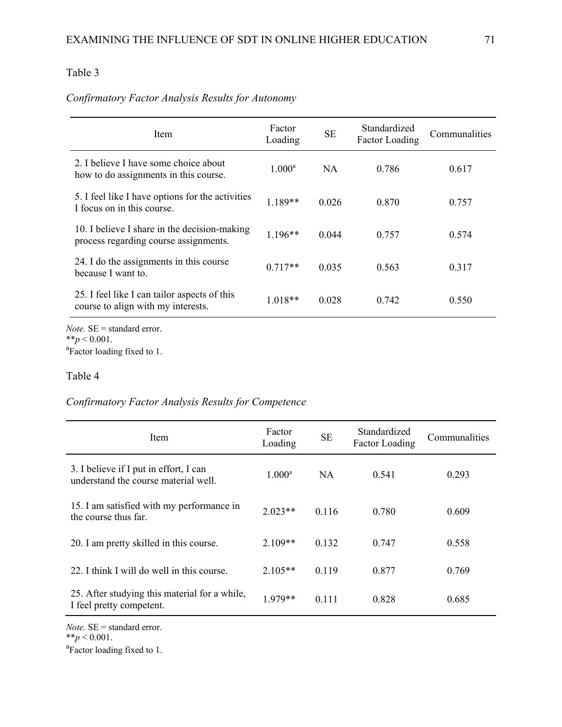# *Confirmatory Factor Analysis Results for Autonomy*

| Item                                                                                  | Factor<br>Loading | <b>SE</b> | Standardized<br><b>Factor Loading</b> | Communalities |
|---------------------------------------------------------------------------------------|-------------------|-----------|---------------------------------------|---------------|
| 2. I believe I have some choice about<br>how to do assignments in this course.        | $1.000^{\rm a}$   | NA        | 0.786                                 | 0.617         |
| 5. I feel like I have options for the activities<br>I focus on in this course.        | $1.189**$         | 0.026     | 0.870                                 | 0.757         |
| 10. I believe I share in the decision-making<br>process regarding course assignments. | $1.196**$         | 0.044     | 0.757                                 | 0.574         |
| 24. I do the assignments in this course<br>because I want to.                         | $0.717**$         | 0.035     | 0.563                                 | 0.317         |
| 25. I feel like I can tailor aspects of this<br>course to align with my interests.    | $1.018**$         | 0.028     | 0.742                                 | 0.550         |
| <i>Note</i> . $SE =$ standard error.<br>** $p < 0.001$ .                              |                   |           |                                       |               |
| <sup>a</sup> Factor loading fixed to 1.                                               |                   |           |                                       |               |

## Table 4

# *Confirmatory Factor Analysis Results for Competence*

| Item                                                                           | Factor<br>Loading | <b>SE</b> | Standardized<br>Factor Loading | Communalities |
|--------------------------------------------------------------------------------|-------------------|-----------|--------------------------------|---------------|
| 3. I believe if I put in effort, I can<br>understand the course material well. | $1.000^{\rm a}$   | <b>NA</b> | 0.541                          | 0.293         |
| 15. I am satisfied with my performance in<br>the course thus far.              | $2.023**$         | 0.116     | 0.780                          | 0.609         |
| 20. I am pretty skilled in this course.                                        | $2.109**$         | 0.132     | 0.747                          | 0.558         |
| 22. I think I will do well in this course.                                     | $2.105**$         | 0.119     | 0.877                          | 0.769         |
| 25. After studying this material for a while,<br>I feel pretty competent.      | 1.979**           | 0.111     | 0.828                          | 0.685         |

*Note.* SE = standard error.

<sup>a</sup>Factor loading fixed to 1.

<sup>\*\*</sup> $p < 0.001$ .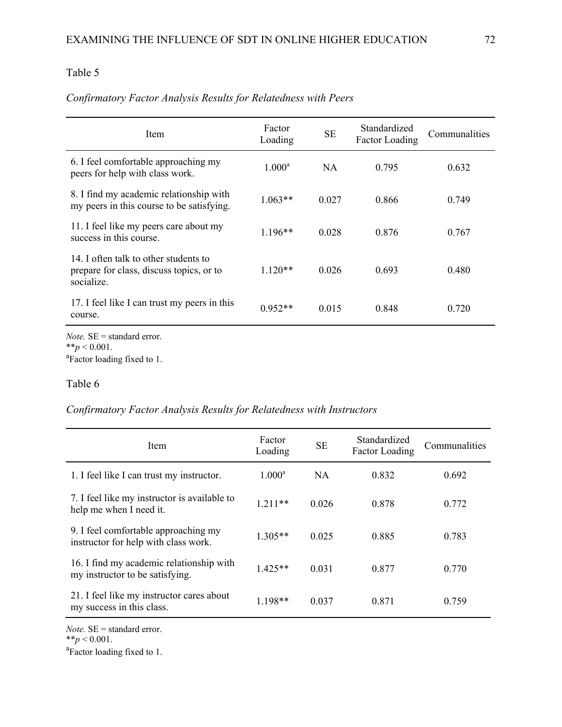| Item                                                                                            | Factor<br>Loading | <b>SE</b> | Standardized<br><b>Factor Loading</b> | Communalities |  |
|-------------------------------------------------------------------------------------------------|-------------------|-----------|---------------------------------------|---------------|--|
| 6. I feel comfortable approaching my<br>peers for help with class work.                         | $1.000^a$         | NA        | 0.795                                 | 0.632         |  |
| 8. I find my academic relationship with<br>my peers in this course to be satisfying.            | $1.063**$         | 0.027     | 0.866                                 | 0.749         |  |
| 11. I feel like my peers care about my<br>success in this course.                               | $1.196**$         | 0.028     | 0.876                                 | 0.767         |  |
| 14. I often talk to other students to<br>prepare for class, discuss topics, or to<br>socialize. | $1.120**$         | 0.026     | 0.693                                 | 0.480         |  |
| 17. I feel like I can trust my peers in this<br>course.                                         | $0.952**$         | 0.015     | 0.848                                 | 0.720         |  |
| <i>Note</i> . $SE =$ standard error.<br>** $p < 0.001$ .                                        |                   |           |                                       |               |  |

# *Confirmatory Factor Analysis Results for Relatedness with Peers*

 $*^*p < 0.001$ .<br><sup>a</sup>Factor loading fixed to 1.

### Table 6

## *Confirmatory Factor Analysis Results for Relatedness with Instructors*

| Item                                                                         | Factor<br>Loading | <b>SE</b> | Standardized<br><b>Factor Loading</b> | Communalities |
|------------------------------------------------------------------------------|-------------------|-----------|---------------------------------------|---------------|
| 1. I feel like I can trust my instructor.                                    | $1.000^a$         | <b>NA</b> | 0.832                                 | 0.692         |
| 7. I feel like my instructor is available to<br>help me when I need it.      | $1.211**$         | 0.026     | 0.878                                 | 0.772         |
| 9. I feel comfortable approaching my<br>instructor for help with class work. | $1.305**$         | 0.025     | 0.885                                 | 0.783         |
| 16. I find my academic relationship with<br>my instructor to be satisfying.  | $1.425**$         | 0.031     | 0.877                                 | 0.770         |
| 21. I feel like my instructor cares about<br>my success in this class.       | $1.198**$         | 0.037     | 0.871                                 | 0.759         |

*Note.* SE = standard error.

\*\* $p < 0.001$ .

<sup>a</sup>Factor loading fixed to 1.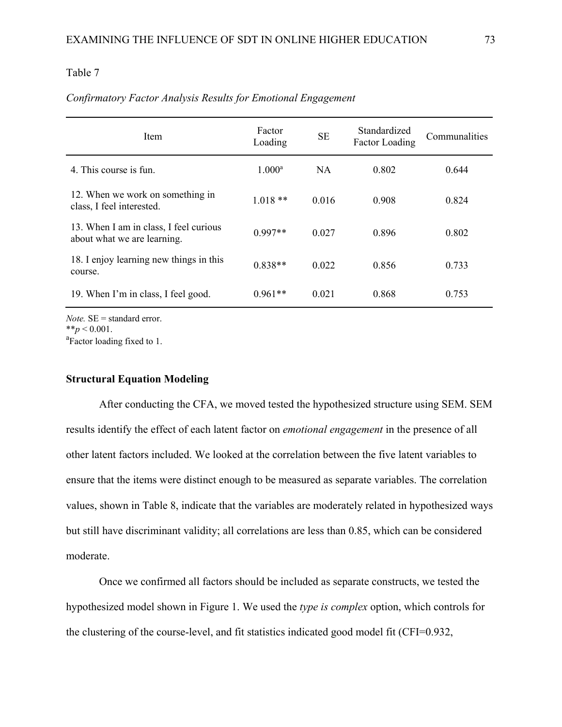| Item                                                                  | Factor<br>Loading | <b>SE</b> | Standardized<br><b>Factor Loading</b> | Communalities |
|-----------------------------------------------------------------------|-------------------|-----------|---------------------------------------|---------------|
| 4. This course is fun.                                                | $1.000^{\rm a}$   | NA.       | 0.802                                 | 0.644         |
| 12. When we work on something in<br>class, I feel interested.         | $1.018**$         | 0.016     | 0.908                                 | 0.824         |
| 13. When I am in class, I feel curious<br>about what we are learning. | $0.997**$         | 0.027     | 0.896                                 | 0.802         |
| 18. I enjoy learning new things in this<br>course.                    | $0.838**$         | 0.022     | 0.856                                 | 0.733         |
| 19. When I'm in class, I feel good.                                   | $0.961**$         | 0.021     | 0.868                                 | 0.753         |
| $\mathbf{r}$ and $\mathbf{r}$                                         |                   |           |                                       |               |

### *Confirmatory Factor Analysis Results for Emotional Engagement*

*Note.* SE = standard error.  $**p < 0.001$ .

Factor loading fixed to 1.

## **Structural Equation Modeling**

After conducting the CFA, we moved tested the hypothesized structure using SEM. SEM results identify the effect of each latent factor on *emotional engagement* in the presence of all other latent factors included. We looked at the correlation between the five latent variables to ensure that the items were distinct enough to be measured as separate variables. The correlation values, shown in Table 8, indicate that the variables are moderately related in hypothesized ways but still have discriminant validity; all correlations are less than 0.85, which can be considered moderate.

Once we confirmed all factors should be included as separate constructs, we tested the hypothesized model shown in Figure 1. We used the *type is complex* option, which controls for the clustering of the course-level, and fit statistics indicated good model fit (CFI=0.932,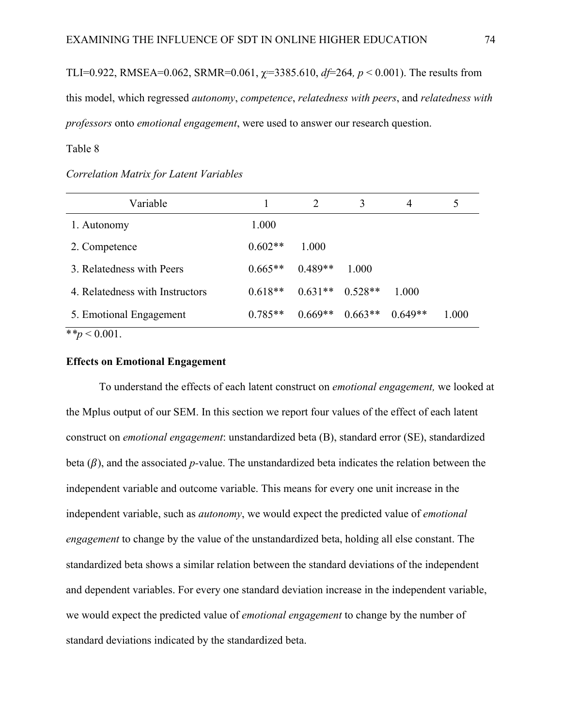TLI=0.922, RMSEA=0.062, SRMR=0.061,  $\chi$ =3385.610,  $df=264$ ,  $p < 0.001$ ). The results from this model, which regressed *autonomy*, *competence*, *relatedness with peers*, and *relatedness with professors* onto *emotional engagement*, were used to answer our research question.

## Table 8

| Variable                        |           | $\mathcal{D}$ | 3                   | 4         |       |
|---------------------------------|-----------|---------------|---------------------|-----------|-------|
| 1. Autonomy                     | 1.000     |               |                     |           |       |
| 2. Competence                   | $0.602**$ | 1.000         |                     |           |       |
| 3. Relatedness with Peers       | $0.665**$ | $0.489**$     | 1.000               |           |       |
| 4. Relatedness with Instructors | $0.618**$ |               | $0.631**$ $0.528**$ | 1.000     |       |
| 5. Emotional Engagement         | $0.785**$ | $0.669**$     | $0.663**$           | $0.649**$ | 1.000 |
| **n $\geq 0.001$                |           |               |                     |           |       |

### *Correlation Matrix for Latent Variables*

\**\*p* < 0.001.

#### **Effects on Emotional Engagement**

To understand the effects of each latent construct on *emotional engagement,* we looked at the Mplus output of our SEM. In this section we report four values of the effect of each latent construct on *emotional engagement*: unstandardized beta (B), standard error (SE), standardized beta  $(\beta)$ , and the associated *p*-value. The unstandardized beta indicates the relation between the independent variable and outcome variable. This means for every one unit increase in the independent variable, such as *autonomy*, we would expect the predicted value of *emotional engagement* to change by the value of the unstandardized beta, holding all else constant. The standardized beta shows a similar relation between the standard deviations of the independent and dependent variables. For every one standard deviation increase in the independent variable, we would expect the predicted value of *emotional engagement* to change by the number of standard deviations indicated by the standardized beta.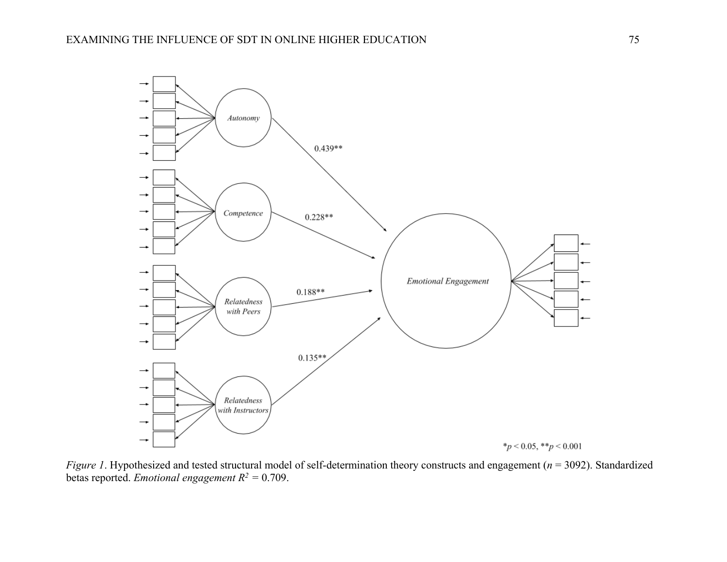

*Figure 1*. Hypothesized and tested structural model of self-determination theory constructs and engagement (*n* = 3092). Standardized betas reported. *Emotional engagement R2 =* 0.709.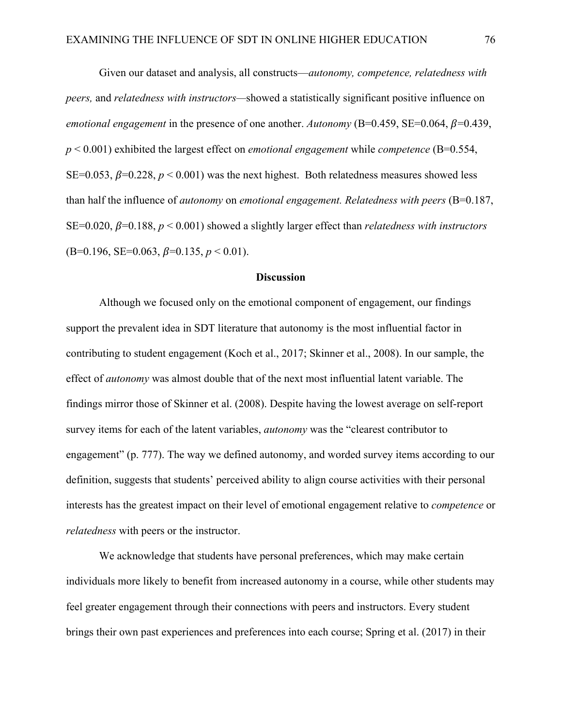Given our dataset and analysis, all constructs—*autonomy, competence, relatedness with peers,* and *relatedness with instructors—*showed a statistically significant positive influence on *emotional engagement* in the presence of one another. Autonomy  $(B=0.459, SE=0.064, \beta=0.439,$ *p* < 0.001) exhibited the largest effect on *emotional engagement* while *competence* (B=0.554, SE=0.053,  $\beta$ =0.228,  $p$  < 0.001) was the next highest. Both relatedness measures showed less than half the influence of *autonomy* on *emotional engagement. Relatedness with peers* (B=0.187, SE=0.020,  $\beta$ =0.188,  $p < 0.001$ ) showed a slightly larger effect than *relatedness with instructors*  $(B=0.196, SE=0.063, \beta=0.135, p \le 0.01).$ 

### **Discussion**

Although we focused only on the emotional component of engagement, our findings support the prevalent idea in SDT literature that autonomy is the most influential factor in contributing to student engagement (Koch et al., 2017; Skinner et al., 2008). In our sample, the effect of *autonomy* was almost double that of the next most influential latent variable. The findings mirror those of Skinner et al. (2008). Despite having the lowest average on self-report survey items for each of the latent variables, *autonomy* was the "clearest contributor to engagement" (p. 777). The way we defined autonomy, and worded survey items according to our definition, suggests that students' perceived ability to align course activities with their personal interests has the greatest impact on their level of emotional engagement relative to *competence* or *relatedness* with peers or the instructor.

We acknowledge that students have personal preferences, which may make certain individuals more likely to benefit from increased autonomy in a course, while other students may feel greater engagement through their connections with peers and instructors. Every student brings their own past experiences and preferences into each course; Spring et al. (2017) in their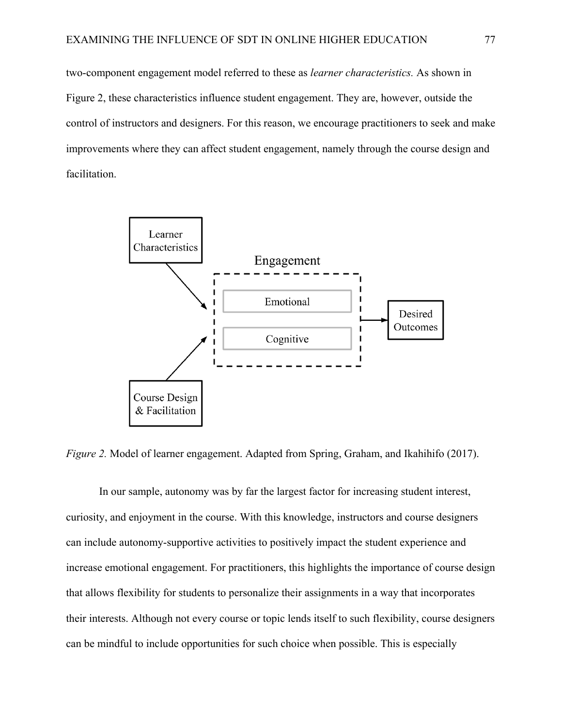two-component engagement model referred to these as *learner characteristics.* As shown in Figure 2, these characteristics influence student engagement. They are, however, outside the control of instructors and designers. For this reason, we encourage practitioners to seek and make improvements where they can affect student engagement, namely through the course design and facilitation.



*Figure 2.* Model of learner engagement. Adapted from Spring, Graham, and Ikahihifo (2017).

In our sample, autonomy was by far the largest factor for increasing student interest, curiosity, and enjoyment in the course. With this knowledge, instructors and course designers can include autonomy-supportive activities to positively impact the student experience and increase emotional engagement. For practitioners, this highlights the importance of course design that allows flexibility for students to personalize their assignments in a way that incorporates their interests. Although not every course or topic lends itself to such flexibility, course designers can be mindful to include opportunities for such choice when possible. This is especially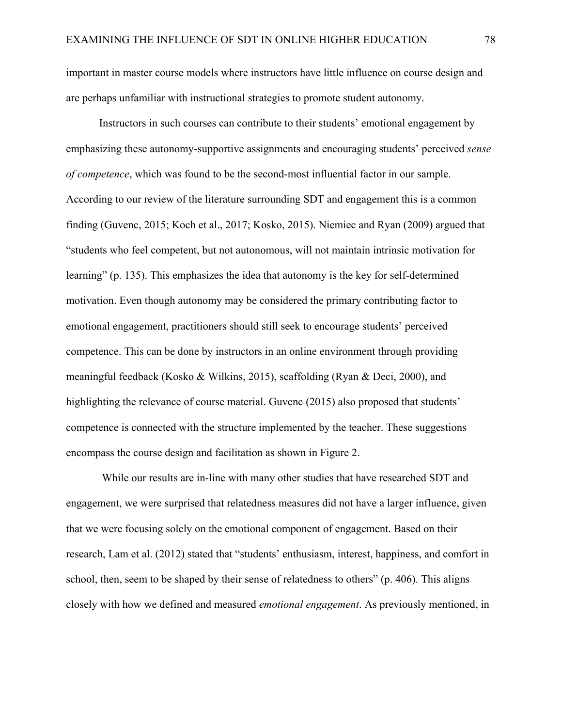important in master course models where instructors have little influence on course design and are perhaps unfamiliar with instructional strategies to promote student autonomy.

Instructors in such courses can contribute to their students' emotional engagement by emphasizing these autonomy-supportive assignments and encouraging students' perceived *sense of competence*, which was found to be the second-most influential factor in our sample. According to our review of the literature surrounding SDT and engagement this is a common finding (Guvenc, 2015; Koch et al., 2017; Kosko, 2015). Niemiec and Ryan (2009) argued that "students who feel competent, but not autonomous, will not maintain intrinsic motivation for learning" (p. 135). This emphasizes the idea that autonomy is the key for self-determined motivation. Even though autonomy may be considered the primary contributing factor to emotional engagement, practitioners should still seek to encourage students' perceived competence. This can be done by instructors in an online environment through providing meaningful feedback (Kosko & Wilkins, 2015), scaffolding (Ryan & Deci, 2000), and highlighting the relevance of course material. Guvenc (2015) also proposed that students' competence is connected with the structure implemented by the teacher. These suggestions encompass the course design and facilitation as shown in Figure 2.

While our results are in-line with many other studies that have researched SDT and engagement, we were surprised that relatedness measures did not have a larger influence, given that we were focusing solely on the emotional component of engagement. Based on their research, Lam et al. (2012) stated that "students' enthusiasm, interest, happiness, and comfort in school, then, seem to be shaped by their sense of relatedness to others" (p. 406). This aligns closely with how we defined and measured *emotional engagement*. As previously mentioned, in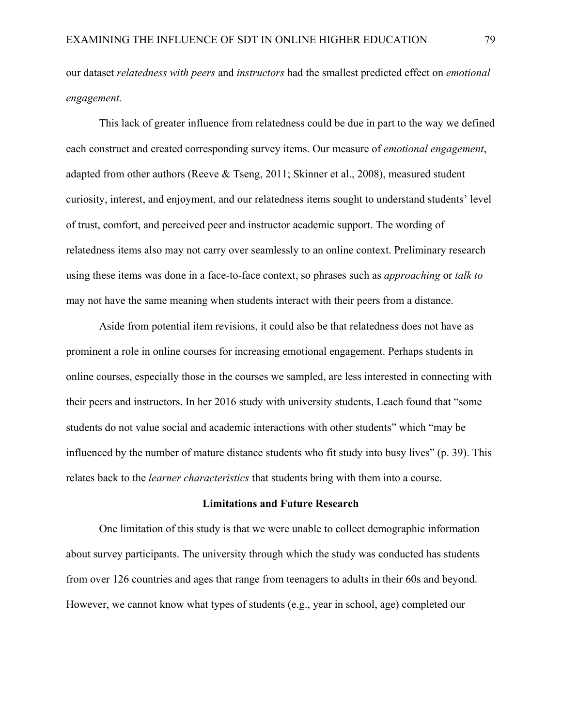our dataset *relatedness with peers* and *instructors* had the smallest predicted effect on *emotional engagement.* 

This lack of greater influence from relatedness could be due in part to the way we defined each construct and created corresponding survey items. Our measure of *emotional engagement*, adapted from other authors (Reeve & Tseng, 2011; Skinner et al., 2008), measured student curiosity, interest, and enjoyment, and our relatedness items sought to understand students' level of trust, comfort, and perceived peer and instructor academic support. The wording of relatedness items also may not carry over seamlessly to an online context. Preliminary research using these items was done in a face-to-face context, so phrases such as *approaching* or *talk to*  may not have the same meaning when students interact with their peers from a distance.

Aside from potential item revisions, it could also be that relatedness does not have as prominent a role in online courses for increasing emotional engagement. Perhaps students in online courses, especially those in the courses we sampled, are less interested in connecting with their peers and instructors. In her 2016 study with university students, Leach found that "some students do not value social and academic interactions with other students" which "may be influenced by the number of mature distance students who fit study into busy lives" (p. 39). This relates back to the *learner characteristics* that students bring with them into a course.

### **Limitations and Future Research**

One limitation of this study is that we were unable to collect demographic information about survey participants. The university through which the study was conducted has students from over 126 countries and ages that range from teenagers to adults in their 60s and beyond. However, we cannot know what types of students (e.g., year in school, age) completed our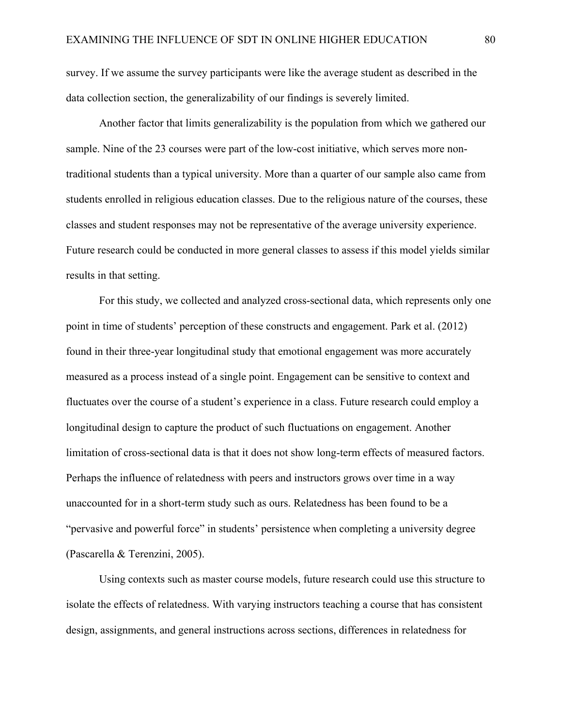survey. If we assume the survey participants were like the average student as described in the data collection section, the generalizability of our findings is severely limited.

Another factor that limits generalizability is the population from which we gathered our sample. Nine of the 23 courses were part of the low-cost initiative, which serves more nontraditional students than a typical university. More than a quarter of our sample also came from students enrolled in religious education classes. Due to the religious nature of the courses, these classes and student responses may not be representative of the average university experience. Future research could be conducted in more general classes to assess if this model yields similar results in that setting.

For this study, we collected and analyzed cross-sectional data, which represents only one point in time of students' perception of these constructs and engagement. Park et al. (2012) found in their three-year longitudinal study that emotional engagement was more accurately measured as a process instead of a single point. Engagement can be sensitive to context and fluctuates over the course of a student's experience in a class. Future research could employ a longitudinal design to capture the product of such fluctuations on engagement. Another limitation of cross-sectional data is that it does not show long-term effects of measured factors. Perhaps the influence of relatedness with peers and instructors grows over time in a way unaccounted for in a short-term study such as ours. Relatedness has been found to be a "pervasive and powerful force" in students' persistence when completing a university degree (Pascarella & Terenzini, 2005).

Using contexts such as master course models, future research could use this structure to isolate the effects of relatedness. With varying instructors teaching a course that has consistent design, assignments, and general instructions across sections, differences in relatedness for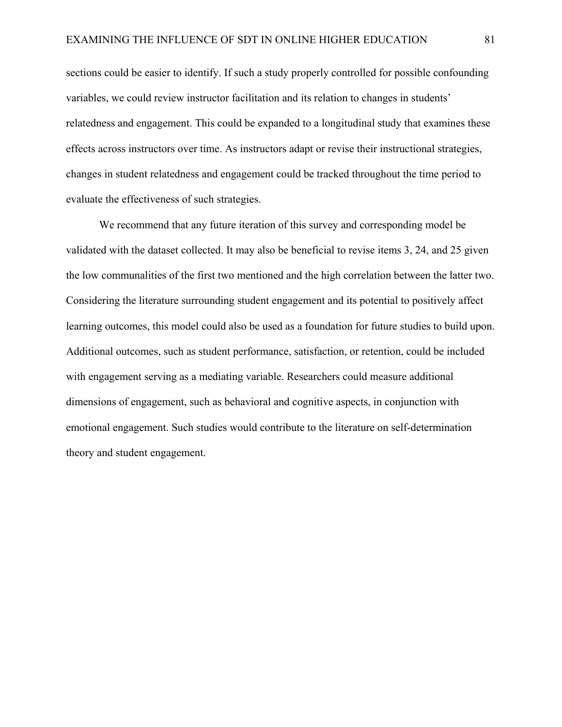sections could be easier to identify. If such a study properly controlled for possible confounding variables, we could review instructor facilitation and its relation to changes in students' relatedness and engagement. This could be expanded to a longitudinal study that examines these effects across instructors over time. As instructors adapt or revise their instructional strategies, changes in student relatedness and engagement could be tracked throughout the time period to evaluate the effectiveness of such strategies.

We recommend that any future iteration of this survey and corresponding model be validated with the dataset collected. It may also be beneficial to revise items 3, 24, and 25 given the low communalities of the first two mentioned and the high correlation between the latter two. Considering the literature surrounding student engagement and its potential to positively affect learning outcomes, this model could also be used as a foundation for future studies to build upon. Additional outcomes, such as student performance, satisfaction, or retention, could be included with engagement serving as a mediating variable. Researchers could measure additional dimensions of engagement, such as behavioral and cognitive aspects, in conjunction with emotional engagement. Such studies would contribute to the literature on self-determination theory and student engagement.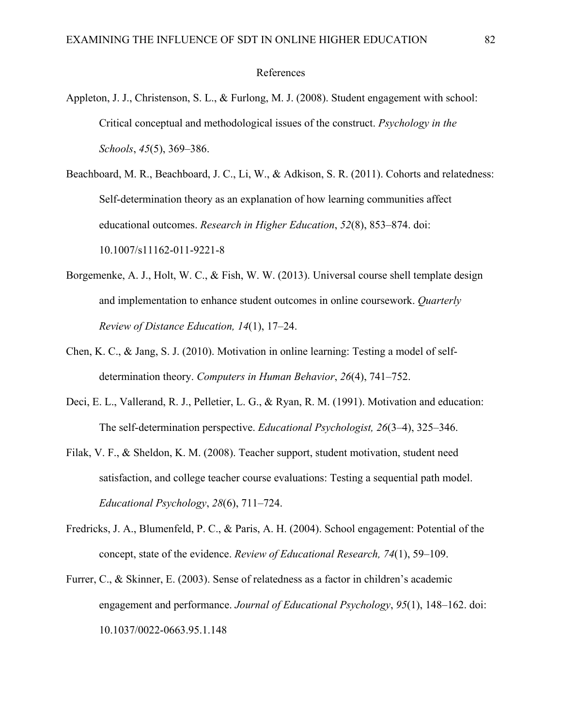#### References

- Appleton, J. J., Christenson, S. L., & Furlong, M. J. (2008). Student engagement with school: Critical conceptual and methodological issues of the construct. *Psychology in the Schools*, *45*(5), 369–386.
- Beachboard, M. R., Beachboard, J. C., Li, W., & Adkison, S. R. (2011). Cohorts and relatedness: Self-determination theory as an explanation of how learning communities affect educational outcomes. *Research in Higher Education*, *52*(8), 853–874. doi: 10.1007/s11162-011-9221-8
- Borgemenke, A. J., Holt, W. C., & Fish, W. W. (2013). Universal course shell template design and implementation to enhance student outcomes in online coursework. *Quarterly Review of Distance Education, 14*(1), 17–24.
- Chen, K. C., & Jang, S. J. (2010). Motivation in online learning: Testing a model of selfdetermination theory. *Computers in Human Behavior*, *26*(4), 741–752.
- Deci, E. L., Vallerand, R. J., Pelletier, L. G., & Ryan, R. M. (1991). Motivation and education: The self-determination perspective. *Educational Psychologist, 26*(3–4), 325–346.
- Filak, V. F., & Sheldon, K. M. (2008). Teacher support, student motivation, student need satisfaction, and college teacher course evaluations: Testing a sequential path model. *Educational Psychology*, *28*(6), 711–724.
- Fredricks, J. A., Blumenfeld, P. C., & Paris, A. H. (2004). School engagement: Potential of the concept, state of the evidence. *Review of Educational Research, 74*(1), 59–109.
- Furrer, C., & Skinner, E. (2003). Sense of relatedness as a factor in children's academic engagement and performance. *Journal of Educational Psychology*, *95*(1), 148–162. doi: 10.1037/0022-0663.95.1.148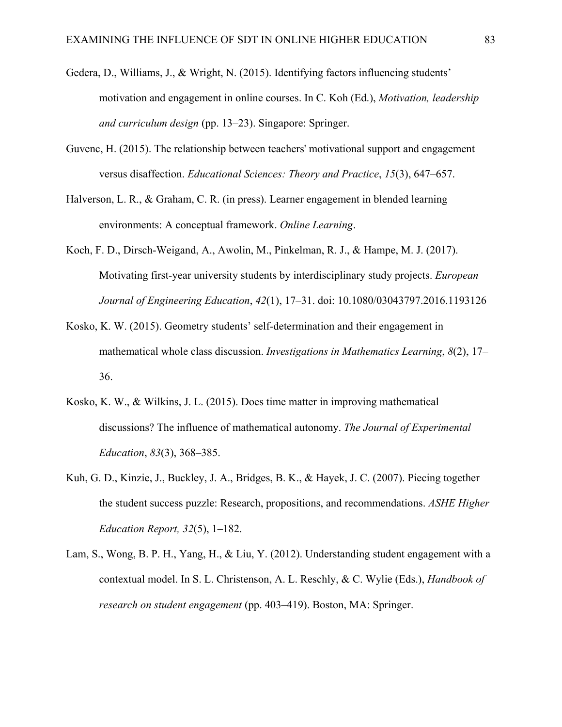- Gedera, D., Williams, J., & Wright, N. (2015). Identifying factors influencing students' motivation and engagement in online courses. In C. Koh (Ed.), *Motivation, leadership and curriculum design* (pp. 13–23). Singapore: Springer.
- Guvenc, H. (2015). The relationship between teachers' motivational support and engagement versus disaffection. *Educational Sciences: Theory and Practice*, *15*(3), 647–657.
- Halverson, L. R., & Graham, C. R. (in press). Learner engagement in blended learning environments: A conceptual framework. *Online Learning*.
- Koch, F. D., Dirsch-Weigand, A., Awolin, M., Pinkelman, R. J., & Hampe, M. J. (2017). Motivating first-year university students by interdisciplinary study projects. *European Journal of Engineering Education*, *42*(1), 17–31. doi: 10.1080/03043797.2016.1193126
- Kosko, K. W. (2015). Geometry students' self-determination and their engagement in mathematical whole class discussion. *Investigations in Mathematics Learning*, *8*(2), 17– 36.
- Kosko, K. W., & Wilkins, J. L. (2015). Does time matter in improving mathematical discussions? The influence of mathematical autonomy. *The Journal of Experimental Education*, *83*(3), 368–385.
- Kuh, G. D., Kinzie, J., Buckley, J. A., Bridges, B. K., & Hayek, J. C. (2007). Piecing together the student success puzzle: Research, propositions, and recommendations. *ASHE Higher Education Report, 32*(5), 1–182.
- Lam, S., Wong, B. P. H., Yang, H., & Liu, Y. (2012). Understanding student engagement with a contextual model. In S. L. Christenson, A. L. Reschly, & C. Wylie (Eds.), *Handbook of research on student engagement* (pp. 403–419). Boston, MA: Springer.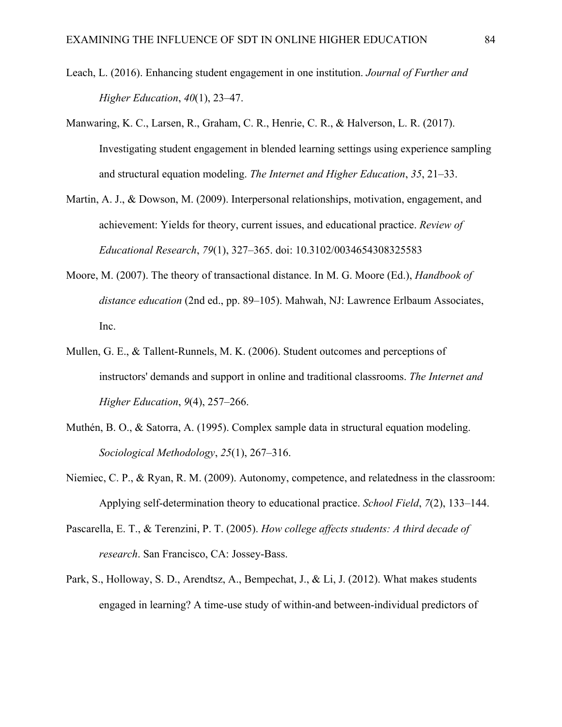- Leach, L. (2016). Enhancing student engagement in one institution. *Journal of Further and Higher Education*, *40*(1), 23–47.
- Manwaring, K. C., Larsen, R., Graham, C. R., Henrie, C. R., & Halverson, L. R. (2017). Investigating student engagement in blended learning settings using experience sampling and structural equation modeling. *The Internet and Higher Education*, *35*, 21–33.
- Martin, A. J., & Dowson, M. (2009). Interpersonal relationships, motivation, engagement, and achievement: Yields for theory, current issues, and educational practice. *Review of Educational Research*, *79*(1), 327–365. [doi: 10.3102/0034654308325583](http://doi.org/10.3102/0034654308325583)
- Moore, M. (2007). The theory of transactional distance. In M. G. Moore (Ed.), *Handbook of distance education* (2nd ed., pp. 89–105). Mahwah, NJ: Lawrence Erlbaum Associates, Inc.
- Mullen, G. E., & Tallent-Runnels, M. K. (2006). Student outcomes and perceptions of instructors' demands and support in online and traditional classrooms. *The Internet and Higher Education*, *9*(4), 257–266.
- Muthén, B. O., & Satorra, A. (1995). Complex sample data in structural equation modeling. *Sociological Methodology*, *25*(1), 267–316.
- Niemiec, C. P., & Ryan, R. M. (2009). Autonomy, competence, and relatedness in the classroom: Applying self-determination theory to educational practice. *School Field*, *7*(2), 133–144.
- Pascarella, E. T., & Terenzini, P. T. (2005). *How college affects students: A third decade of research*. San Francisco, CA: Jossey-Bass.
- Park, S., Holloway, S. D., Arendtsz, A., Bempechat, J., & Li, J. (2012). What makes students engaged in learning? A time-use study of within-and between-individual predictors of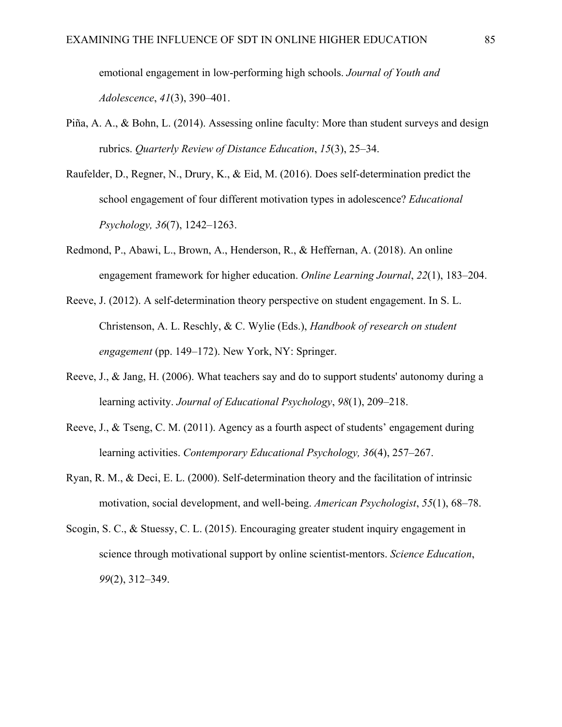emotional engagement in low-performing high schools. *Journal of Youth and Adolescence*, *41*(3), 390–401.

- Piña, A. A., & Bohn, L. (2014). Assessing online faculty: More than student surveys and design rubrics. *Quarterly Review of Distance Education*, *15*(3), 25–34.
- Raufelder, D., Regner, N., Drury, K., & Eid, M. (2016). Does self-determination predict the school engagement of four different motivation types in adolescence? *Educational Psychology, 36*(7), 1242–1263.
- Redmond, P., Abawi, L., Brown, A., Henderson, R., & Heffernan, A. (2018). An online engagement framework for higher education. *Online Learning Journal*, *22*(1), 183–204.
- Reeve, J. (2012). A self-determination theory perspective on student engagement. In S. L. Christenson, A. L. Reschly, & C. Wylie (Eds.), *Handbook of research on student engagement* (pp. 149–172). New York, NY: Springer.
- Reeve, J., & Jang, H. (2006). What teachers say and do to support students' autonomy during a learning activity. *Journal of Educational Psychology*, *98*(1), 209–218.
- Reeve, J., & Tseng, C. M. (2011). Agency as a fourth aspect of students' engagement during learning activities. *Contemporary Educational Psychology, 36*(4), 257–267.
- Ryan, R. M., & Deci, E. L. (2000). Self-determination theory and the facilitation of intrinsic motivation, social development, and well-being. *American Psychologist*, *55*(1), 68–78.
- Scogin, S. C., & Stuessy, C. L. (2015). Encouraging greater student inquiry engagement in science through motivational support by online scientist‐mentors. *Science Education*, *99*(2), 312–349.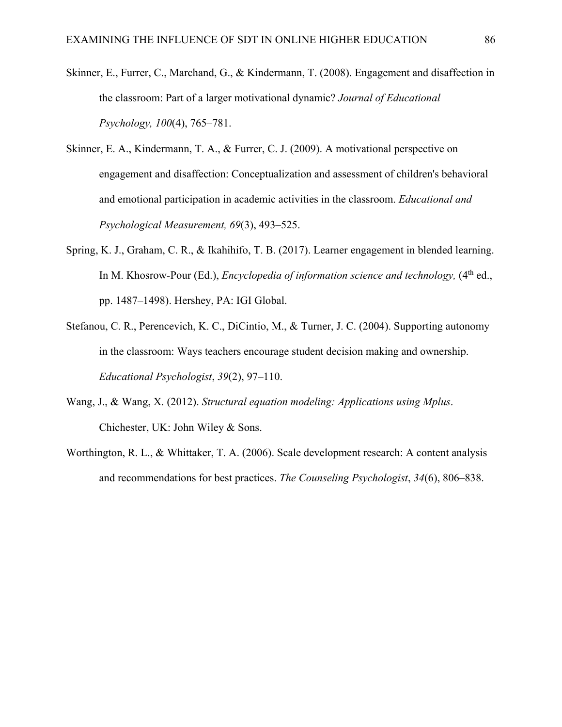- Skinner, E., Furrer, C., Marchand, G., & Kindermann, T. (2008). Engagement and disaffection in the classroom: Part of a larger motivational dynamic? *Journal of Educational Psychology, 100*(4), 765–781.
- Skinner, E. A., Kindermann, T. A., & Furrer, C. J. (2009). A motivational perspective on engagement and disaffection: Conceptualization and assessment of children's behavioral and emotional participation in academic activities in the classroom. *Educational and Psychological Measurement, 69*(3), 493–525.
- Spring, K. J., Graham, C. R., & Ikahihifo, T. B. (2017). Learner engagement in blended learning. In M. Khosrow-Pour (Ed.), *Encyclopedia of information science and technology*,  $(4<sup>th</sup>$  ed., pp. 1487–1498). Hershey, PA: IGI Global.
- Stefanou, C. R., Perencevich, K. C., DiCintio, M., & Turner, J. C. (2004). Supporting autonomy in the classroom: Ways teachers encourage student decision making and ownership. *Educational Psychologist*, *39*(2), 97–110.
- Wang, J., & Wang, X. (2012). *Structural equation modeling: Applications using Mplus*. Chichester, UK: John Wiley & Sons.
- Worthington, R. L., & Whittaker, T. A. (2006). Scale development research: A content analysis and recommendations for best practices. *The Counseling Psychologist*, *34*(6), 806–838.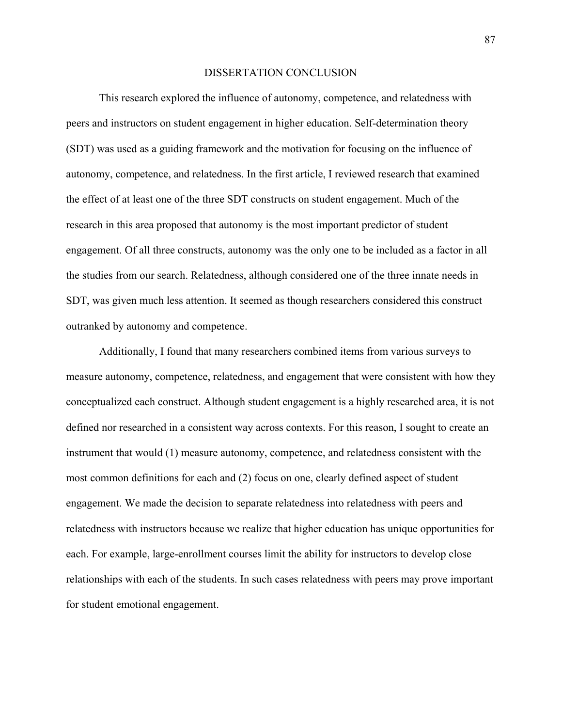#### DISSERTATION CONCLUSION

This research explored the influence of autonomy, competence, and relatedness with peers and instructors on student engagement in higher education. Self-determination theory (SDT) was used as a guiding framework and the motivation for focusing on the influence of autonomy, competence, and relatedness. In the first article, I reviewed research that examined the effect of at least one of the three SDT constructs on student engagement. Much of the research in this area proposed that autonomy is the most important predictor of student engagement. Of all three constructs, autonomy was the only one to be included as a factor in all the studies from our search. Relatedness, although considered one of the three innate needs in SDT, was given much less attention. It seemed as though researchers considered this construct outranked by autonomy and competence.

Additionally, I found that many researchers combined items from various surveys to measure autonomy, competence, relatedness, and engagement that were consistent with how they conceptualized each construct. Although student engagement is a highly researched area, it is not defined nor researched in a consistent way across contexts. For this reason, I sought to create an instrument that would (1) measure autonomy, competence, and relatedness consistent with the most common definitions for each and (2) focus on one, clearly defined aspect of student engagement. We made the decision to separate relatedness into relatedness with peers and relatedness with instructors because we realize that higher education has unique opportunities for each. For example, large-enrollment courses limit the ability for instructors to develop close relationships with each of the students. In such cases relatedness with peers may prove important for student emotional engagement.